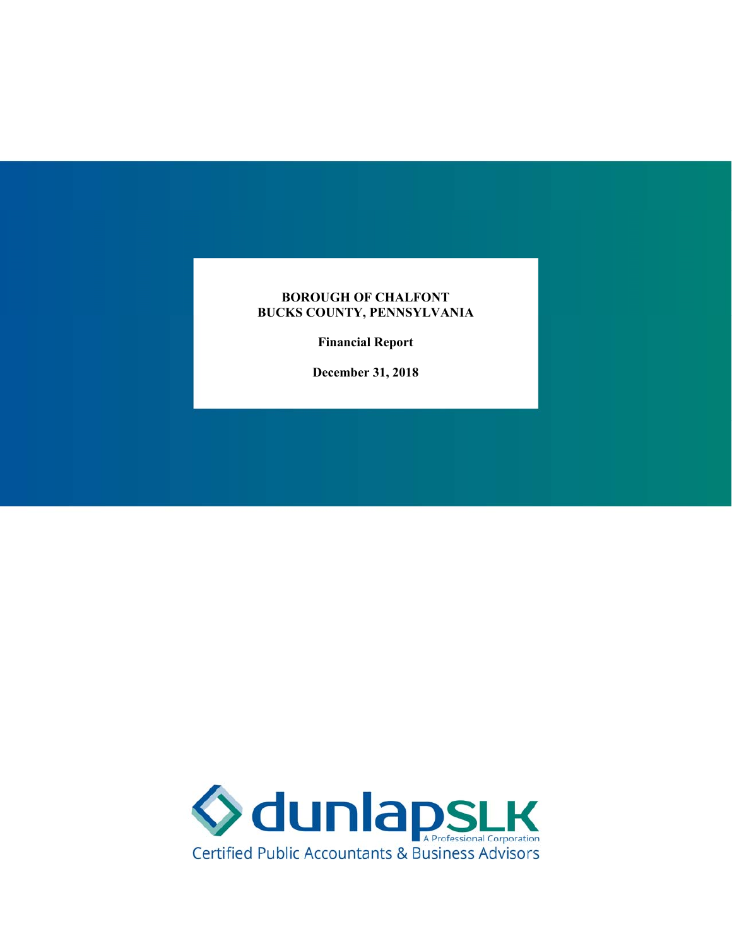## **BOROUGH OF CHALFONT BUCKS COUNTY, PENNSYLVANIA**

**Financial Report** 

**December 31, 2018** 

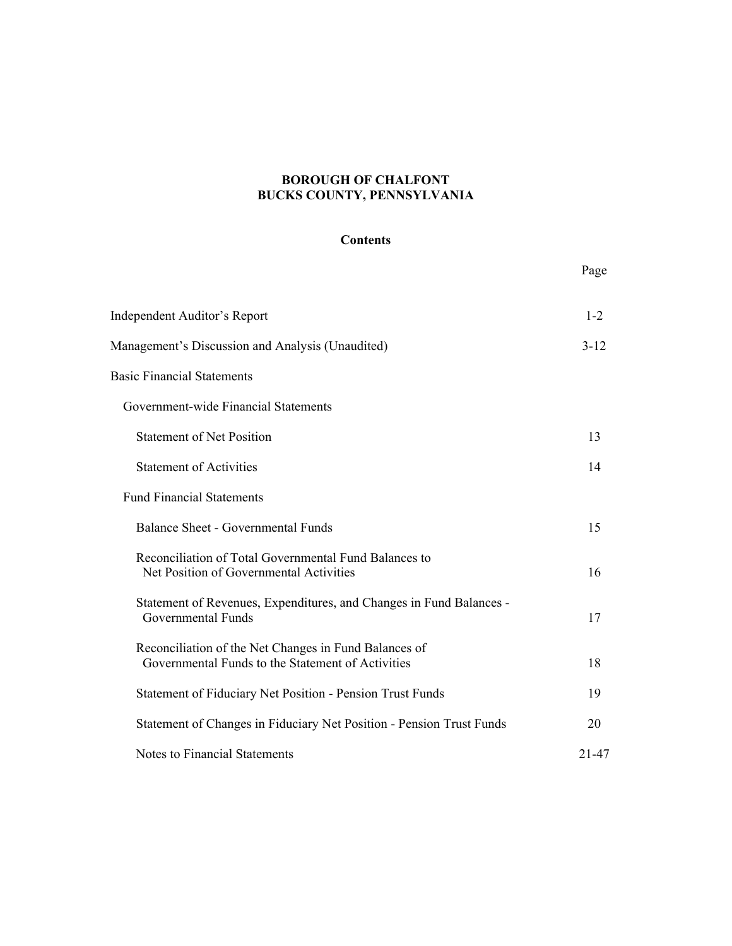# **BOROUGH OF CHALFONT BUCKS COUNTY, PENNSYLVANIA**

#### **Contents**

|                                                                                                            | Page     |
|------------------------------------------------------------------------------------------------------------|----------|
| <b>Independent Auditor's Report</b>                                                                        | $1 - 2$  |
| Management's Discussion and Analysis (Unaudited)                                                           | $3 - 12$ |
| <b>Basic Financial Statements</b>                                                                          |          |
| Government-wide Financial Statements                                                                       |          |
| <b>Statement of Net Position</b>                                                                           | 13       |
| <b>Statement of Activities</b>                                                                             | 14       |
| <b>Fund Financial Statements</b>                                                                           |          |
| Balance Sheet - Governmental Funds                                                                         | 15       |
| Reconciliation of Total Governmental Fund Balances to<br>Net Position of Governmental Activities           | 16       |
| Statement of Revenues, Expenditures, and Changes in Fund Balances -<br>Governmental Funds                  | 17       |
| Reconciliation of the Net Changes in Fund Balances of<br>Governmental Funds to the Statement of Activities | 18       |
| <b>Statement of Fiduciary Net Position - Pension Trust Funds</b>                                           | 19       |
| Statement of Changes in Fiduciary Net Position - Pension Trust Funds                                       | 20       |
| <b>Notes to Financial Statements</b>                                                                       | 21-47    |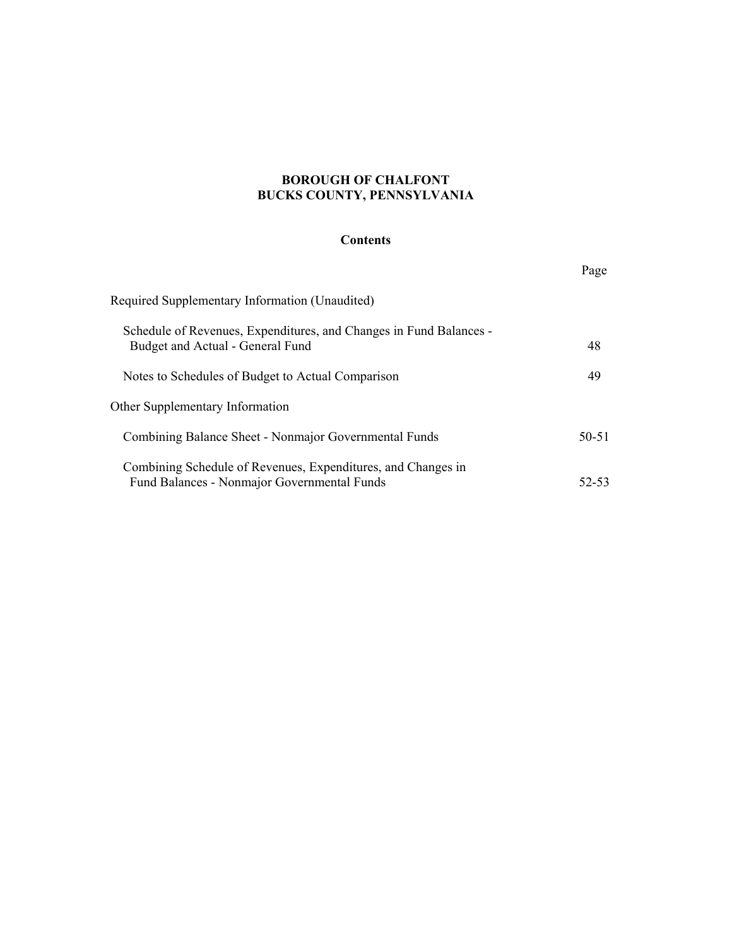# **BOROUGH OF CHALFONT BUCKS COUNTY, PENNSYLVANIA**

## **Contents**

|                                                                                                             | Page  |
|-------------------------------------------------------------------------------------------------------------|-------|
| Required Supplementary Information (Unaudited)                                                              |       |
| Schedule of Revenues, Expenditures, and Changes in Fund Balances -<br>Budget and Actual - General Fund      | 48    |
| Notes to Schedules of Budget to Actual Comparison                                                           | 49    |
| Other Supplementary Information                                                                             |       |
| Combining Balance Sheet - Nonmajor Governmental Funds                                                       | 50-51 |
| Combining Schedule of Revenues, Expenditures, and Changes in<br>Fund Balances - Nonmajor Governmental Funds | 52-53 |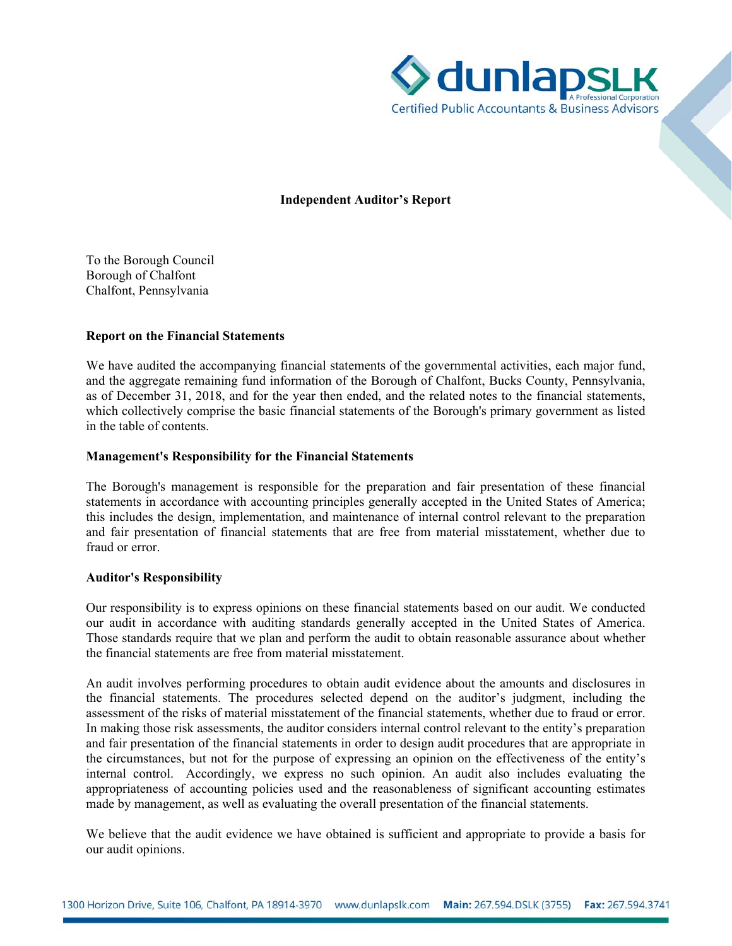

## **Independent Auditor's Report**

To the Borough Council Borough of Chalfont Chalfont, Pennsylvania

#### **Report on the Financial Statements**

We have audited the accompanying financial statements of the governmental activities, each major fund, and the aggregate remaining fund information of the Borough of Chalfont, Bucks County, Pennsylvania, as of December 31, 2018, and for the year then ended, and the related notes to the financial statements, which collectively comprise the basic financial statements of the Borough's primary government as listed in the table of contents.

#### **Management's Responsibility for the Financial Statements**

The Borough's management is responsible for the preparation and fair presentation of these financial statements in accordance with accounting principles generally accepted in the United States of America; this includes the design, implementation, and maintenance of internal control relevant to the preparation and fair presentation of financial statements that are free from material misstatement, whether due to fraud or error.

#### **Auditor's Responsibility**

Our responsibility is to express opinions on these financial statements based on our audit. We conducted our audit in accordance with auditing standards generally accepted in the United States of America. Those standards require that we plan and perform the audit to obtain reasonable assurance about whether the financial statements are free from material misstatement.

An audit involves performing procedures to obtain audit evidence about the amounts and disclosures in the financial statements. The procedures selected depend on the auditor's judgment, including the assessment of the risks of material misstatement of the financial statements, whether due to fraud or error. In making those risk assessments, the auditor considers internal control relevant to the entity's preparation and fair presentation of the financial statements in order to design audit procedures that are appropriate in the circumstances, but not for the purpose of expressing an opinion on the effectiveness of the entity's internal control. Accordingly, we express no such opinion. An audit also includes evaluating the appropriateness of accounting policies used and the reasonableness of significant accounting estimates made by management, as well as evaluating the overall presentation of the financial statements.

We believe that the audit evidence we have obtained is sufficient and appropriate to provide a basis for our audit opinions.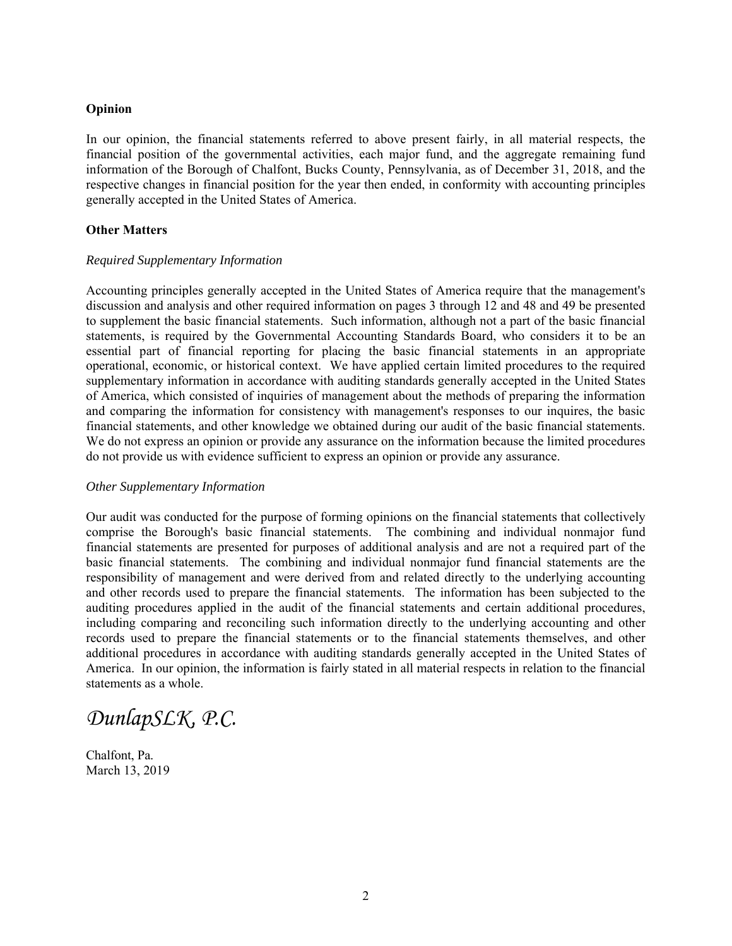#### **Opinion**

In our opinion, the financial statements referred to above present fairly, in all material respects, the financial position of the governmental activities, each major fund, and the aggregate remaining fund information of the Borough of Chalfont, Bucks County, Pennsylvania, as of December 31, 2018, and the respective changes in financial position for the year then ended, in conformity with accounting principles generally accepted in the United States of America.

### **Other Matters**

#### *Required Supplementary Information*

Accounting principles generally accepted in the United States of America require that the management's discussion and analysis and other required information on pages 3 through 12 and 48 and 49 be presented to supplement the basic financial statements. Such information, although not a part of the basic financial statements, is required by the Governmental Accounting Standards Board, who considers it to be an essential part of financial reporting for placing the basic financial statements in an appropriate operational, economic, or historical context. We have applied certain limited procedures to the required supplementary information in accordance with auditing standards generally accepted in the United States of America, which consisted of inquiries of management about the methods of preparing the information and comparing the information for consistency with management's responses to our inquires, the basic financial statements, and other knowledge we obtained during our audit of the basic financial statements. We do not express an opinion or provide any assurance on the information because the limited procedures do not provide us with evidence sufficient to express an opinion or provide any assurance.

#### *Other Supplementary Information*

Our audit was conducted for the purpose of forming opinions on the financial statements that collectively comprise the Borough's basic financial statements. The combining and individual nonmajor fund financial statements are presented for purposes of additional analysis and are not a required part of the basic financial statements. The combining and individual nonmajor fund financial statements are the responsibility of management and were derived from and related directly to the underlying accounting and other records used to prepare the financial statements. The information has been subjected to the auditing procedures applied in the audit of the financial statements and certain additional procedures, including comparing and reconciling such information directly to the underlying accounting and other records used to prepare the financial statements or to the financial statements themselves, and other additional procedures in accordance with auditing standards generally accepted in the United States of America. In our opinion, the information is fairly stated in all material respects in relation to the financial statements as a whole.

*DunlapSLK, P.C.* 

Chalfont, Pa. March 13, 2019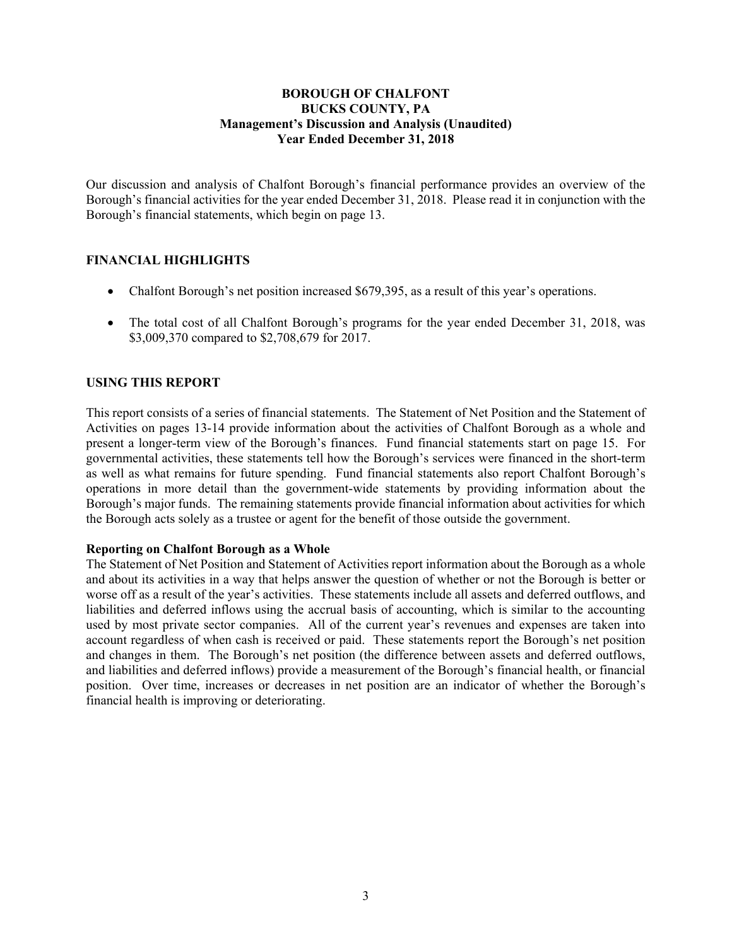Our discussion and analysis of Chalfont Borough's financial performance provides an overview of the Borough's financial activities for the year ended December 31, 2018. Please read it in conjunction with the Borough's financial statements, which begin on page 13.

## **FINANCIAL HIGHLIGHTS**

- Chalfont Borough's net position increased \$679,395, as a result of this year's operations.
- The total cost of all Chalfont Borough's programs for the year ended December 31, 2018, was \$3,009,370 compared to \$2,708,679 for 2017.

#### **USING THIS REPORT**

This report consists of a series of financial statements. The Statement of Net Position and the Statement of Activities on pages 13-14 provide information about the activities of Chalfont Borough as a whole and present a longer-term view of the Borough's finances. Fund financial statements start on page 15. For governmental activities, these statements tell how the Borough's services were financed in the short-term as well as what remains for future spending. Fund financial statements also report Chalfont Borough's operations in more detail than the government-wide statements by providing information about the Borough's major funds. The remaining statements provide financial information about activities for which the Borough acts solely as a trustee or agent for the benefit of those outside the government.

#### **Reporting on Chalfont Borough as a Whole**

The Statement of Net Position and Statement of Activities report information about the Borough as a whole and about its activities in a way that helps answer the question of whether or not the Borough is better or worse off as a result of the year's activities. These statements include all assets and deferred outflows, and liabilities and deferred inflows using the accrual basis of accounting, which is similar to the accounting used by most private sector companies. All of the current year's revenues and expenses are taken into account regardless of when cash is received or paid. These statements report the Borough's net position and changes in them. The Borough's net position (the difference between assets and deferred outflows, and liabilities and deferred inflows) provide a measurement of the Borough's financial health, or financial position. Over time, increases or decreases in net position are an indicator of whether the Borough's financial health is improving or deteriorating.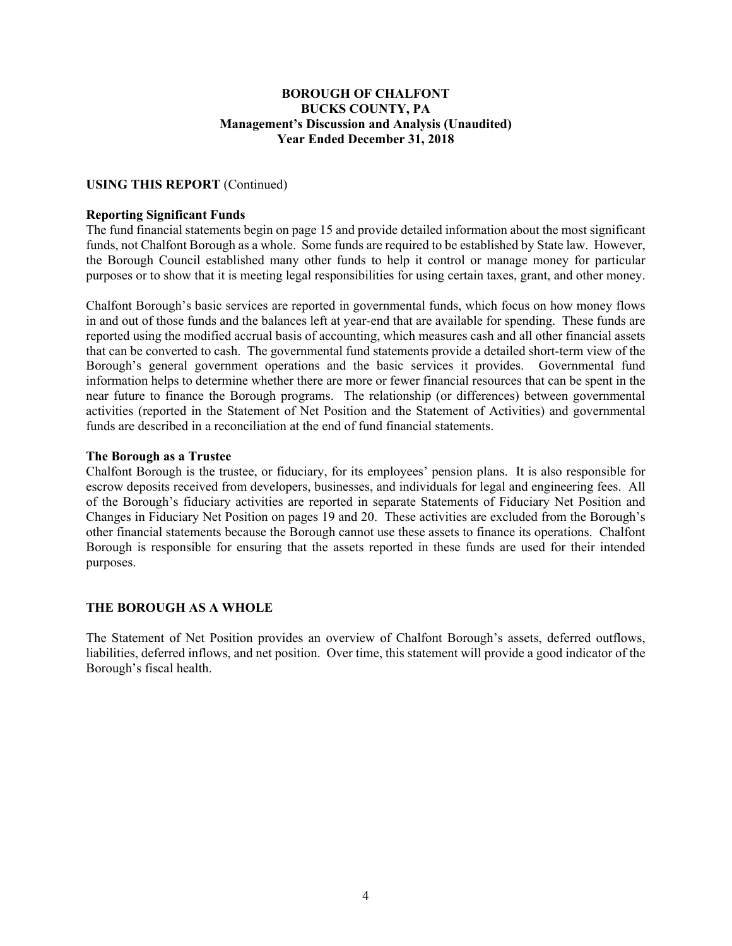## **USING THIS REPORT** (Continued)

#### **Reporting Significant Funds**

The fund financial statements begin on page 15 and provide detailed information about the most significant funds, not Chalfont Borough as a whole. Some funds are required to be established by State law. However, the Borough Council established many other funds to help it control or manage money for particular purposes or to show that it is meeting legal responsibilities for using certain taxes, grant, and other money.

Chalfont Borough's basic services are reported in governmental funds, which focus on how money flows in and out of those funds and the balances left at year-end that are available for spending. These funds are reported using the modified accrual basis of accounting, which measures cash and all other financial assets that can be converted to cash. The governmental fund statements provide a detailed short-term view of the Borough's general government operations and the basic services it provides. Governmental fund information helps to determine whether there are more or fewer financial resources that can be spent in the near future to finance the Borough programs. The relationship (or differences) between governmental activities (reported in the Statement of Net Position and the Statement of Activities) and governmental funds are described in a reconciliation at the end of fund financial statements.

#### **The Borough as a Trustee**

Chalfont Borough is the trustee, or fiduciary, for its employees' pension plans. It is also responsible for escrow deposits received from developers, businesses, and individuals for legal and engineering fees. All of the Borough's fiduciary activities are reported in separate Statements of Fiduciary Net Position and Changes in Fiduciary Net Position on pages 19 and 20. These activities are excluded from the Borough's other financial statements because the Borough cannot use these assets to finance its operations. Chalfont Borough is responsible for ensuring that the assets reported in these funds are used for their intended purposes.

## **THE BOROUGH AS A WHOLE**

The Statement of Net Position provides an overview of Chalfont Borough's assets, deferred outflows, liabilities, deferred inflows, and net position. Over time, this statement will provide a good indicator of the Borough's fiscal health.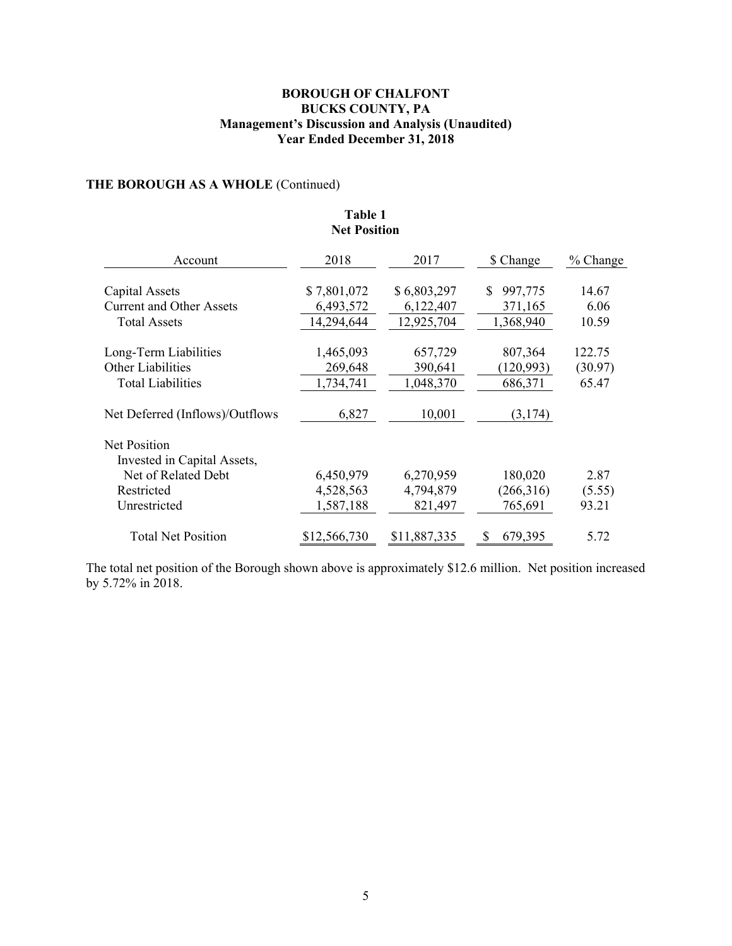# **THE BOROUGH AS A WHOLE** (Continued)

| тет і омион                     |              |              |               |            |  |  |  |  |
|---------------------------------|--------------|--------------|---------------|------------|--|--|--|--|
| Account                         | 2018         | 2017         | \$ Change     | $%$ Change |  |  |  |  |
| Capital Assets                  | \$7,801,072  | \$6,803,297  | 997,775<br>S. | 14.67      |  |  |  |  |
| <b>Current and Other Assets</b> | 6,493,572    | 6,122,407    | 371,165       | 6.06       |  |  |  |  |
| <b>Total Assets</b>             | 14,294,644   | 12,925,704   | 1,368,940     | 10.59      |  |  |  |  |
| Long-Term Liabilities           | 1,465,093    | 657,729      | 807,364       | 122.75     |  |  |  |  |
| Other Liabilities               | 269,648      | 390,641      | (120, 993)    | (30.97)    |  |  |  |  |
| <b>Total Liabilities</b>        | 1,734,741    | 1,048,370    | 686,371       | 65.47      |  |  |  |  |
| Net Deferred (Inflows)/Outflows | 6,827        | 10,001       | (3,174)       |            |  |  |  |  |
| <b>Net Position</b>             |              |              |               |            |  |  |  |  |
| Invested in Capital Assets,     |              |              |               |            |  |  |  |  |
| Net of Related Debt             | 6,450,979    | 6,270,959    | 180,020       | 2.87       |  |  |  |  |
| Restricted                      | 4,528,563    | 4,794,879    | (266, 316)    | (5.55)     |  |  |  |  |
| Unrestricted                    | 1,587,188    | 821,497      | 765,691       | 93.21      |  |  |  |  |
| <b>Total Net Position</b>       | \$12,566,730 | \$11,887,335 | 679,395       | 5.72       |  |  |  |  |

#### **Table 1 Net Position**

The total net position of the Borough shown above is approximately \$12.6 million. Net position increased by 5.72% in 2018.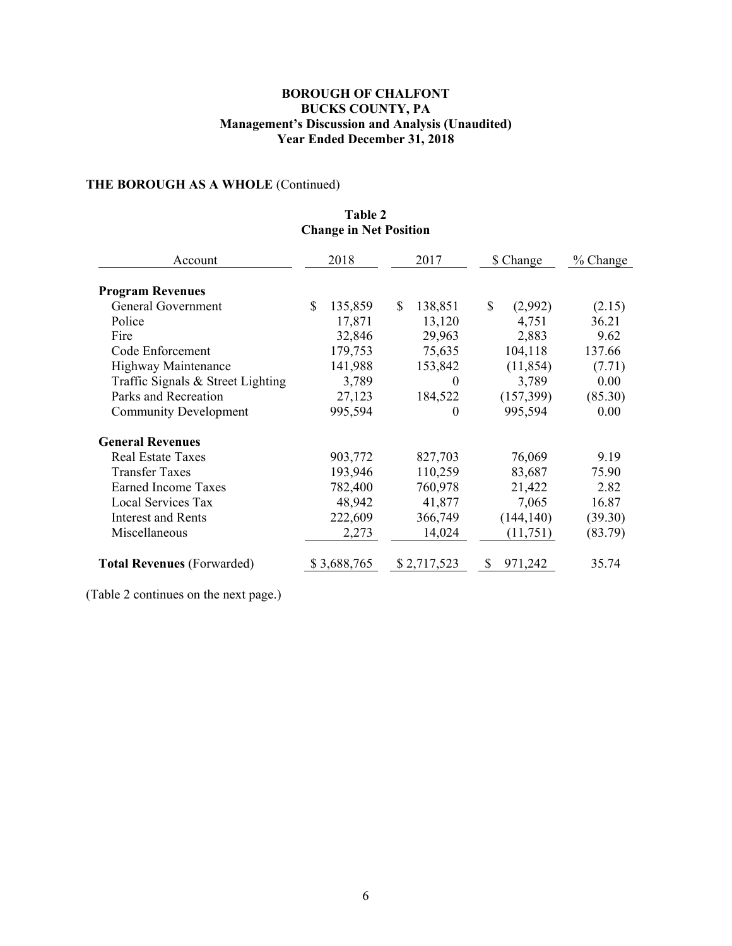**Table 2** 

# **THE BOROUGH AS A WHOLE** (Continued)

| <b>Change in Net Position</b>     |    |                           |    |                |    |            |         |  |            |
|-----------------------------------|----|---------------------------|----|----------------|----|------------|---------|--|------------|
| Account                           |    | 2018<br>2017<br>\$ Change |    |                |    |            |         |  | $%$ Change |
| <b>Program Revenues</b>           |    |                           |    |                |    |            |         |  |            |
| <b>General Government</b>         | \$ | 135,859                   | \$ | 138,851        | \$ | (2,992)    | (2.15)  |  |            |
| Police                            |    | 17,871                    |    | 13,120         |    | 4,751      | 36.21   |  |            |
| Fire                              |    | 32,846                    |    | 29,963         |    | 2,883      | 9.62    |  |            |
| Code Enforcement                  |    | 179,753                   |    | 75,635         |    | 104,118    | 137.66  |  |            |
| Highway Maintenance               |    | 141,988                   |    | 153,842        |    | (11, 854)  | (7.71)  |  |            |
| Traffic Signals & Street Lighting |    | 3,789                     |    | $\theta$       |    | 3,789      | 0.00    |  |            |
| Parks and Recreation              |    | 27,123                    |    | 184,522        |    | (157,399)  | (85.30) |  |            |
| <b>Community Development</b>      |    | 995,594                   |    | $\overline{0}$ |    | 995,594    | 0.00    |  |            |
| <b>General Revenues</b>           |    |                           |    |                |    |            |         |  |            |
| <b>Real Estate Taxes</b>          |    | 903,772                   |    | 827,703        |    | 76,069     | 9.19    |  |            |
| <b>Transfer Taxes</b>             |    | 193,946                   |    | 110,259        |    | 83,687     | 75.90   |  |            |
| <b>Earned Income Taxes</b>        |    | 782,400                   |    | 760,978        |    | 21,422     | 2.82    |  |            |
| Local Services Tax                |    | 48,942                    |    | 41,877         |    | 7,065      | 16.87   |  |            |
| <b>Interest and Rents</b>         |    | 222,609                   |    | 366,749        |    | (144, 140) | (39.30) |  |            |
| Miscellaneous                     |    | 2,273                     |    | 14,024         |    | (11, 751)  | (83.79) |  |            |
| <b>Total Revenues (Forwarded)</b> |    | \$3,688,765               |    | \$2,717,523    | \$ | 971,242    | 35.74   |  |            |

(Table 2 continues on the next page.)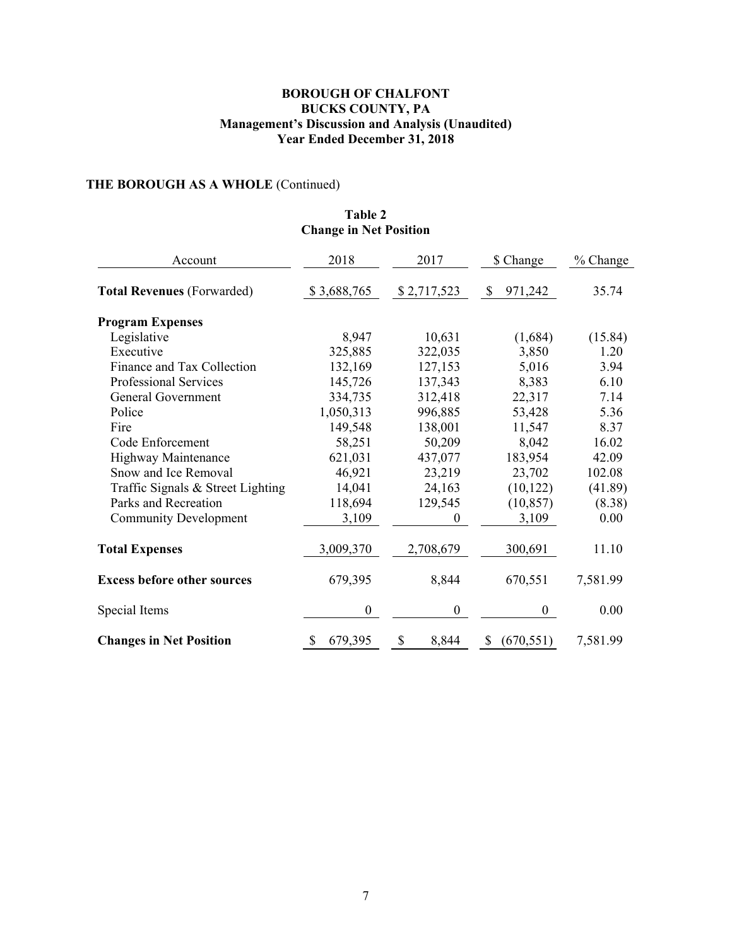# **THE BOROUGH AS A WHOLE** (Continued)

## **Table 2 Change in Net Position**

| Account                            | 2018             | 2017             | \$ Change        | % Change |
|------------------------------------|------------------|------------------|------------------|----------|
| <b>Total Revenues (Forwarded)</b>  | \$3,688,765      | \$2,717,523      | \$<br>971,242    | 35.74    |
| <b>Program Expenses</b>            |                  |                  |                  |          |
| Legislative                        | 8,947            | 10,631           | (1,684)          | (15.84)  |
| Executive                          | 325,885          | 322,035          | 3,850            | 1.20     |
| Finance and Tax Collection         | 132,169          | 127,153          | 5,016            | 3.94     |
| Professional Services              | 145,726          | 137,343          | 8,383            | 6.10     |
| <b>General Government</b>          | 334,735          | 312,418          | 22,317           | 7.14     |
| Police                             | 1,050,313        | 996,885          | 53,428           | 5.36     |
| Fire                               | 149,548          | 138,001          | 11,547           | 8.37     |
| Code Enforcement                   | 58,251           | 50,209           | 8,042            | 16.02    |
| <b>Highway Maintenance</b>         | 621,031          | 437,077          | 183,954          | 42.09    |
| Snow and Ice Removal               | 46,921           | 23,219           | 23,702           | 102.08   |
| Traffic Signals & Street Lighting  | 14,041           | 24,163           | (10, 122)        | (41.89)  |
| Parks and Recreation               | 118,694          | 129,545          | (10, 857)        | (8.38)   |
| <b>Community Development</b>       | 3,109            | $\boldsymbol{0}$ | 3,109            | 0.00     |
| <b>Total Expenses</b>              | 3,009,370        | 2,708,679        | 300,691          | 11.10    |
| <b>Excess before other sources</b> | 679,395          | 8,844            | 670,551          | 7,581.99 |
| Special Items                      | $\boldsymbol{0}$ | $\boldsymbol{0}$ | $\boldsymbol{0}$ | 0.00     |
| <b>Changes in Net Position</b>     | \$<br>679,395    | \$<br>8,844      | (670, 551)<br>\$ | 7,581.99 |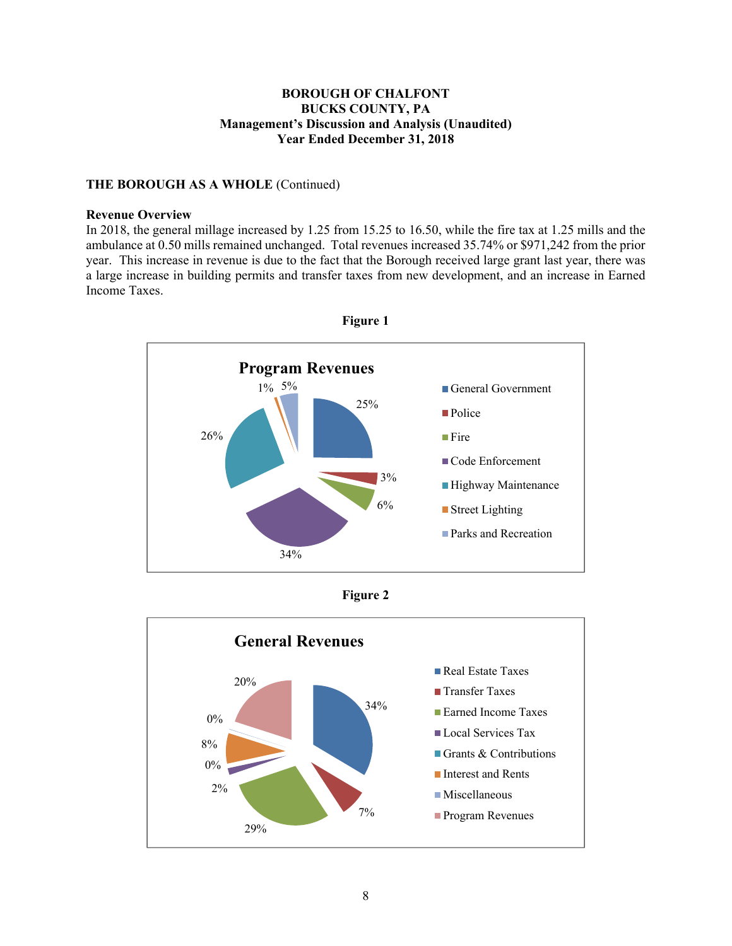## **THE BOROUGH AS A WHOLE** (Continued)

## **Revenue Overview**

In 2018, the general millage increased by 1.25 from 15.25 to 16.50, while the fire tax at 1.25 mills and the ambulance at 0.50 mills remained unchanged. Total revenues increased 35.74% or \$971,242 from the prior year. This increase in revenue is due to the fact that the Borough received large grant last year, there was a large increase in building permits and transfer taxes from new development, and an increase in Earned Income Taxes.





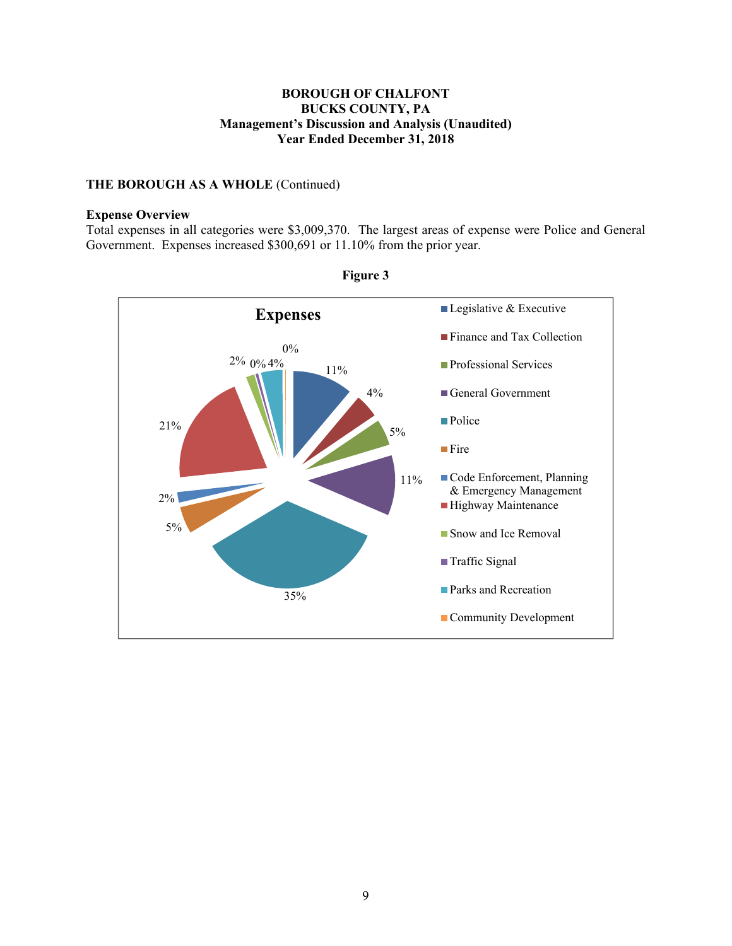## **THE BOROUGH AS A WHOLE** (Continued)

#### **Expense Overview**

Total expenses in all categories were \$3,009,370. The largest areas of expense were Police and General Government. Expenses increased \$300,691 or 11.10% from the prior year.



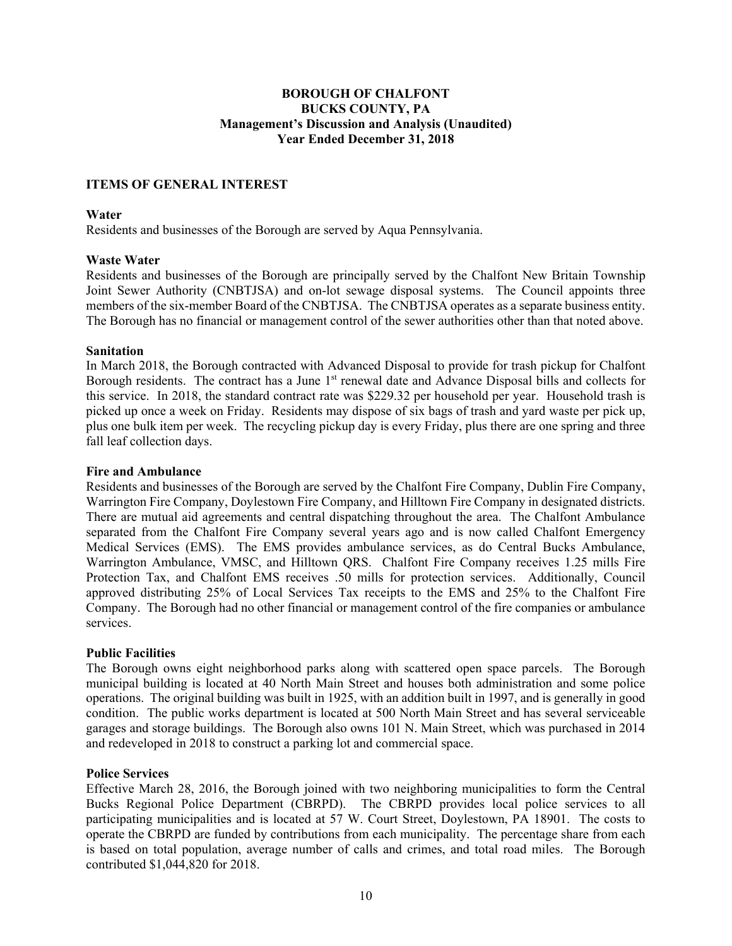## **ITEMS OF GENERAL INTEREST**

#### **Water**

Residents and businesses of the Borough are served by Aqua Pennsylvania.

#### **Waste Water**

Residents and businesses of the Borough are principally served by the Chalfont New Britain Township Joint Sewer Authority (CNBTJSA) and on-lot sewage disposal systems. The Council appoints three members of the six-member Board of the CNBTJSA. The CNBTJSA operates as a separate business entity. The Borough has no financial or management control of the sewer authorities other than that noted above.

#### **Sanitation**

In March 2018, the Borough contracted with Advanced Disposal to provide for trash pickup for Chalfont Borough residents. The contract has a June 1<sup>st</sup> renewal date and Advance Disposal bills and collects for this service. In 2018, the standard contract rate was \$229.32 per household per year. Household trash is picked up once a week on Friday. Residents may dispose of six bags of trash and yard waste per pick up, plus one bulk item per week. The recycling pickup day is every Friday, plus there are one spring and three fall leaf collection days.

#### **Fire and Ambulance**

Residents and businesses of the Borough are served by the Chalfont Fire Company, Dublin Fire Company, Warrington Fire Company, Doylestown Fire Company, and Hilltown Fire Company in designated districts. There are mutual aid agreements and central dispatching throughout the area. The Chalfont Ambulance separated from the Chalfont Fire Company several years ago and is now called Chalfont Emergency Medical Services (EMS). The EMS provides ambulance services, as do Central Bucks Ambulance, Warrington Ambulance, VMSC, and Hilltown QRS. Chalfont Fire Company receives 1.25 mills Fire Protection Tax, and Chalfont EMS receives .50 mills for protection services. Additionally, Council approved distributing 25% of Local Services Tax receipts to the EMS and 25% to the Chalfont Fire Company. The Borough had no other financial or management control of the fire companies or ambulance services.

## **Public Facilities**

The Borough owns eight neighborhood parks along with scattered open space parcels. The Borough municipal building is located at 40 North Main Street and houses both administration and some police operations. The original building was built in 1925, with an addition built in 1997, and is generally in good condition. The public works department is located at 500 North Main Street and has several serviceable garages and storage buildings. The Borough also owns 101 N. Main Street, which was purchased in 2014 and redeveloped in 2018 to construct a parking lot and commercial space.

#### **Police Services**

Effective March 28, 2016, the Borough joined with two neighboring municipalities to form the Central Bucks Regional Police Department (CBRPD). The CBRPD provides local police services to all participating municipalities and is located at 57 W. Court Street, Doylestown, PA 18901. The costs to operate the CBRPD are funded by contributions from each municipality. The percentage share from each is based on total population, average number of calls and crimes, and total road miles. The Borough contributed \$1,044,820 for 2018.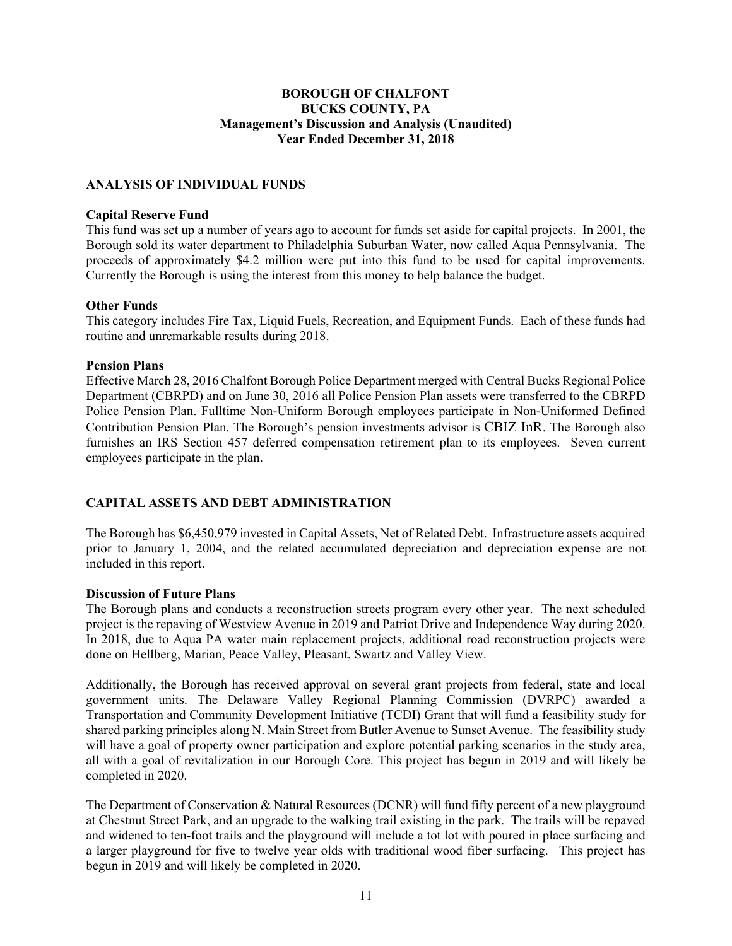## **ANALYSIS OF INDIVIDUAL FUNDS**

### **Capital Reserve Fund**

This fund was set up a number of years ago to account for funds set aside for capital projects. In 2001, the Borough sold its water department to Philadelphia Suburban Water, now called Aqua Pennsylvania. The proceeds of approximately \$4.2 million were put into this fund to be used for capital improvements. Currently the Borough is using the interest from this money to help balance the budget.

## **Other Funds**

This category includes Fire Tax, Liquid Fuels, Recreation, and Equipment Funds. Each of these funds had routine and unremarkable results during 2018.

#### **Pension Plans**

Effective March 28, 2016 Chalfont Borough Police Department merged with Central Bucks Regional Police Department (CBRPD) and on June 30, 2016 all Police Pension Plan assets were transferred to the CBRPD Police Pension Plan. Fulltime Non-Uniform Borough employees participate in Non-Uniformed Defined Contribution Pension Plan. The Borough's pension investments advisor is CBIZ InR. The Borough also furnishes an IRS Section 457 deferred compensation retirement plan to its employees. Seven current employees participate in the plan.

## **CAPITAL ASSETS AND DEBT ADMINISTRATION**

The Borough has \$6,450,979 invested in Capital Assets, Net of Related Debt. Infrastructure assets acquired prior to January 1, 2004, and the related accumulated depreciation and depreciation expense are not included in this report.

## **Discussion of Future Plans**

The Borough plans and conducts a reconstruction streets program every other year. The next scheduled project is the repaving of Westview Avenue in 2019 and Patriot Drive and Independence Way during 2020. In 2018, due to Aqua PA water main replacement projects, additional road reconstruction projects were done on Hellberg, Marian, Peace Valley, Pleasant, Swartz and Valley View.

Additionally, the Borough has received approval on several grant projects from federal, state and local government units. The Delaware Valley Regional Planning Commission (DVRPC) awarded a Transportation and Community Development Initiative (TCDI) Grant that will fund a feasibility study for shared parking principles along N. Main Street from Butler Avenue to Sunset Avenue. The feasibility study will have a goal of property owner participation and explore potential parking scenarios in the study area, all with a goal of revitalization in our Borough Core. This project has begun in 2019 and will likely be completed in 2020.

The Department of Conservation & Natural Resources (DCNR) will fund fifty percent of a new playground at Chestnut Street Park, and an upgrade to the walking trail existing in the park. The trails will be repaved and widened to ten-foot trails and the playground will include a tot lot with poured in place surfacing and a larger playground for five to twelve year olds with traditional wood fiber surfacing. This project has begun in 2019 and will likely be completed in 2020.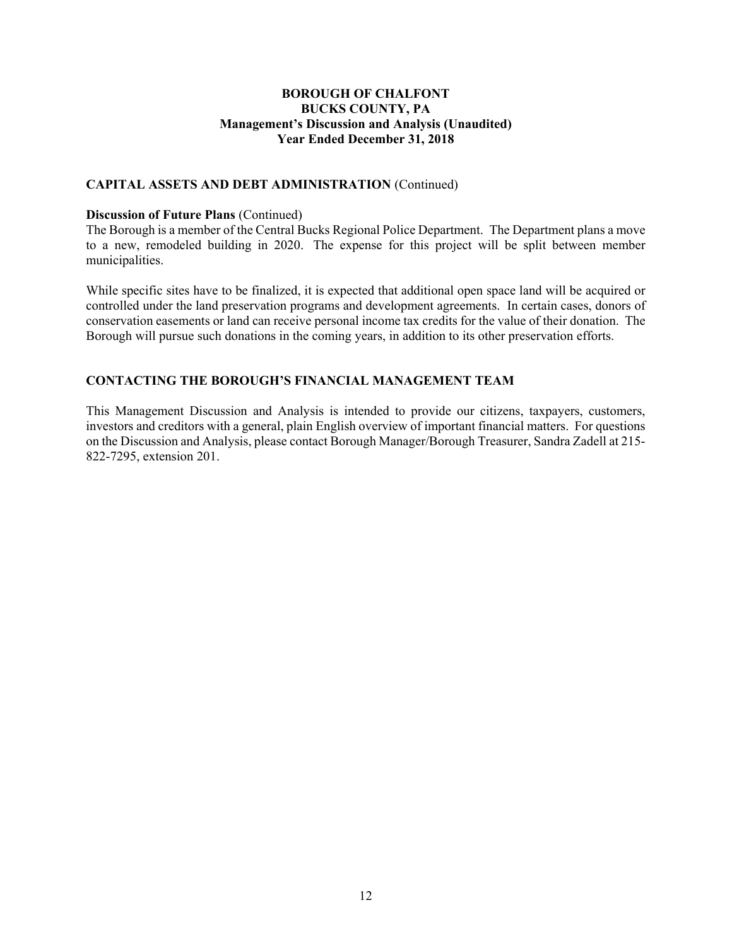## **CAPITAL ASSETS AND DEBT ADMINISTRATION** (Continued)

#### **Discussion of Future Plans** (Continued)

The Borough is a member of the Central Bucks Regional Police Department. The Department plans a move to a new, remodeled building in 2020. The expense for this project will be split between member municipalities.

While specific sites have to be finalized, it is expected that additional open space land will be acquired or controlled under the land preservation programs and development agreements. In certain cases, donors of conservation easements or land can receive personal income tax credits for the value of their donation. The Borough will pursue such donations in the coming years, in addition to its other preservation efforts.

## **CONTACTING THE BOROUGH'S FINANCIAL MANAGEMENT TEAM**

This Management Discussion and Analysis is intended to provide our citizens, taxpayers, customers, investors and creditors with a general, plain English overview of important financial matters. For questions on the Discussion and Analysis, please contact Borough Manager/Borough Treasurer, Sandra Zadell at 215- 822-7295, extension 201.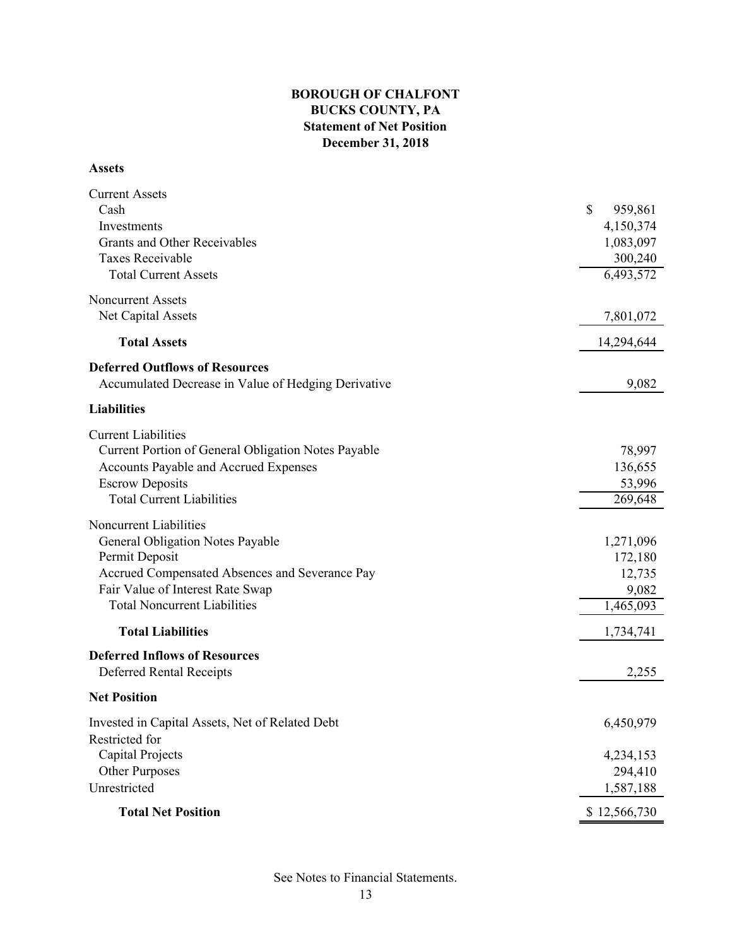# **BOROUGH OF CHALFONT BUCKS COUNTY, PA Statement of Net Position December 31, 2018**

### **Assets**

| <b>Current Assets</b>                               |               |
|-----------------------------------------------------|---------------|
| Cash                                                | \$<br>959,861 |
| Investments                                         | 4,150,374     |
| <b>Grants and Other Receivables</b>                 | 1,083,097     |
| <b>Taxes Receivable</b>                             | 300,240       |
| <b>Total Current Assets</b>                         | 6,493,572     |
| <b>Noncurrent Assets</b>                            |               |
| Net Capital Assets                                  | 7,801,072     |
| <b>Total Assets</b>                                 | 14,294,644    |
| <b>Deferred Outflows of Resources</b>               |               |
| Accumulated Decrease in Value of Hedging Derivative | 9,082         |
| <b>Liabilities</b>                                  |               |
| <b>Current Liabilities</b>                          |               |
| Current Portion of General Obligation Notes Payable | 78,997        |
| Accounts Payable and Accrued Expenses               | 136,655       |
| <b>Escrow Deposits</b>                              | 53,996        |
| <b>Total Current Liabilities</b>                    | 269,648       |
| Noncurrent Liabilities                              |               |
| General Obligation Notes Payable                    | 1,271,096     |
| Permit Deposit                                      | 172,180       |
| Accrued Compensated Absences and Severance Pay      | 12,735        |
| Fair Value of Interest Rate Swap                    | 9,082         |
| <b>Total Noncurrent Liabilities</b>                 | 1,465,093     |
| <b>Total Liabilities</b>                            | 1,734,741     |
| <b>Deferred Inflows of Resources</b>                |               |
| Deferred Rental Receipts                            | 2,255         |
| <b>Net Position</b>                                 |               |
| Invested in Capital Assets, Net of Related Debt     | 6,450,979     |
| Restricted for                                      |               |
| Capital Projects                                    | 4,234,153     |
| Other Purposes                                      | 294,410       |
| Unrestricted                                        | 1,587,188     |
| <b>Total Net Position</b>                           | \$12,566,730  |

See Notes to Financial Statements.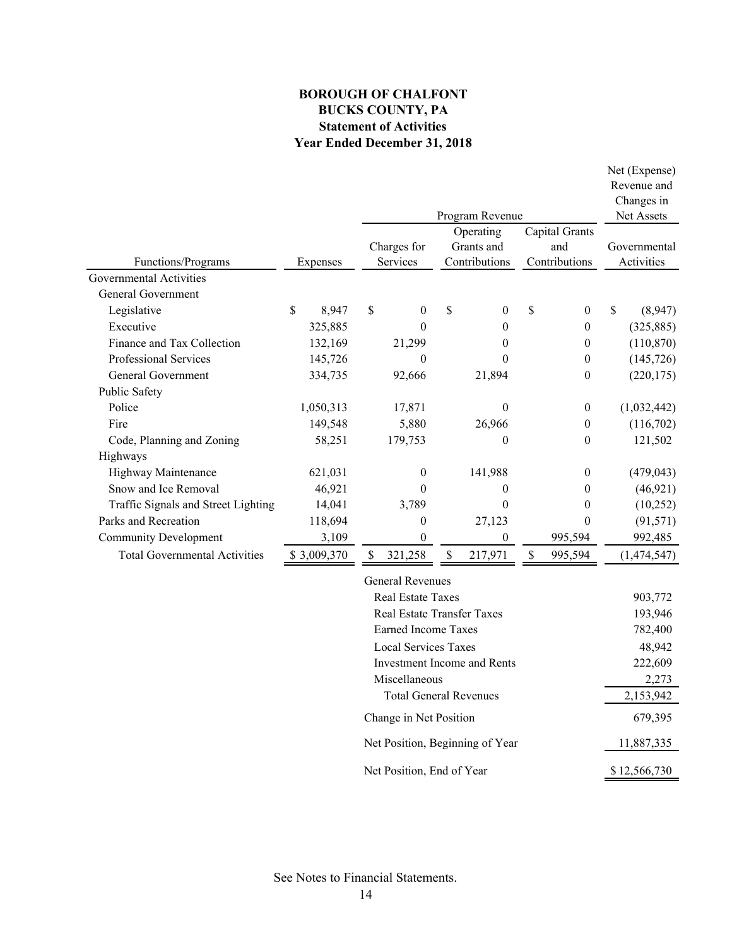# **BOROUGH OF CHALFONT BUCKS COUNTY, PA Statement of Activities Year Ended December 31, 2018**

|                                      |               |             |                         |    | Program Revenue                          |                                        | Net (Expense)<br>Revenue and<br>Changes in<br>Net Assets |
|--------------------------------------|---------------|-------------|-------------------------|----|------------------------------------------|----------------------------------------|----------------------------------------------------------|
| Functions/Programs                   |               | Expenses    | Charges for<br>Services |    | Operating<br>Grants and<br>Contributions | Capital Grants<br>and<br>Contributions | Governmental<br>Activities                               |
| <b>Governmental Activities</b>       |               |             |                         |    |                                          |                                        |                                                          |
| <b>General Government</b>            |               |             |                         |    |                                          |                                        |                                                          |
| Legislative                          | $\mathsf{\$}$ | 8,947       | \$<br>$\boldsymbol{0}$  | \$ | $\boldsymbol{0}$                         | \$<br>$\boldsymbol{0}$                 | \$<br>(8,947)                                            |
| Executive                            |               | 325,885     | $\theta$                |    | $\theta$                                 | $\boldsymbol{0}$                       | (325, 885)                                               |
| Finance and Tax Collection           |               | 132,169     | 21,299                  |    | $\theta$                                 | 0                                      | (110, 870)                                               |
| Professional Services                |               | 145,726     | $\theta$                |    | $\theta$                                 | $\mathbf{0}$                           | (145, 726)                                               |
| <b>General Government</b>            |               | 334,735     | 92,666                  |    | 21,894                                   | $\boldsymbol{0}$                       | (220, 175)                                               |
| Public Safety                        |               |             |                         |    |                                          |                                        |                                                          |
| Police                               |               | 1,050,313   | 17,871                  |    | $\theta$                                 | $\mathbf{0}$                           | (1,032,442)                                              |
| Fire                                 |               | 149,548     | 5,880                   |    | 26,966                                   | $\mathbf{0}$                           | (116,702)                                                |
| Code, Planning and Zoning            |               | 58,251      | 179,753                 |    | $\overline{0}$                           | $\boldsymbol{0}$                       | 121,502                                                  |
| Highways                             |               |             |                         |    |                                          |                                        |                                                          |
| Highway Maintenance                  |               | 621,031     | $\theta$                |    | 141,988                                  | $\mathbf{0}$                           | (479, 043)                                               |
| Snow and Ice Removal                 |               | 46,921      | $\theta$                |    | $\theta$                                 | $\theta$                               | (46, 921)                                                |
| Traffic Signals and Street Lighting  |               | 14,041      | 3,789                   |    | $\theta$                                 | $\theta$                               | (10, 252)                                                |
| Parks and Recreation                 |               | 118,694     | $\boldsymbol{0}$        |    | 27,123                                   | 0                                      | (91, 571)                                                |
| <b>Community Development</b>         |               | 3,109       | $\theta$                |    | $\theta$                                 | 995,594                                | 992,485                                                  |
| <b>Total Governmental Activities</b> |               | \$3,009,370 | \$<br>321,258           | S  | 217,971                                  | \$<br>995,594                          | (1,474,547)                                              |
|                                      |               |             |                         |    |                                          |                                        |                                                          |

| General Revenues                |              |
|---------------------------------|--------------|
| Real Estate Taxes               | 903,772      |
| Real Estate Transfer Taxes      | 193,946      |
| Earned Income Taxes             | 782,400      |
| Local Services Taxes            | 48,942       |
| Investment Income and Rents     | 222,609      |
| Miscellaneous                   | 2,273        |
| <b>Total General Revenues</b>   | 2,153,942    |
| Change in Net Position          | 679,395      |
| Net Position, Beginning of Year | 11,887,335   |
| Net Position, End of Year       | \$12,566,730 |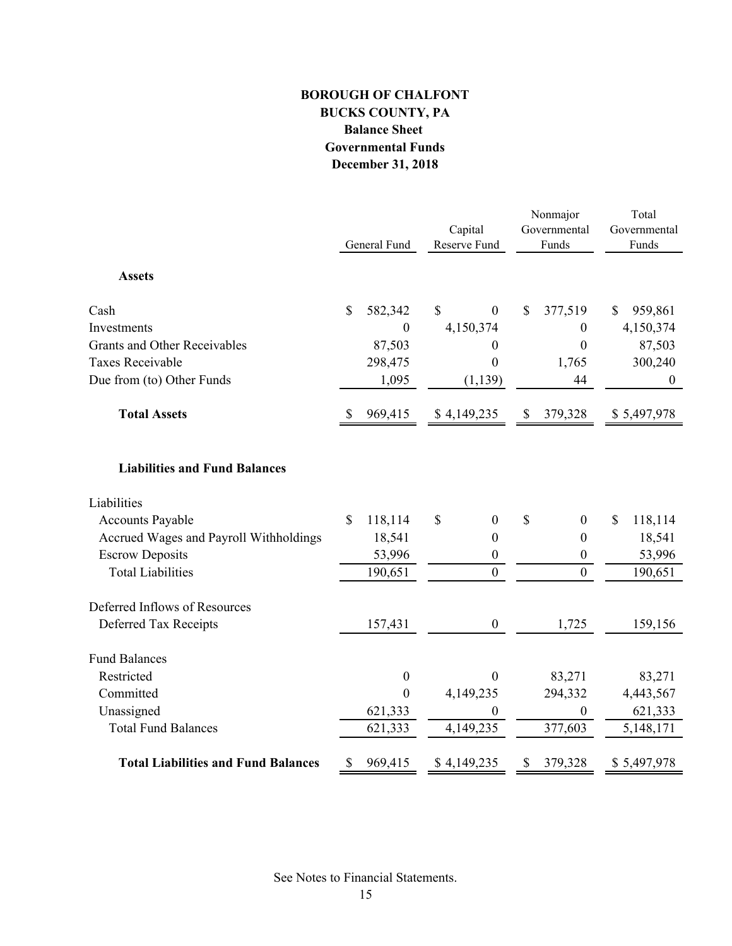# **BOROUGH OF CHALFONT BUCKS COUNTY, PA Balance Sheet Governmental Funds December 31, 2018**

|                                            |             | General Fund     | Capital<br>Reserve Fund |                  | Nonmajor<br>Governmental<br>Funds | Total<br>Governmental<br>Funds |              |  |
|--------------------------------------------|-------------|------------------|-------------------------|------------------|-----------------------------------|--------------------------------|--------------|--|
| <b>Assets</b>                              |             |                  |                         |                  |                                   |                                |              |  |
| Cash                                       | \$          | 582,342          | $\mathbb{S}$            | $\boldsymbol{0}$ | \$<br>377,519                     | \$                             | 959,861      |  |
| Investments                                |             | $\boldsymbol{0}$ |                         | 4,150,374        | $\boldsymbol{0}$                  |                                | 4,150,374    |  |
| <b>Grants and Other Receivables</b>        |             | 87,503           |                         | $\boldsymbol{0}$ | $\boldsymbol{0}$                  |                                | 87,503       |  |
| <b>Taxes Receivable</b>                    |             | 298,475          |                         | $\boldsymbol{0}$ | 1,765                             |                                | 300,240      |  |
| Due from (to) Other Funds                  |             | 1,095            |                         | (1, 139)         | 44                                |                                | $\mathbf{0}$ |  |
| <b>Total Assets</b>                        |             | 969,415          | \$4,149,235             |                  | \$379,328                         |                                | \$5,497,978  |  |
| <b>Liabilities and Fund Balances</b>       |             |                  |                         |                  |                                   |                                |              |  |
| Liabilities                                |             |                  |                         |                  |                                   |                                |              |  |
| <b>Accounts Payable</b>                    | $\mathbf S$ | 118,114          | \$                      | $\boldsymbol{0}$ | \$<br>$\boldsymbol{0}$            | \$                             | 118,114      |  |
| Accrued Wages and Payroll Withholdings     |             | 18,541           |                         | $\boldsymbol{0}$ | $\boldsymbol{0}$                  |                                | 18,541       |  |
| <b>Escrow Deposits</b>                     |             | 53,996           |                         | $\boldsymbol{0}$ | $\boldsymbol{0}$                  |                                | 53,996       |  |
| <b>Total Liabilities</b>                   |             | 190,651          |                         | $\overline{0}$   | $\overline{0}$                    |                                | 190,651      |  |
| Deferred Inflows of Resources              |             |                  |                         |                  |                                   |                                |              |  |
| Deferred Tax Receipts                      |             | 157,431          |                         | $\boldsymbol{0}$ | 1,725                             |                                | 159,156      |  |
| <b>Fund Balances</b>                       |             |                  |                         |                  |                                   |                                |              |  |
| Restricted                                 |             | $\boldsymbol{0}$ |                         | $\boldsymbol{0}$ | 83,271                            |                                | 83,271       |  |
| Committed                                  |             | $\boldsymbol{0}$ |                         | 4,149,235        | 294,332                           |                                | 4,443,567    |  |
| Unassigned                                 |             | 621,333          |                         | $\boldsymbol{0}$ | $\boldsymbol{0}$                  |                                | 621,333      |  |
| <b>Total Fund Balances</b>                 |             | 621,333          |                         | 4,149,235        | 377,603                           |                                | 5,148,171    |  |
| <b>Total Liabilities and Fund Balances</b> | \$          | 969,415          | \$4,149,235             |                  | \$<br>379,328                     |                                | \$5,497,978  |  |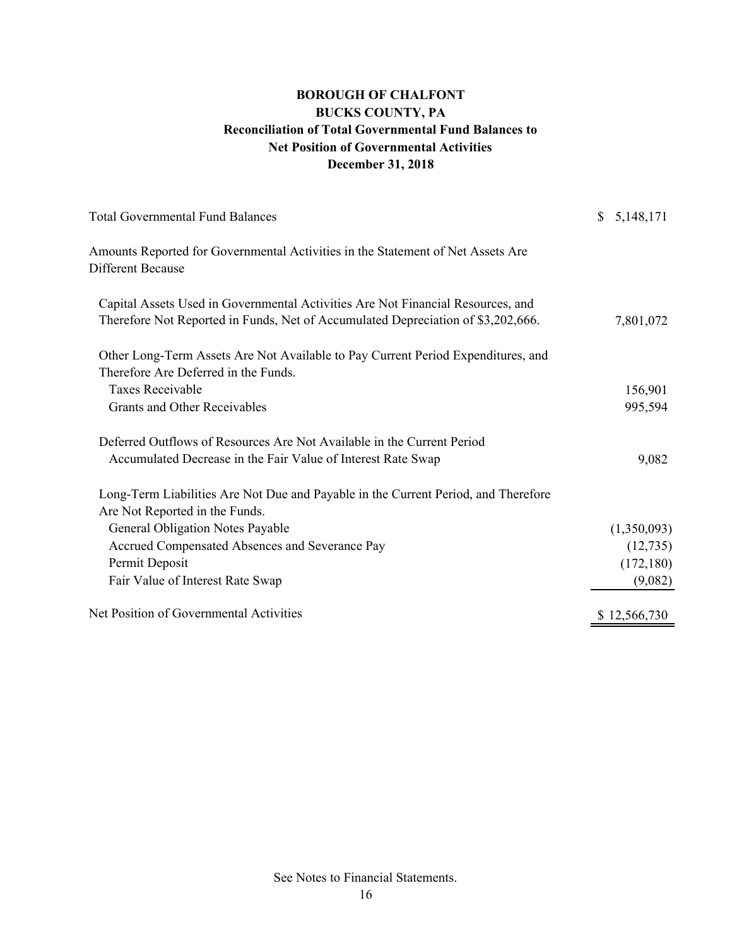# **Net Position of Governmental Activities BOROUGH OF CHALFONT BUCKS COUNTY, PA Reconciliation of Total Governmental Fund Balances to December 31, 2018**

| <b>Total Governmental Fund Balances</b>                                                                                                                             | \$. | 5, 148, 171  |
|---------------------------------------------------------------------------------------------------------------------------------------------------------------------|-----|--------------|
| Amounts Reported for Governmental Activities in the Statement of Net Assets Are<br><b>Different Because</b>                                                         |     |              |
| Capital Assets Used in Governmental Activities Are Not Financial Resources, and<br>Therefore Not Reported in Funds, Net of Accumulated Depreciation of \$3,202,666. |     | 7,801,072    |
| Other Long-Term Assets Are Not Available to Pay Current Period Expenditures, and<br>Therefore Are Deferred in the Funds.                                            |     |              |
| <b>Taxes Receivable</b>                                                                                                                                             |     | 156,901      |
| <b>Grants and Other Receivables</b>                                                                                                                                 |     | 995,594      |
| Deferred Outflows of Resources Are Not Available in the Current Period                                                                                              |     |              |
| Accumulated Decrease in the Fair Value of Interest Rate Swap                                                                                                        |     | 9,082        |
| Long-Term Liabilities Are Not Due and Payable in the Current Period, and Therefore<br>Are Not Reported in the Funds.                                                |     |              |
| <b>General Obligation Notes Payable</b>                                                                                                                             |     | (1,350,093)  |
| Accrued Compensated Absences and Severance Pay                                                                                                                      |     | (12, 735)    |
| Permit Deposit                                                                                                                                                      |     | (172, 180)   |
| Fair Value of Interest Rate Swap                                                                                                                                    |     | (9,082)      |
| Net Position of Governmental Activities                                                                                                                             |     | \$12,566,730 |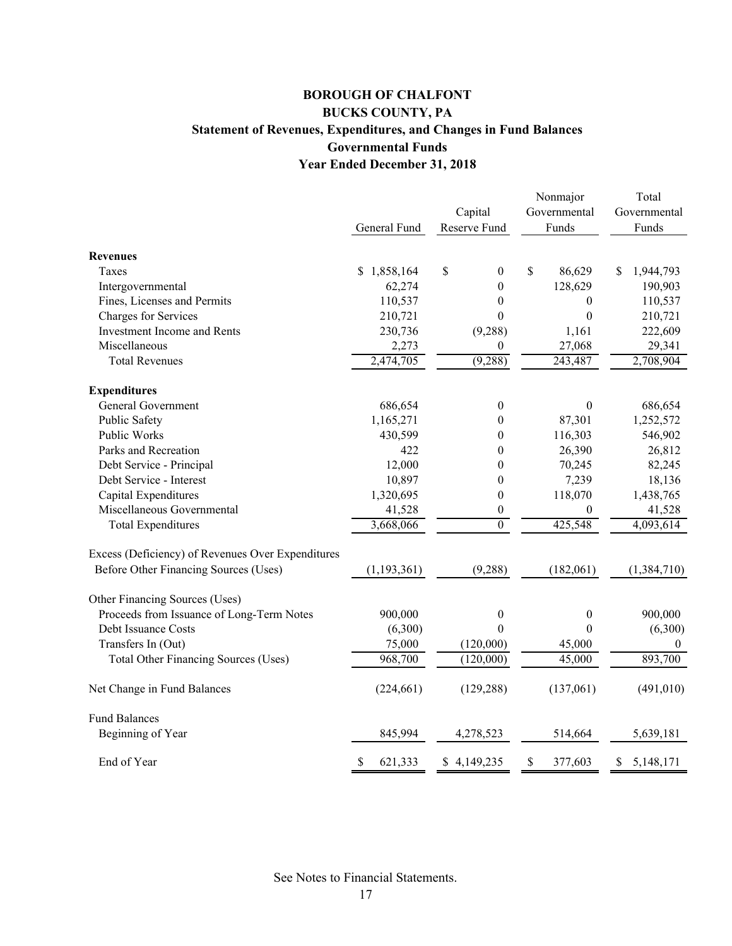# **BOROUGH OF CHALFONT BUCKS COUNTY, PA Statement of Revenues, Expenditures, and Changes in Fund Balances Governmental Funds Year Ended December 31, 2018**

|                                                   | General Fund  | Capital<br>Reserve Fund | Nonmajor<br>Governmental<br>Funds | Total<br>Governmental<br>Funds |  |
|---------------------------------------------------|---------------|-------------------------|-----------------------------------|--------------------------------|--|
| <b>Revenues</b>                                   |               |                         |                                   |                                |  |
| Taxes                                             | \$1,858,164   | \$<br>$\theta$          | \$<br>86,629                      | \$<br>1,944,793                |  |
| Intergovernmental                                 | 62,274        | $\boldsymbol{0}$        | 128,629                           | 190,903                        |  |
| Fines, Licenses and Permits                       | 110,537       | $\overline{0}$          | $\boldsymbol{0}$                  | 110,537                        |  |
| Charges for Services                              | 210,721       | $\boldsymbol{0}$        | $\boldsymbol{0}$                  | 210,721                        |  |
| <b>Investment Income and Rents</b>                | 230,736       | (9,288)                 | 1,161                             | 222,609                        |  |
| Miscellaneous                                     | 2,273         | $\boldsymbol{0}$        | 27,068                            | 29,341                         |  |
| <b>Total Revenues</b>                             | 2,474,705     | (9, 288)                | 243,487                           | 2,708,904                      |  |
| <b>Expenditures</b>                               |               |                         |                                   |                                |  |
| General Government                                | 686,654       | $\boldsymbol{0}$        | $\boldsymbol{0}$                  | 686,654                        |  |
| <b>Public Safety</b>                              | 1,165,271     | $\boldsymbol{0}$        | 87,301                            | 1,252,572                      |  |
| Public Works                                      | 430,599       | $\boldsymbol{0}$        | 116,303                           | 546,902                        |  |
| Parks and Recreation                              | 422           | $\overline{0}$          | 26,390                            | 26,812                         |  |
| Debt Service - Principal                          | 12,000        | $\boldsymbol{0}$        | 70,245                            | 82,245                         |  |
| Debt Service - Interest                           | 10,897        | $\boldsymbol{0}$        | 7,239                             | 18,136                         |  |
| Capital Expenditures                              | 1,320,695     | $\boldsymbol{0}$        | 118,070                           | 1,438,765                      |  |
| Miscellaneous Governmental                        | 41,528        | $\boldsymbol{0}$        | $\theta$                          | 41,528                         |  |
| <b>Total Expenditures</b>                         | 3,668,066     | $\mathbf{0}$            | 425,548                           | 4,093,614                      |  |
| Excess (Deficiency) of Revenues Over Expenditures |               |                         |                                   |                                |  |
| Before Other Financing Sources (Uses)             | (1, 193, 361) | (9, 288)                | (182,061)                         | (1,384,710)                    |  |
| Other Financing Sources (Uses)                    |               |                         |                                   |                                |  |
| Proceeds from Issuance of Long-Term Notes         | 900,000       | $\boldsymbol{0}$        | $\boldsymbol{0}$                  | 900,000                        |  |
| Debt Issuance Costs                               | (6,300)       | $\theta$                | $\theta$                          | (6,300)                        |  |
| Transfers In (Out)                                | 75,000        | (120,000)               | 45,000                            | $\overline{0}$                 |  |
| Total Other Financing Sources (Uses)              | 968,700       | (120,000)               | 45,000                            | 893,700                        |  |
| Net Change in Fund Balances                       | (224, 661)    | (129, 288)              | (137,061)                         | (491, 010)                     |  |
| <b>Fund Balances</b>                              |               |                         |                                   |                                |  |
| Beginning of Year                                 | 845,994       | 4,278,523               | 514,664                           | 5,639,181                      |  |
| End of Year                                       | \$<br>621,333 | \$4,149,235             | \$<br>377,603                     | 5,148,171<br>\$                |  |

See Notes to Financial Statements.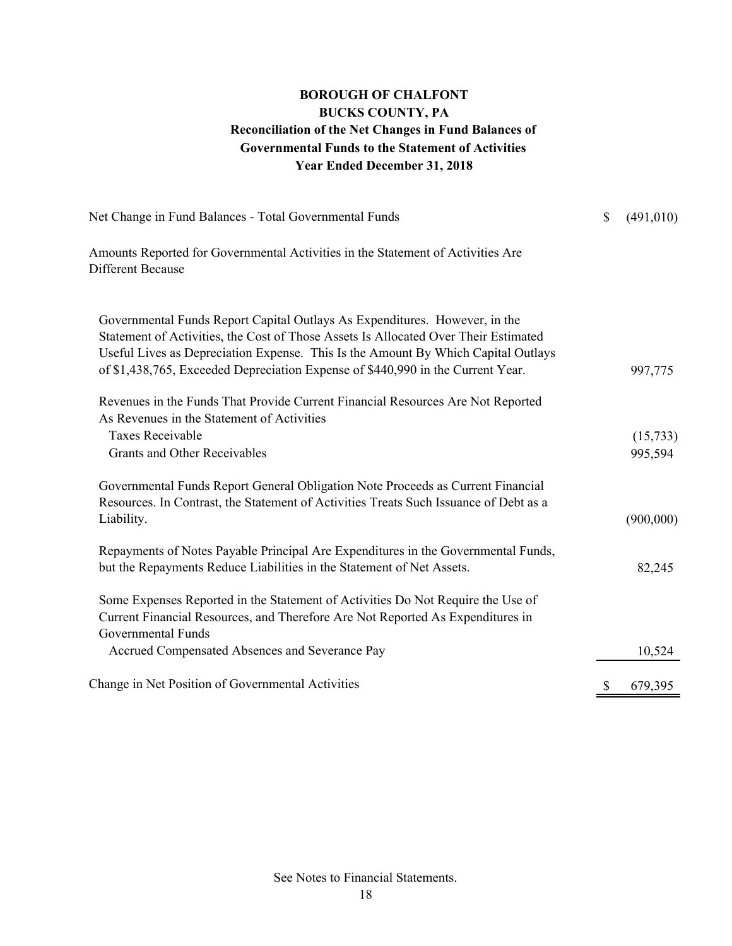# **BUCKS COUNTY, PA Reconciliation of the Net Changes in Fund Balances of Governmental Funds to the Statement of Activities BOROUGH OF CHALFONT Year Ended December 31, 2018**

| Net Change in Fund Balances - Total Governmental Funds                                                                                                                                                                                                                                                                                    | \$ | (491, 010)          |
|-------------------------------------------------------------------------------------------------------------------------------------------------------------------------------------------------------------------------------------------------------------------------------------------------------------------------------------------|----|---------------------|
| Amounts Reported for Governmental Activities in the Statement of Activities Are<br>Different Because                                                                                                                                                                                                                                      |    |                     |
| Governmental Funds Report Capital Outlays As Expenditures. However, in the<br>Statement of Activities, the Cost of Those Assets Is Allocated Over Their Estimated<br>Useful Lives as Depreciation Expense. This Is the Amount By Which Capital Outlays<br>of \$1,438,765, Exceeded Depreciation Expense of \$440,990 in the Current Year. |    | 997,775             |
| Revenues in the Funds That Provide Current Financial Resources Are Not Reported<br>As Revenues in the Statement of Activities<br><b>Taxes Receivable</b><br><b>Grants and Other Receivables</b>                                                                                                                                           |    | (15,733)<br>995,594 |
| Governmental Funds Report General Obligation Note Proceeds as Current Financial<br>Resources. In Contrast, the Statement of Activities Treats Such Issuance of Debt as a<br>Liability.                                                                                                                                                    |    | (900,000)           |
| Repayments of Notes Payable Principal Are Expenditures in the Governmental Funds,<br>but the Repayments Reduce Liabilities in the Statement of Net Assets.                                                                                                                                                                                |    | 82,245              |
| Some Expenses Reported in the Statement of Activities Do Not Require the Use of<br>Current Financial Resources, and Therefore Are Not Reported As Expenditures in<br>Governmental Funds                                                                                                                                                   |    |                     |
| Accrued Compensated Absences and Severance Pay                                                                                                                                                                                                                                                                                            |    | 10,524              |
| Change in Net Position of Governmental Activities                                                                                                                                                                                                                                                                                         | S  | 679,395             |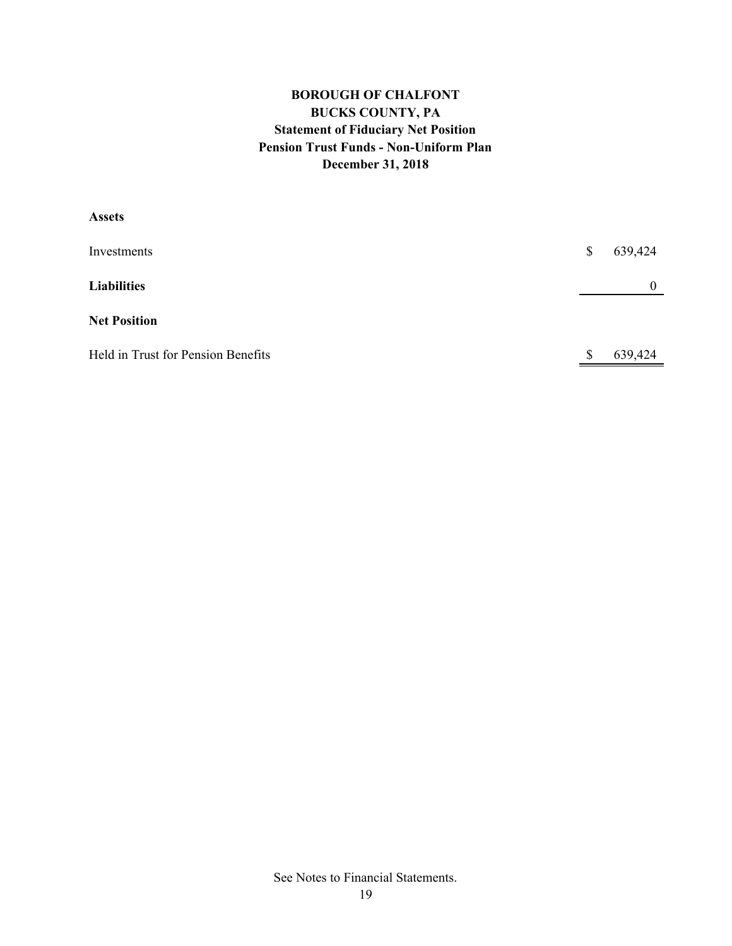# **BOROUGH OF CHALFONT BUCKS COUNTY, PA Statement of Fiduciary Net Position Pension Trust Funds - Non-Uniform Plan December 31, 2018**

| <b>Assets</b>                      |               |
|------------------------------------|---------------|
| Investments                        | \$<br>639,424 |
| <b>Liabilities</b>                 | $\theta$      |
| <b>Net Position</b>                |               |
| Held in Trust for Pension Benefits | 639,424       |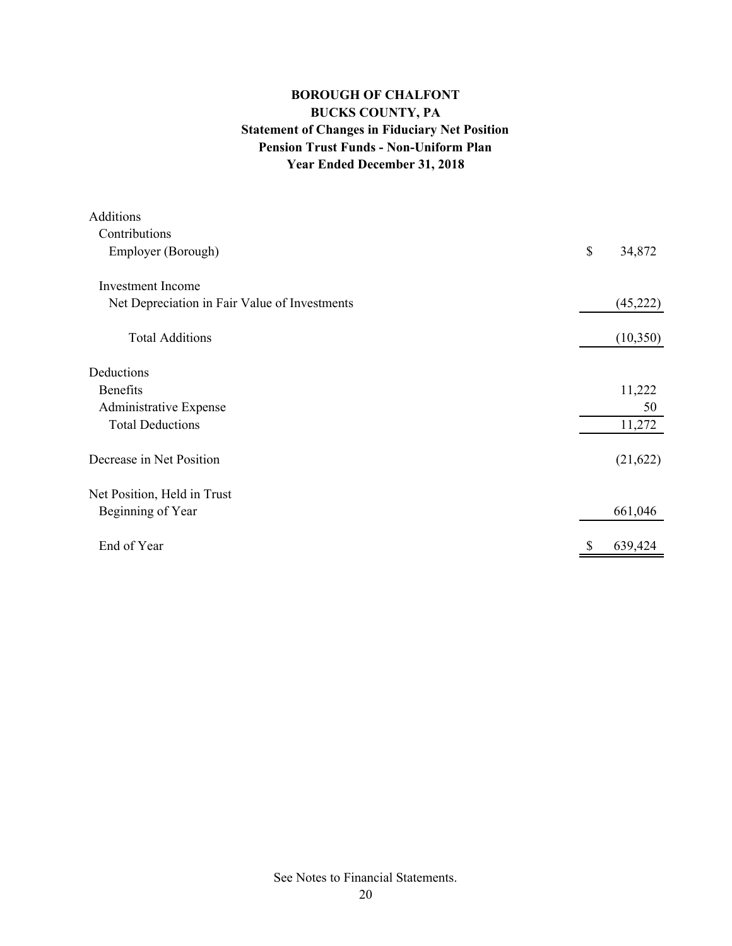# **BOROUGH OF CHALFONT BUCKS COUNTY, PA Statement of Changes in Fiduciary Net Position Pension Trust Funds - Non-Uniform Plan Year Ended December 31, 2018**

| Additions                                     |    |           |
|-----------------------------------------------|----|-----------|
| Contributions                                 |    |           |
| Employer (Borough)                            | \$ | 34,872    |
| <b>Investment</b> Income                      |    |           |
| Net Depreciation in Fair Value of Investments |    | (45, 222) |
| <b>Total Additions</b>                        |    | (10,350)  |
| Deductions                                    |    |           |
| <b>Benefits</b>                               |    | 11,222    |
| Administrative Expense                        |    | 50        |
| <b>Total Deductions</b>                       |    | 11,272    |
| Decrease in Net Position                      |    | (21,622)  |
| Net Position, Held in Trust                   |    |           |
| Beginning of Year                             |    | 661,046   |
| End of Year                                   | S  | 639,424   |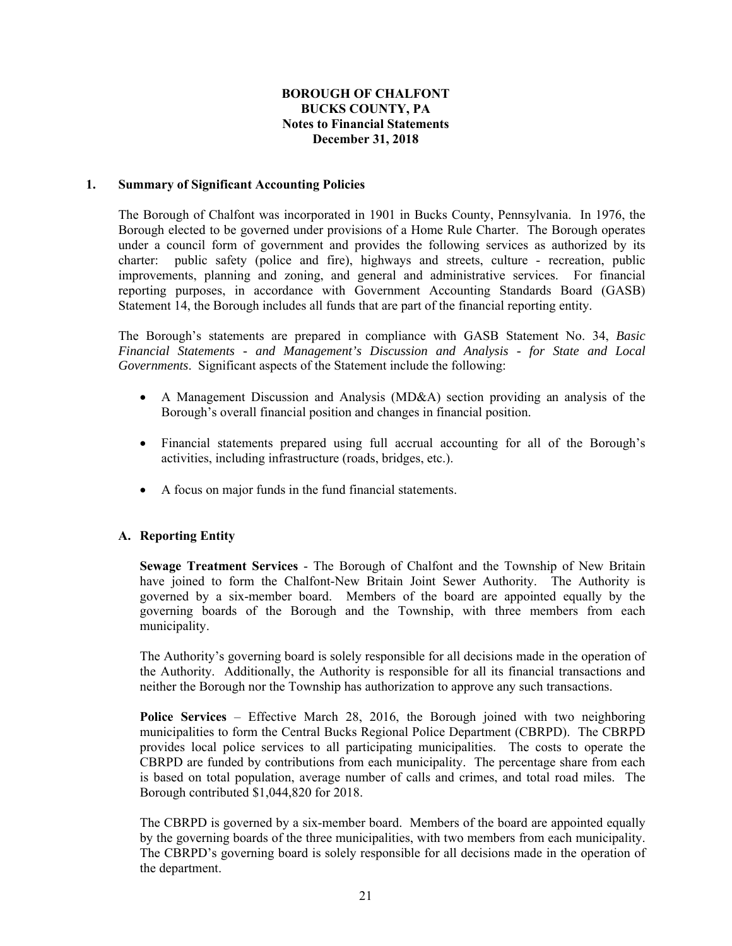### **1. Summary of Significant Accounting Policies**

 The Borough of Chalfont was incorporated in 1901 in Bucks County, Pennsylvania. In 1976, the Borough elected to be governed under provisions of a Home Rule Charter. The Borough operates under a council form of government and provides the following services as authorized by its charter: public safety (police and fire), highways and streets, culture - recreation, public improvements, planning and zoning, and general and administrative services. For financial reporting purposes, in accordance with Government Accounting Standards Board (GASB) Statement 14, the Borough includes all funds that are part of the financial reporting entity.

The Borough's statements are prepared in compliance with GASB Statement No. 34, *Basic Financial Statements - and Management's Discussion and Analysis - for State and Local Governments*. Significant aspects of the Statement include the following:

- A Management Discussion and Analysis (MD&A) section providing an analysis of the Borough's overall financial position and changes in financial position.
- Financial statements prepared using full accrual accounting for all of the Borough's activities, including infrastructure (roads, bridges, etc.).
- A focus on major funds in the fund financial statements.

## **A. Reporting Entity**

 **Sewage Treatment Services** - The Borough of Chalfont and the Township of New Britain have joined to form the Chalfont-New Britain Joint Sewer Authority. The Authority is governed by a six-member board. Members of the board are appointed equally by the governing boards of the Borough and the Township, with three members from each municipality.

 The Authority's governing board is solely responsible for all decisions made in the operation of the Authority. Additionally, the Authority is responsible for all its financial transactions and neither the Borough nor the Township has authorization to approve any such transactions.

**Police Services** – Effective March 28, 2016, the Borough joined with two neighboring municipalities to form the Central Bucks Regional Police Department (CBRPD). The CBRPD provides local police services to all participating municipalities. The costs to operate the CBRPD are funded by contributions from each municipality. The percentage share from each is based on total population, average number of calls and crimes, and total road miles. The Borough contributed \$1,044,820 for 2018.

 The CBRPD is governed by a six-member board. Members of the board are appointed equally by the governing boards of the three municipalities, with two members from each municipality. The CBRPD's governing board is solely responsible for all decisions made in the operation of the department.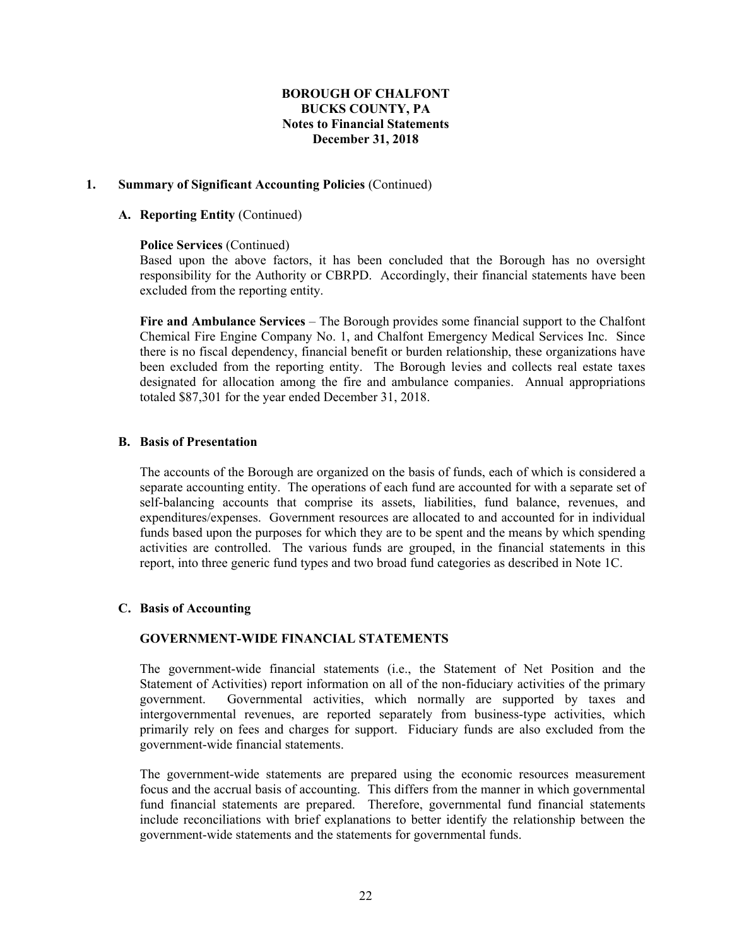## **1. Summary of Significant Accounting Policies** (Continued)

#### **A. Reporting Entity** (Continued)

#### **Police Services** (Continued)

 Based upon the above factors, it has been concluded that the Borough has no oversight responsibility for the Authority or CBRPD. Accordingly, their financial statements have been excluded from the reporting entity.

 **Fire and Ambulance Services** – The Borough provides some financial support to the Chalfont Chemical Fire Engine Company No. 1, and Chalfont Emergency Medical Services Inc. Since there is no fiscal dependency, financial benefit or burden relationship, these organizations have been excluded from the reporting entity. The Borough levies and collects real estate taxes designated for allocation among the fire and ambulance companies. Annual appropriations totaled \$87,301 for the year ended December 31, 2018.

#### **B. Basis of Presentation**

 The accounts of the Borough are organized on the basis of funds, each of which is considered a separate accounting entity. The operations of each fund are accounted for with a separate set of self-balancing accounts that comprise its assets, liabilities, fund balance, revenues, and expenditures/expenses. Government resources are allocated to and accounted for in individual funds based upon the purposes for which they are to be spent and the means by which spending activities are controlled. The various funds are grouped, in the financial statements in this report, into three generic fund types and two broad fund categories as described in Note 1C.

## **C. Basis of Accounting**

#### **GOVERNMENT-WIDE FINANCIAL STATEMENTS**

The government-wide financial statements (i.e., the Statement of Net Position and the Statement of Activities) report information on all of the non-fiduciary activities of the primary government. Governmental activities, which normally are supported by taxes and intergovernmental revenues, are reported separately from business-type activities, which primarily rely on fees and charges for support. Fiduciary funds are also excluded from the government-wide financial statements.

The government-wide statements are prepared using the economic resources measurement focus and the accrual basis of accounting. This differs from the manner in which governmental fund financial statements are prepared. Therefore, governmental fund financial statements include reconciliations with brief explanations to better identify the relationship between the government-wide statements and the statements for governmental funds.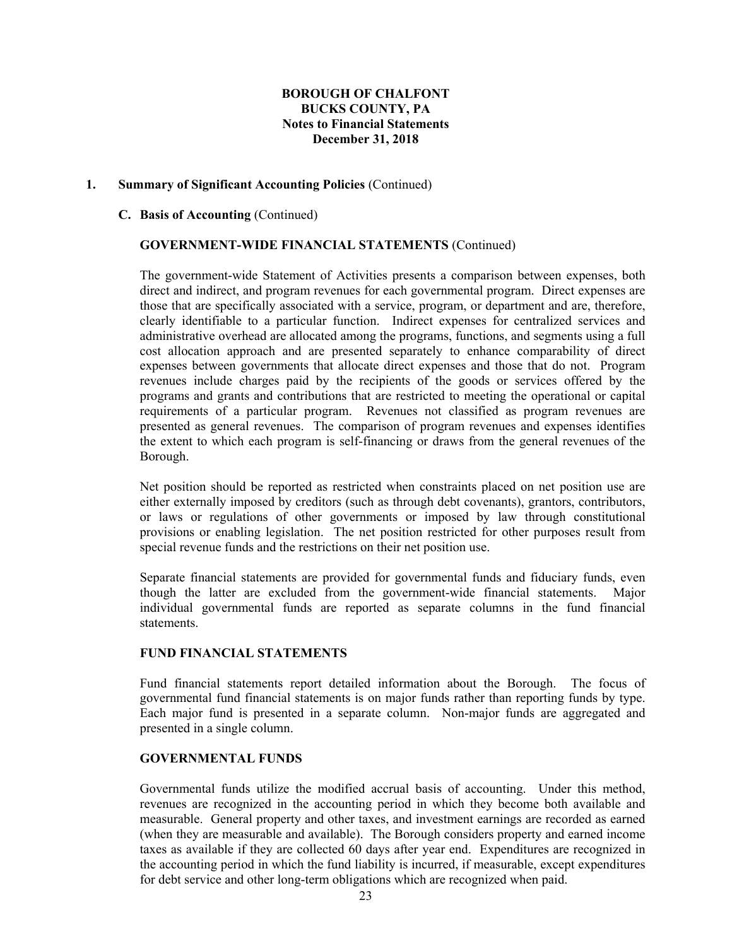### **1. Summary of Significant Accounting Policies** (Continued)

#### **C. Basis of Accounting** (Continued)

#### **GOVERNMENT-WIDE FINANCIAL STATEMENTS** (Continued)

The government-wide Statement of Activities presents a comparison between expenses, both direct and indirect, and program revenues for each governmental program. Direct expenses are those that are specifically associated with a service, program, or department and are, therefore, clearly identifiable to a particular function. Indirect expenses for centralized services and administrative overhead are allocated among the programs, functions, and segments using a full cost allocation approach and are presented separately to enhance comparability of direct expenses between governments that allocate direct expenses and those that do not. Program revenues include charges paid by the recipients of the goods or services offered by the programs and grants and contributions that are restricted to meeting the operational or capital requirements of a particular program. Revenues not classified as program revenues are presented as general revenues. The comparison of program revenues and expenses identifies the extent to which each program is self-financing or draws from the general revenues of the Borough.

Net position should be reported as restricted when constraints placed on net position use are either externally imposed by creditors (such as through debt covenants), grantors, contributors, or laws or regulations of other governments or imposed by law through constitutional provisions or enabling legislation. The net position restricted for other purposes result from special revenue funds and the restrictions on their net position use.

Separate financial statements are provided for governmental funds and fiduciary funds, even though the latter are excluded from the government-wide financial statements. Major individual governmental funds are reported as separate columns in the fund financial statements.

#### **FUND FINANCIAL STATEMENTS**

Fund financial statements report detailed information about the Borough. The focus of governmental fund financial statements is on major funds rather than reporting funds by type. Each major fund is presented in a separate column. Non-major funds are aggregated and presented in a single column.

## **GOVERNMENTAL FUNDS**

Governmental funds utilize the modified accrual basis of accounting. Under this method, revenues are recognized in the accounting period in which they become both available and measurable. General property and other taxes, and investment earnings are recorded as earned (when they are measurable and available). The Borough considers property and earned income taxes as available if they are collected 60 days after year end. Expenditures are recognized in the accounting period in which the fund liability is incurred, if measurable, except expenditures for debt service and other long-term obligations which are recognized when paid.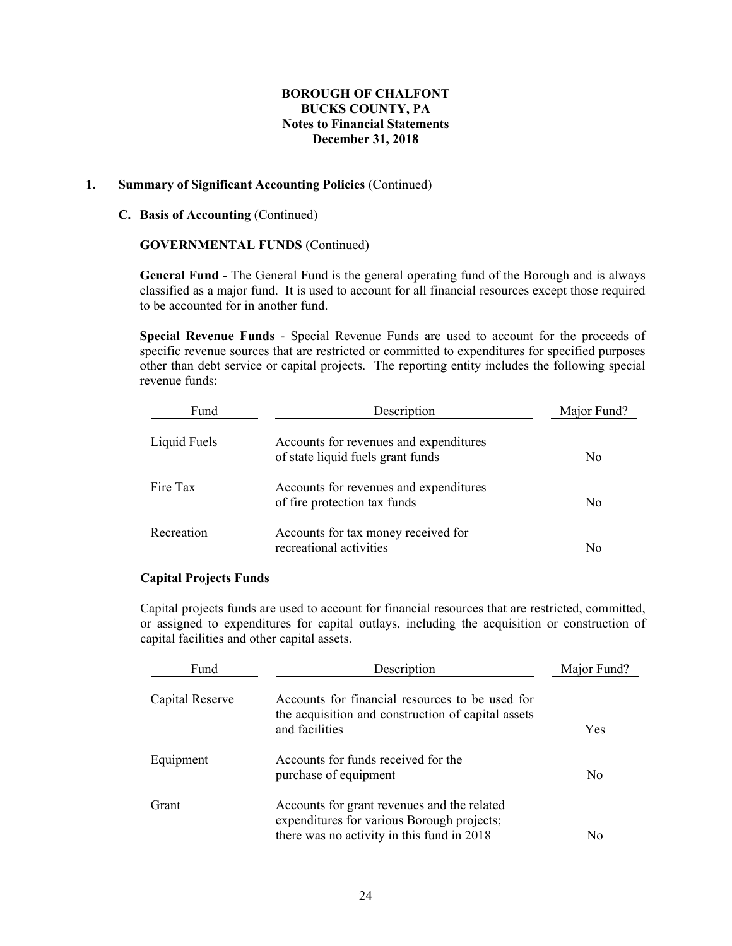## **1. Summary of Significant Accounting Policies** (Continued)

## **C. Basis of Accounting** (Continued)

## **GOVERNMENTAL FUNDS** (Continued)

**General Fund** - The General Fund is the general operating fund of the Borough and is always classified as a major fund. It is used to account for all financial resources except those required to be accounted for in another fund.

**Special Revenue Funds** - Special Revenue Funds are used to account for the proceeds of specific revenue sources that are restricted or committed to expenditures for specified purposes other than debt service or capital projects. The reporting entity includes the following special revenue funds:

| Fund         | Description                                                                 | Major Fund?    |
|--------------|-----------------------------------------------------------------------------|----------------|
| Liquid Fuels | Accounts for revenues and expenditures<br>of state liquid fuels grant funds | No             |
| Fire Tax     | Accounts for revenues and expenditures<br>of fire protection tax funds      | N <sub>0</sub> |
| Recreation   | Accounts for tax money received for<br>recreational activities              | N0             |

## **Capital Projects Funds**

Capital projects funds are used to account for financial resources that are restricted, committed, or assigned to expenditures for capital outlays, including the acquisition or construction of capital facilities and other capital assets.

| Fund            | Description                                                                                                                             | Major Fund?    |
|-----------------|-----------------------------------------------------------------------------------------------------------------------------------------|----------------|
| Capital Reserve | Accounts for financial resources to be used for<br>the acquisition and construction of capital assets<br>and facilities                 | Yes            |
| Equipment       | Accounts for funds received for the<br>purchase of equipment                                                                            | N <sub>0</sub> |
| Grant           | Accounts for grant revenues and the related<br>expenditures for various Borough projects;<br>there was no activity in this fund in 2018 | N <sub>0</sub> |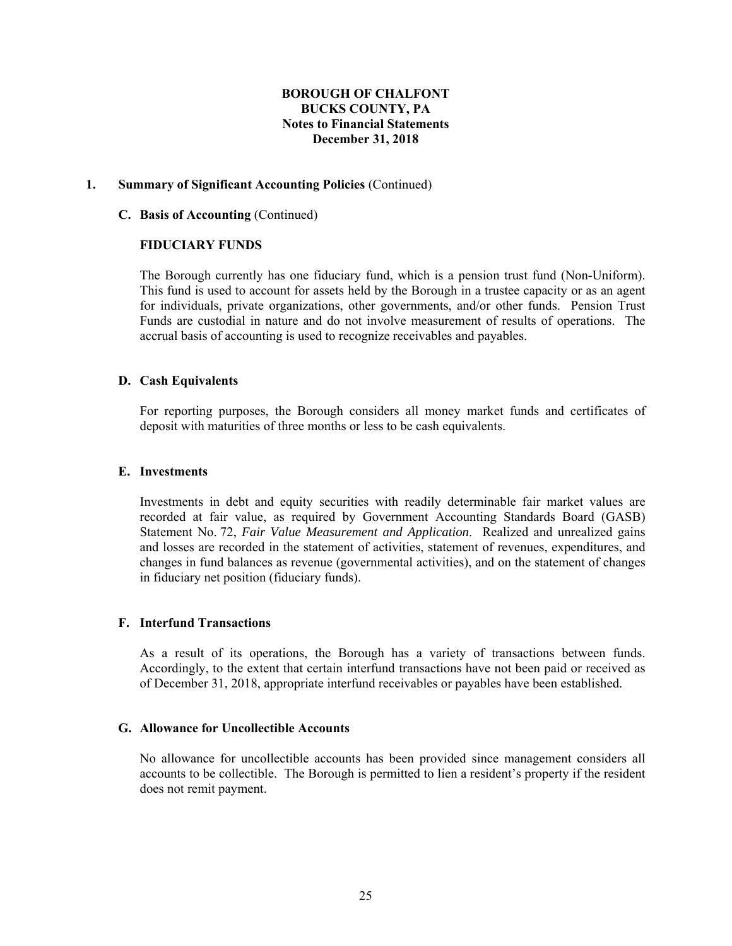### **1. Summary of Significant Accounting Policies** (Continued)

#### **C. Basis of Accounting** (Continued)

#### **FIDUCIARY FUNDS**

 The Borough currently has one fiduciary fund, which is a pension trust fund (Non-Uniform). This fund is used to account for assets held by the Borough in a trustee capacity or as an agent for individuals, private organizations, other governments, and/or other funds. Pension Trust Funds are custodial in nature and do not involve measurement of results of operations. The accrual basis of accounting is used to recognize receivables and payables.

## **D. Cash Equivalents**

For reporting purposes, the Borough considers all money market funds and certificates of deposit with maturities of three months or less to be cash equivalents.

#### **E. Investments**

Investments in debt and equity securities with readily determinable fair market values are recorded at fair value, as required by Government Accounting Standards Board (GASB) Statement No. 72, *Fair Value Measurement and Application*. Realized and unrealized gains and losses are recorded in the statement of activities, statement of revenues, expenditures, and changes in fund balances as revenue (governmental activities), and on the statement of changes in fiduciary net position (fiduciary funds).

#### **F. Interfund Transactions**

 As a result of its operations, the Borough has a variety of transactions between funds. Accordingly, to the extent that certain interfund transactions have not been paid or received as of December 31, 2018, appropriate interfund receivables or payables have been established.

#### **G. Allowance for Uncollectible Accounts**

No allowance for uncollectible accounts has been provided since management considers all accounts to be collectible. The Borough is permitted to lien a resident's property if the resident does not remit payment.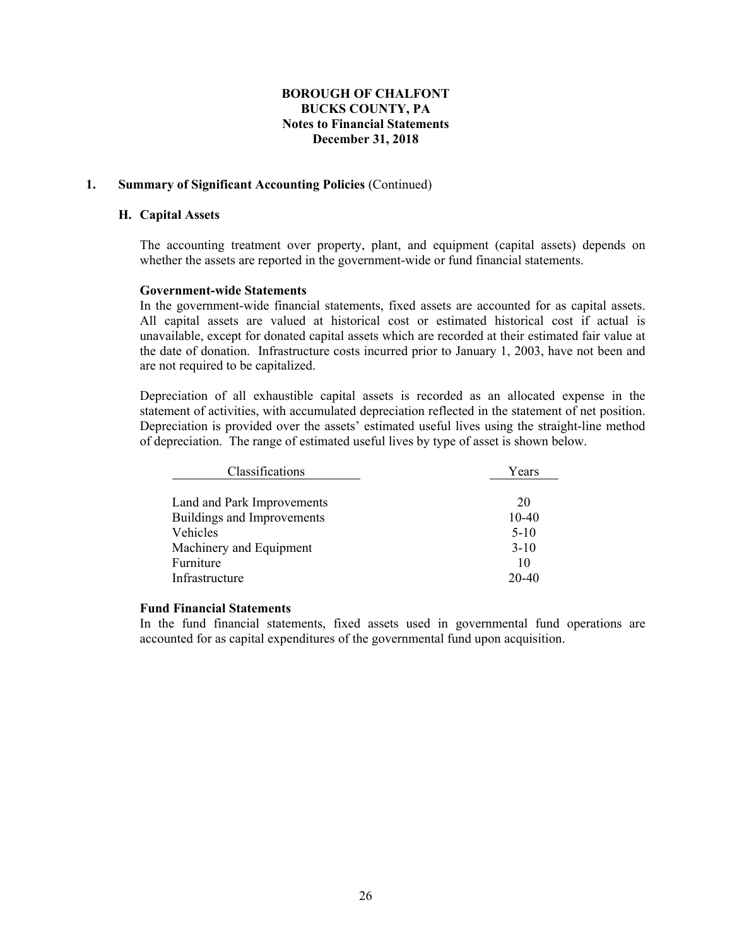### **1. Summary of Significant Accounting Policies** (Continued)

#### **H. Capital Assets**

 The accounting treatment over property, plant, and equipment (capital assets) depends on whether the assets are reported in the government-wide or fund financial statements.

#### **Government-wide Statements**

 In the government-wide financial statements, fixed assets are accounted for as capital assets. All capital assets are valued at historical cost or estimated historical cost if actual is unavailable, except for donated capital assets which are recorded at their estimated fair value at the date of donation. Infrastructure costs incurred prior to January 1, 2003, have not been and are not required to be capitalized.

 Depreciation of all exhaustible capital assets is recorded as an allocated expense in the statement of activities, with accumulated depreciation reflected in the statement of net position. Depreciation is provided over the assets' estimated useful lives using the straight-line method of depreciation. The range of estimated useful lives by type of asset is shown below.

| Classifications            | Years     |
|----------------------------|-----------|
| Land and Park Improvements | 20        |
| Buildings and Improvements | $10-40$   |
| Vehicles                   | $5-10$    |
| Machinery and Equipment    | $3 - 10$  |
| Furniture                  | 10        |
| Infrastructure             | $20 - 40$ |

#### **Fund Financial Statements**

 In the fund financial statements, fixed assets used in governmental fund operations are accounted for as capital expenditures of the governmental fund upon acquisition.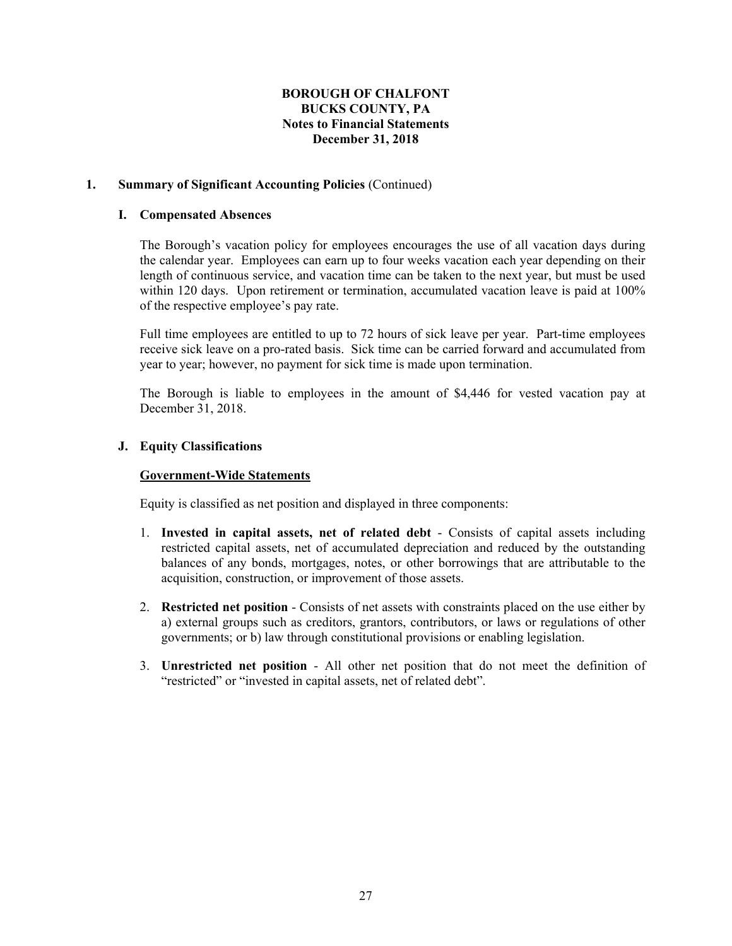## **1. Summary of Significant Accounting Policies** (Continued)

## **I. Compensated Absences**

The Borough's vacation policy for employees encourages the use of all vacation days during the calendar year. Employees can earn up to four weeks vacation each year depending on their length of continuous service, and vacation time can be taken to the next year, but must be used within 120 days. Upon retirement or termination, accumulated vacation leave is paid at 100% of the respective employee's pay rate.

Full time employees are entitled to up to 72 hours of sick leave per year. Part-time employees receive sick leave on a pro-rated basis. Sick time can be carried forward and accumulated from year to year; however, no payment for sick time is made upon termination.

The Borough is liable to employees in the amount of \$4,446 for vested vacation pay at December 31, 2018.

## **J. Equity Classifications**

## **Government-Wide Statements**

Equity is classified as net position and displayed in three components:

- 1. **Invested in capital assets, net of related debt** Consists of capital assets including restricted capital assets, net of accumulated depreciation and reduced by the outstanding balances of any bonds, mortgages, notes, or other borrowings that are attributable to the acquisition, construction, or improvement of those assets.
- 2. **Restricted net position** Consists of net assets with constraints placed on the use either by a) external groups such as creditors, grantors, contributors, or laws or regulations of other governments; or b) law through constitutional provisions or enabling legislation.
- 3. **Unrestricted net position** All other net position that do not meet the definition of "restricted" or "invested in capital assets, net of related debt".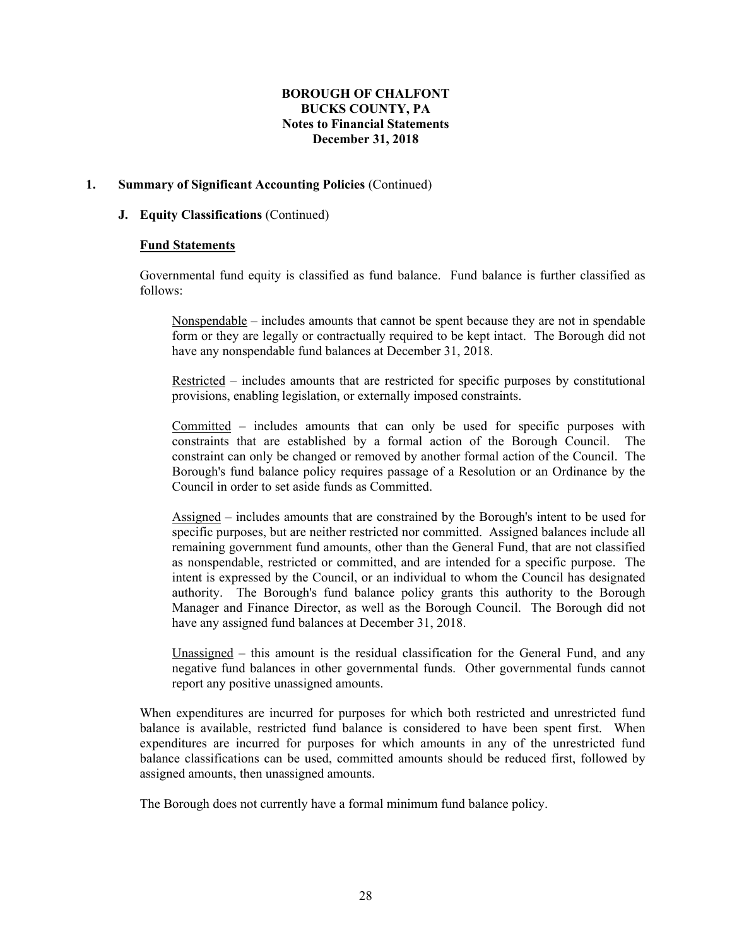## **1. Summary of Significant Accounting Policies** (Continued)

## **J. Equity Classifications** (Continued)

## **Fund Statements**

Governmental fund equity is classified as fund balance. Fund balance is further classified as follows:

Nonspendable – includes amounts that cannot be spent because they are not in spendable form or they are legally or contractually required to be kept intact. The Borough did not have any nonspendable fund balances at December 31, 2018.

Restricted – includes amounts that are restricted for specific purposes by constitutional provisions, enabling legislation, or externally imposed constraints.

Committed – includes amounts that can only be used for specific purposes with constraints that are established by a formal action of the Borough Council. The constraint can only be changed or removed by another formal action of the Council. The Borough's fund balance policy requires passage of a Resolution or an Ordinance by the Council in order to set aside funds as Committed.

Assigned – includes amounts that are constrained by the Borough's intent to be used for specific purposes, but are neither restricted nor committed. Assigned balances include all remaining government fund amounts, other than the General Fund, that are not classified as nonspendable, restricted or committed, and are intended for a specific purpose. The intent is expressed by the Council, or an individual to whom the Council has designated authority. The Borough's fund balance policy grants this authority to the Borough Manager and Finance Director, as well as the Borough Council. The Borough did not have any assigned fund balances at December 31, 2018.

Unassigned – this amount is the residual classification for the General Fund, and any negative fund balances in other governmental funds. Other governmental funds cannot report any positive unassigned amounts.

When expenditures are incurred for purposes for which both restricted and unrestricted fund balance is available, restricted fund balance is considered to have been spent first. When expenditures are incurred for purposes for which amounts in any of the unrestricted fund balance classifications can be used, committed amounts should be reduced first, followed by assigned amounts, then unassigned amounts.

The Borough does not currently have a formal minimum fund balance policy.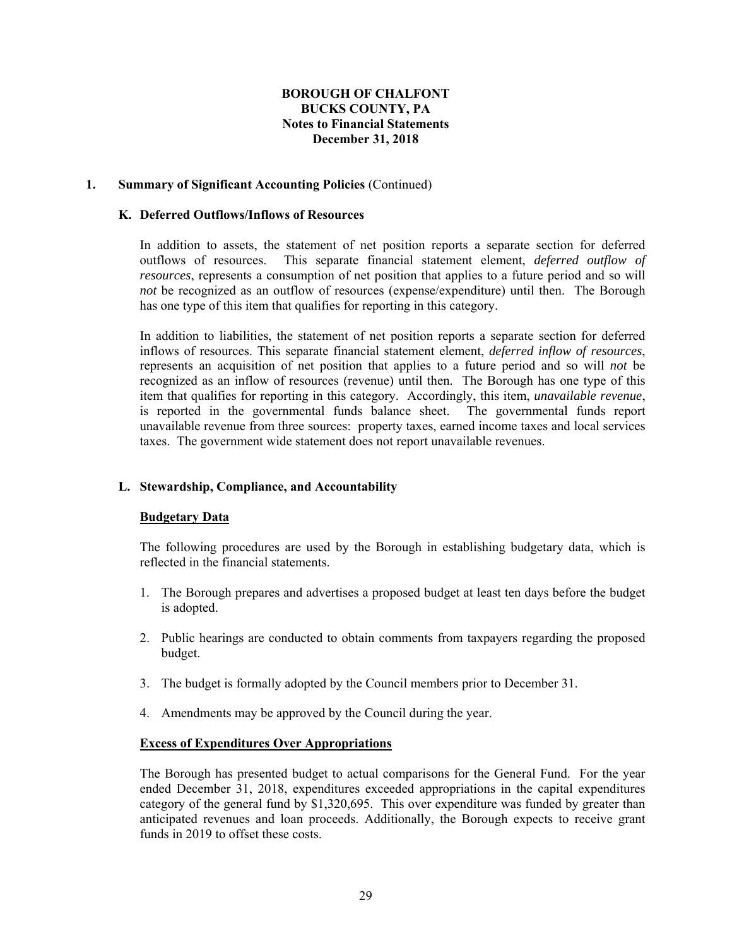## **1. Summary of Significant Accounting Policies** (Continued)

#### **K. Deferred Outflows/Inflows of Resources**

 In addition to assets, the statement of net position reports a separate section for deferred outflows of resources. This separate financial statement element, *deferred outflow of resources*, represents a consumption of net position that applies to a future period and so will *not* be recognized as an outflow of resources (expense/expenditure) until then. The Borough has one type of this item that qualifies for reporting in this category.

 In addition to liabilities, the statement of net position reports a separate section for deferred inflows of resources. This separate financial statement element, *deferred inflow of resources*, represents an acquisition of net position that applies to a future period and so will *not* be recognized as an inflow of resources (revenue) until then. The Borough has one type of this item that qualifies for reporting in this category. Accordingly, this item, *unavailable revenue*, is reported in the governmental funds balance sheet. The governmental funds report unavailable revenue from three sources: property taxes, earned income taxes and local services taxes. The government wide statement does not report unavailable revenues.

## **L. Stewardship, Compliance, and Accountability**

## **Budgetary Data**

The following procedures are used by the Borough in establishing budgetary data, which is reflected in the financial statements.

- 1. The Borough prepares and advertises a proposed budget at least ten days before the budget is adopted.
- 2. Public hearings are conducted to obtain comments from taxpayers regarding the proposed budget.
- 3. The budget is formally adopted by the Council members prior to December 31.
- 4. Amendments may be approved by the Council during the year.

## **Excess of Expenditures Over Appropriations**

 The Borough has presented budget to actual comparisons for the General Fund. For the year ended December 31, 2018, expenditures exceeded appropriations in the capital expenditures category of the general fund by \$1,320,695. This over expenditure was funded by greater than anticipated revenues and loan proceeds. Additionally, the Borough expects to receive grant funds in 2019 to offset these costs.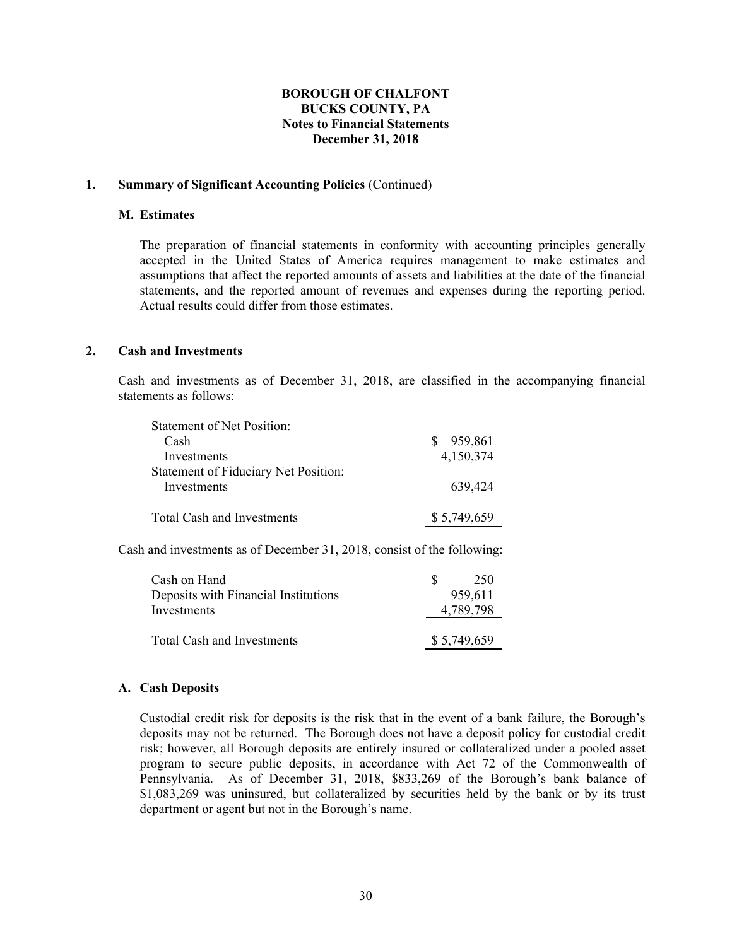#### **1. Summary of Significant Accounting Policies** (Continued)

#### **M. Estimates**

 The preparation of financial statements in conformity with accounting principles generally accepted in the United States of America requires management to make estimates and assumptions that affect the reported amounts of assets and liabilities at the date of the financial statements, and the reported amount of revenues and expenses during the reporting period. Actual results could differ from those estimates.

#### **2. Cash and Investments**

Cash and investments as of December 31, 2018, are classified in the accompanying financial statements as follows:

| <b>Statement of Net Position:</b>           |               |
|---------------------------------------------|---------------|
| Cash                                        | 959,861<br>S. |
| Investments                                 | 4,150,374     |
| <b>Statement of Fiduciary Net Position:</b> |               |
| Investments                                 | 639,424       |
|                                             |               |
| <b>Total Cash and Investments</b>           | \$5,749,659   |

Cash and investments as of December 31, 2018, consist of the following:

| Cash on Hand<br>Deposits with Financial Institutions<br>Investments | -8 | 250<br>959.611<br>4,789,798 |
|---------------------------------------------------------------------|----|-----------------------------|
| <b>Total Cash and Investments</b>                                   |    | \$5,749,659                 |

## **A. Cash Deposits**

Custodial credit risk for deposits is the risk that in the event of a bank failure, the Borough's deposits may not be returned. The Borough does not have a deposit policy for custodial credit risk; however, all Borough deposits are entirely insured or collateralized under a pooled asset program to secure public deposits, in accordance with Act 72 of the Commonwealth of Pennsylvania. As of December 31, 2018, \$833,269 of the Borough's bank balance of \$1,083,269 was uninsured, but collateralized by securities held by the bank or by its trust department or agent but not in the Borough's name.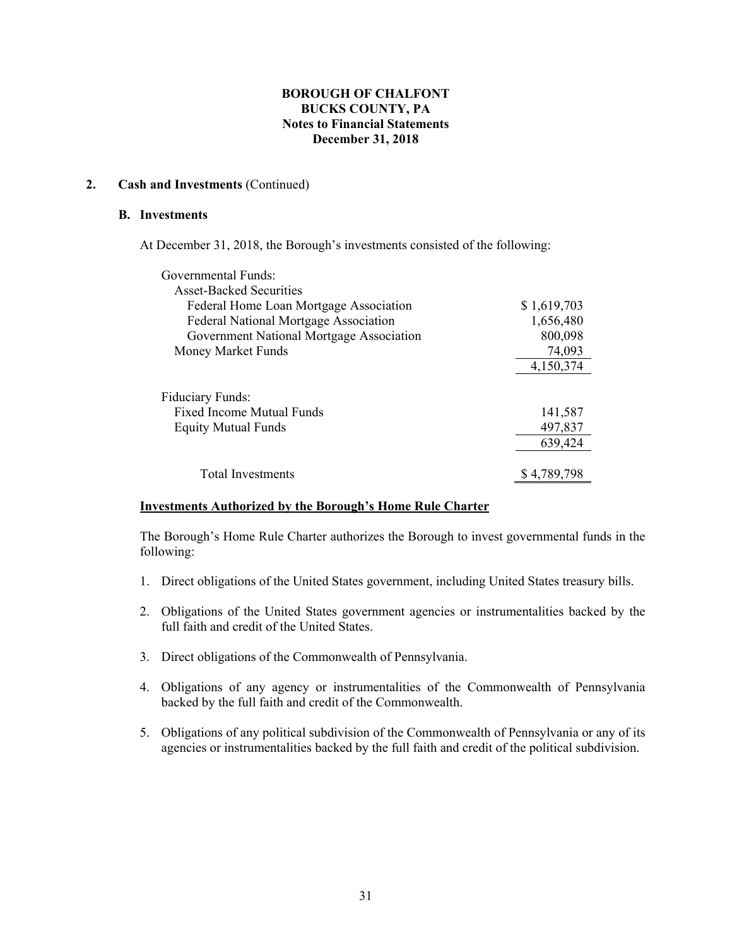## **2. Cash and Investments** (Continued)

#### **B. Investments**

At December 31, 2018, the Borough's investments consisted of the following:

| Governmental Funds:                          |              |
|----------------------------------------------|--------------|
| <b>Asset-Backed Securities</b>               |              |
| Federal Home Loan Mortgage Association       | \$1,619,703  |
| <b>Federal National Mortgage Association</b> | 1,656,480    |
| Government National Mortgage Association     | 800,098      |
| Money Market Funds                           | 74,093       |
|                                              | 4,150,374    |
| <b>Fiduciary Funds:</b>                      |              |
| Fixed Income Mutual Funds                    | 141,587      |
| <b>Equity Mutual Funds</b>                   | 497,837      |
|                                              | 639,424      |
|                                              |              |
| <b>Total Investments</b>                     | \$ 4,789,798 |

## **Investments Authorized by the Borough's Home Rule Charter**

The Borough's Home Rule Charter authorizes the Borough to invest governmental funds in the following:

- 1. Direct obligations of the United States government, including United States treasury bills.
- 2. Obligations of the United States government agencies or instrumentalities backed by the full faith and credit of the United States.
- 3. Direct obligations of the Commonwealth of Pennsylvania.
- 4. Obligations of any agency or instrumentalities of the Commonwealth of Pennsylvania backed by the full faith and credit of the Commonwealth.
- 5. Obligations of any political subdivision of the Commonwealth of Pennsylvania or any of its agencies or instrumentalities backed by the full faith and credit of the political subdivision.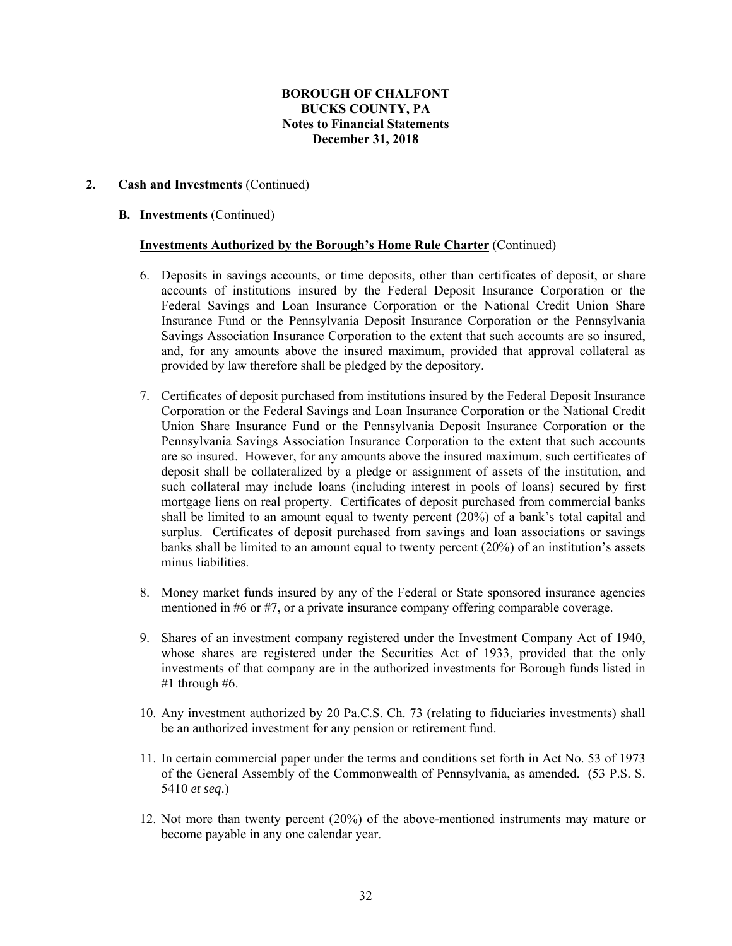## **2. Cash and Investments** (Continued)

#### **B. Investments** (Continued)

#### **Investments Authorized by the Borough's Home Rule Charter** (Continued)

- 6. Deposits in savings accounts, or time deposits, other than certificates of deposit, or share accounts of institutions insured by the Federal Deposit Insurance Corporation or the Federal Savings and Loan Insurance Corporation or the National Credit Union Share Insurance Fund or the Pennsylvania Deposit Insurance Corporation or the Pennsylvania Savings Association Insurance Corporation to the extent that such accounts are so insured, and, for any amounts above the insured maximum, provided that approval collateral as provided by law therefore shall be pledged by the depository.
- 7. Certificates of deposit purchased from institutions insured by the Federal Deposit Insurance Corporation or the Federal Savings and Loan Insurance Corporation or the National Credit Union Share Insurance Fund or the Pennsylvania Deposit Insurance Corporation or the Pennsylvania Savings Association Insurance Corporation to the extent that such accounts are so insured. However, for any amounts above the insured maximum, such certificates of deposit shall be collateralized by a pledge or assignment of assets of the institution, and such collateral may include loans (including interest in pools of loans) secured by first mortgage liens on real property. Certificates of deposit purchased from commercial banks shall be limited to an amount equal to twenty percent (20%) of a bank's total capital and surplus. Certificates of deposit purchased from savings and loan associations or savings banks shall be limited to an amount equal to twenty percent (20%) of an institution's assets minus liabilities.
- 8. Money market funds insured by any of the Federal or State sponsored insurance agencies mentioned in #6 or #7, or a private insurance company offering comparable coverage.
- 9. Shares of an investment company registered under the Investment Company Act of 1940, whose shares are registered under the Securities Act of 1933, provided that the only investments of that company are in the authorized investments for Borough funds listed in #1 through  $#6$ .
- 10. Any investment authorized by 20 Pa.C.S. Ch. 73 (relating to fiduciaries investments) shall be an authorized investment for any pension or retirement fund.
- 11. In certain commercial paper under the terms and conditions set forth in Act No. 53 of 1973 of the General Assembly of the Commonwealth of Pennsylvania, as amended. (53 P.S. S. 5410 *et seq*.)
- 12. Not more than twenty percent (20%) of the above-mentioned instruments may mature or become payable in any one calendar year.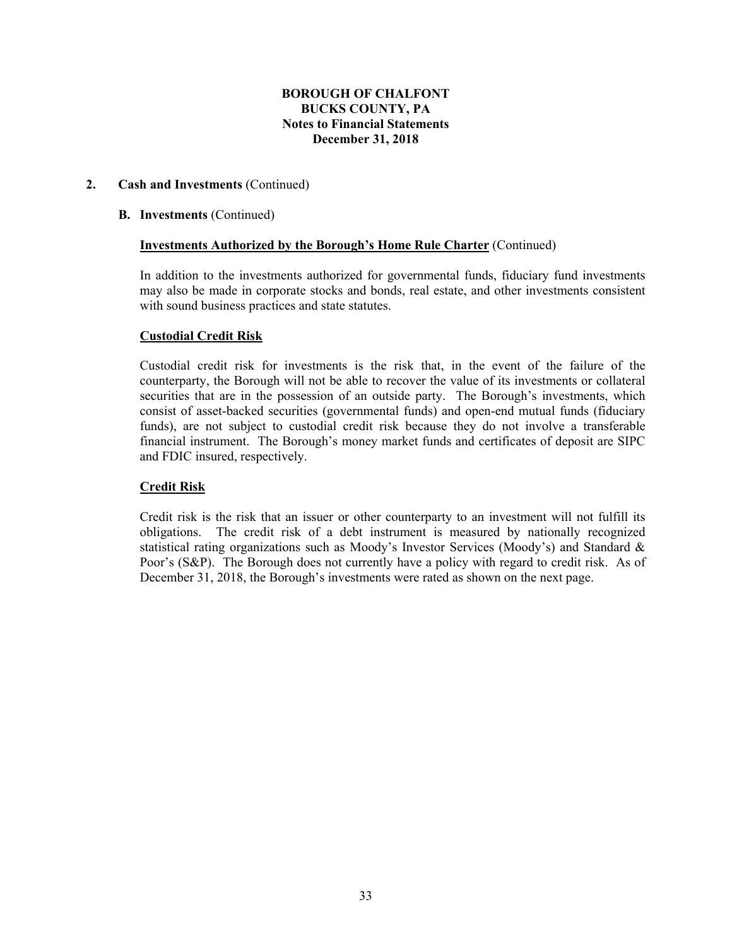## **2. Cash and Investments** (Continued)

#### **B. Investments** (Continued)

## **Investments Authorized by the Borough's Home Rule Charter** (Continued)

In addition to the investments authorized for governmental funds, fiduciary fund investments may also be made in corporate stocks and bonds, real estate, and other investments consistent with sound business practices and state statutes.

#### **Custodial Credit Risk**

Custodial credit risk for investments is the risk that, in the event of the failure of the counterparty, the Borough will not be able to recover the value of its investments or collateral securities that are in the possession of an outside party. The Borough's investments, which consist of asset-backed securities (governmental funds) and open-end mutual funds (fiduciary funds), are not subject to custodial credit risk because they do not involve a transferable financial instrument. The Borough's money market funds and certificates of deposit are SIPC and FDIC insured, respectively.

## **Credit Risk**

Credit risk is the risk that an issuer or other counterparty to an investment will not fulfill its obligations. The credit risk of a debt instrument is measured by nationally recognized statistical rating organizations such as Moody's Investor Services (Moody's) and Standard & Poor's (S&P). The Borough does not currently have a policy with regard to credit risk. As of December 31, 2018, the Borough's investments were rated as shown on the next page.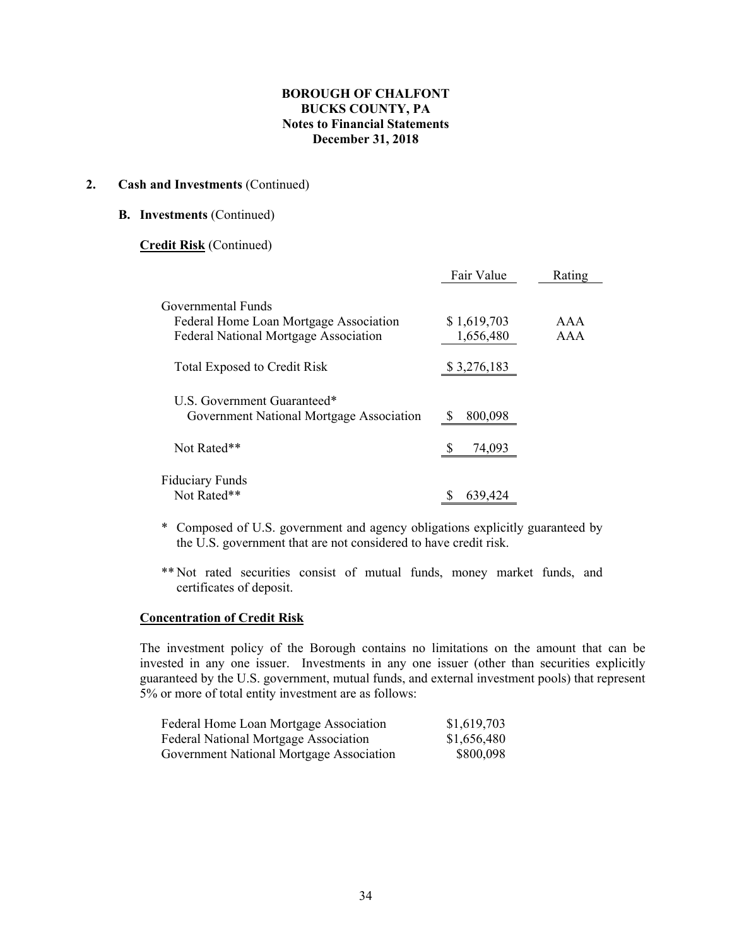### **2. Cash and Investments** (Continued)

#### **B. Investments** (Continued)

## **Credit Risk** (Continued)

|                                                                         | Fair Value   | Rating |
|-------------------------------------------------------------------------|--------------|--------|
| Governmental Funds                                                      |              |        |
| Federal Home Loan Mortgage Association                                  | \$1,619,703  | AAA    |
| <b>Federal National Mortgage Association</b>                            | 1,656,480    | AAA    |
| <b>Total Exposed to Credit Risk</b>                                     | \$3,276,183  |        |
| U.S. Government Guaranteed*<br>Government National Mortgage Association | S<br>800,098 |        |
|                                                                         |              |        |
| Not Rated**                                                             | 74,093       |        |
| <b>Fiduciary Funds</b>                                                  |              |        |
| Not Rated**                                                             | 639,424      |        |

- \* Composed of U.S. government and agency obligations explicitly guaranteed by the U.S. government that are not considered to have credit risk.
- \*\* Not rated securities consist of mutual funds, money market funds, and certificates of deposit.

#### **Concentration of Credit Risk**

The investment policy of the Borough contains no limitations on the amount that can be invested in any one issuer. Investments in any one issuer (other than securities explicitly guaranteed by the U.S. government, mutual funds, and external investment pools) that represent 5% or more of total entity investment are as follows:

| Federal Home Loan Mortgage Association       | \$1,619,703 |
|----------------------------------------------|-------------|
| <b>Federal National Mortgage Association</b> | \$1,656,480 |
| Government National Mortgage Association     | \$800,098   |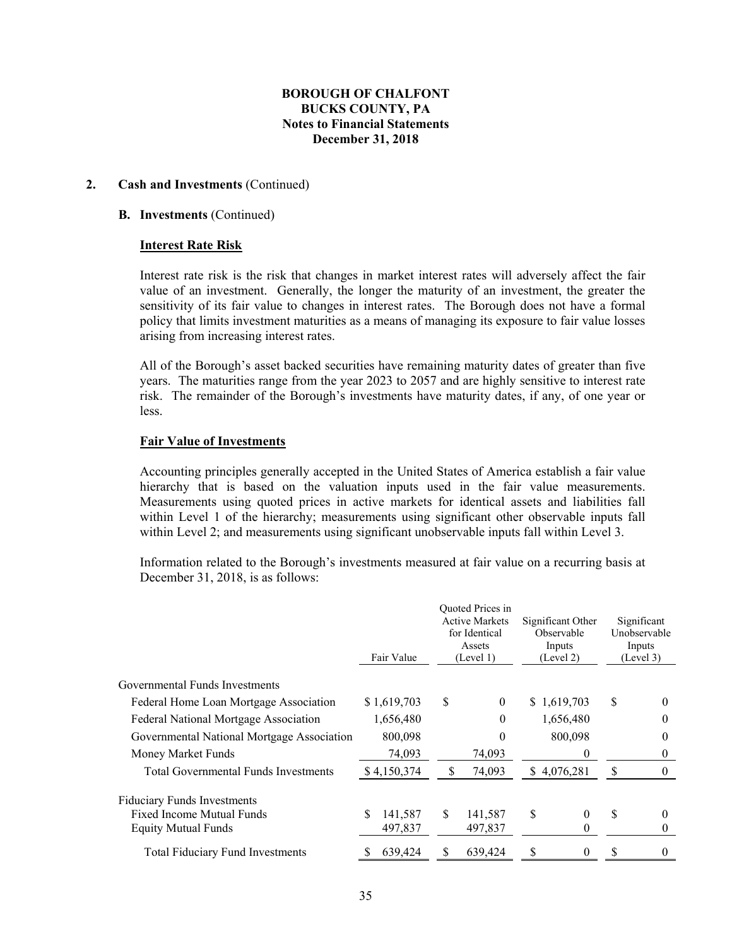## **2. Cash and Investments** (Continued)

#### **B. Investments** (Continued)

#### **Interest Rate Risk**

Interest rate risk is the risk that changes in market interest rates will adversely affect the fair value of an investment. Generally, the longer the maturity of an investment, the greater the sensitivity of its fair value to changes in interest rates. The Borough does not have a formal policy that limits investment maturities as a means of managing its exposure to fair value losses arising from increasing interest rates.

All of the Borough's asset backed securities have remaining maturity dates of greater than five years. The maturities range from the year 2023 to 2057 and are highly sensitive to interest rate risk. The remainder of the Borough's investments have maturity dates, if any, of one year or less.

#### **Fair Value of Investments**

Accounting principles generally accepted in the United States of America establish a fair value hierarchy that is based on the valuation inputs used in the fair value measurements. Measurements using quoted prices in active markets for identical assets and liabilities fall within Level 1 of the hierarchy; measurements using significant other observable inputs fall within Level 2; and measurements using significant unobservable inputs fall within Level 3.

Information related to the Borough's investments measured at fair value on a recurring basis at December 31, 2018, is as follows:

|                                             | Fair Value    | <b>Ouoted Prices in</b><br><b>Active Markets</b><br>for Identical<br>Assets<br>(Level 1) | Significant Other<br>Observable<br>Inputs<br>(Level 2) | Significant<br>Unobservable<br>Inputs<br>(Level 3) |
|---------------------------------------------|---------------|------------------------------------------------------------------------------------------|--------------------------------------------------------|----------------------------------------------------|
| Governmental Funds Investments              |               |                                                                                          |                                                        |                                                    |
| Federal Home Loan Mortgage Association      | \$1,619,703   | \$<br>$\theta$                                                                           | \$1,619,703                                            | \$<br>$\Omega$                                     |
| Federal National Mortgage Association       | 1,656,480     | $\mathbf{0}$                                                                             | 1,656,480                                              | $\theta$                                           |
| Governmental National Mortgage Association  | 800,098       | 0                                                                                        | 800,098                                                | $\theta$                                           |
| Money Market Funds                          | 74,093        | 74.093                                                                                   | 0                                                      | $\theta$                                           |
| <b>Total Governmental Funds Investments</b> | \$4,150,374   | 74,093<br>S                                                                              | \$4,076,281                                            | \$<br>$\mathbf{0}$                                 |
| <b>Fiduciary Funds Investments</b>          |               |                                                                                          |                                                        |                                                    |
| <b>Fixed Income Mutual Funds</b>            | \$<br>141,587 | \$.<br>141,587                                                                           | <sup>\$</sup><br>$\mathbf{0}$                          | S<br>$\theta$                                      |
| <b>Equity Mutual Funds</b>                  | 497,837       | 497,837                                                                                  | 0                                                      | 0                                                  |
| <b>Total Fiduciary Fund Investments</b>     | 639,424       | 639,424<br>S                                                                             | S<br>$\theta$                                          | $\mathbf{0}$                                       |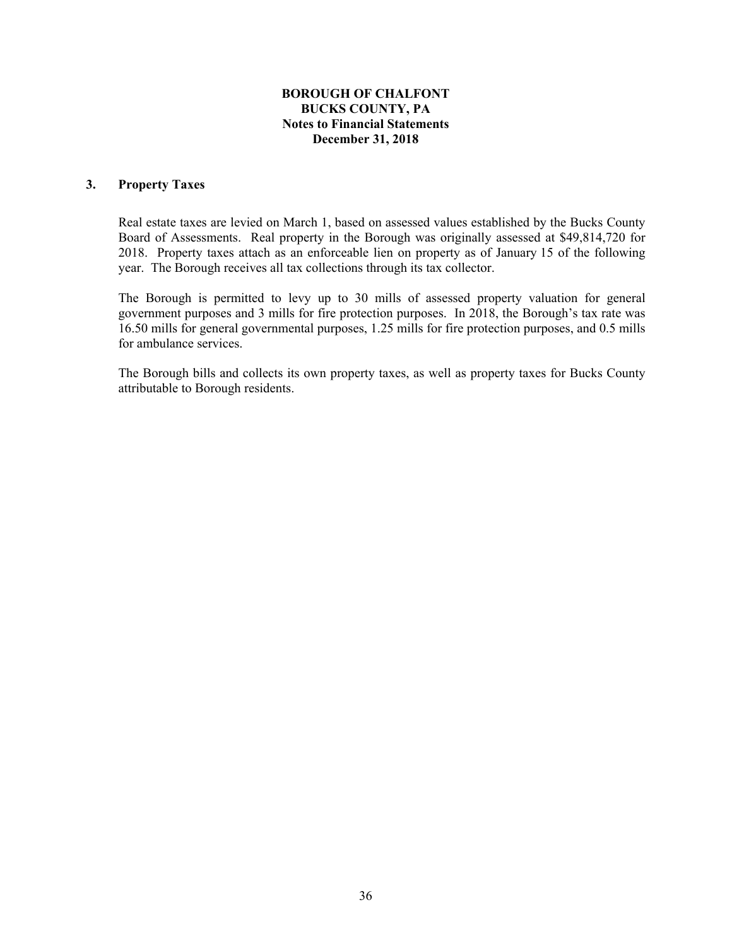### **3. Property Taxes**

Real estate taxes are levied on March 1, based on assessed values established by the Bucks County Board of Assessments. Real property in the Borough was originally assessed at \$49,814,720 for 2018. Property taxes attach as an enforceable lien on property as of January 15 of the following year. The Borough receives all tax collections through its tax collector.

The Borough is permitted to levy up to 30 mills of assessed property valuation for general government purposes and 3 mills for fire protection purposes. In 2018, the Borough's tax rate was 16.50 mills for general governmental purposes, 1.25 mills for fire protection purposes, and 0.5 mills for ambulance services.

The Borough bills and collects its own property taxes, as well as property taxes for Bucks County attributable to Borough residents.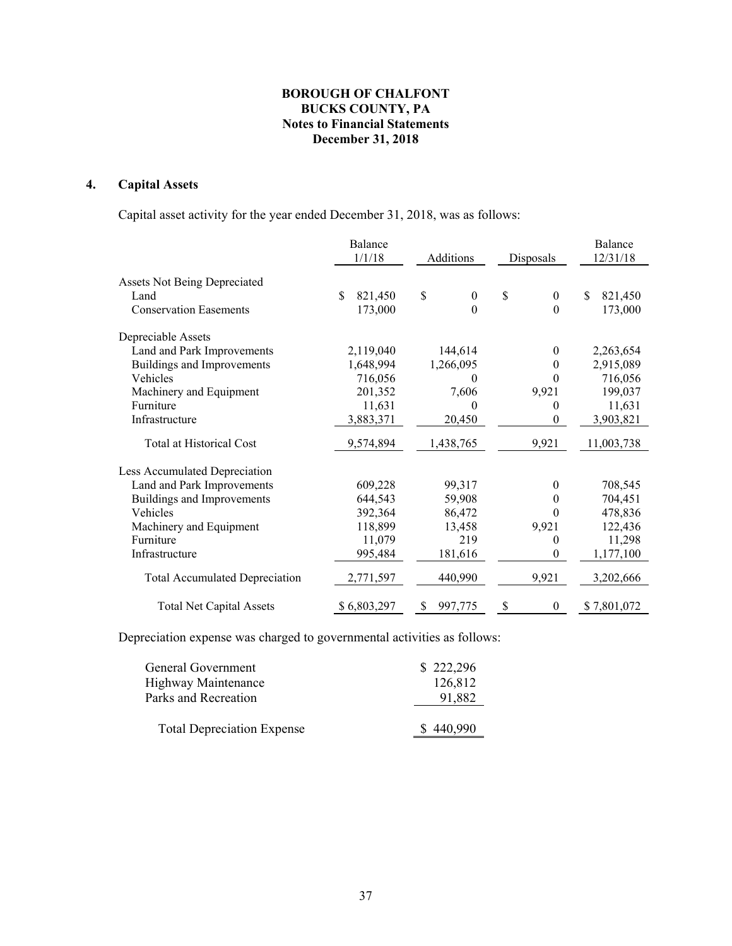## **4. Capital Assets**

Capital asset activity for the year ended December 31, 2018, was as follows:

|                                       | Balance       |                    |                    | Balance       |
|---------------------------------------|---------------|--------------------|--------------------|---------------|
|                                       | 1/1/18        | Additions          | Disposals          | 12/31/18      |
| <b>Assets Not Being Depreciated</b>   |               |                    |                    |               |
| Land                                  | \$<br>821,450 | \$<br>$\mathbf{0}$ | \$<br>$\mathbf{0}$ | \$<br>821,450 |
| <b>Conservation Easements</b>         | 173,000       | 0                  | $\theta$           | 173,000       |
| Depreciable Assets                    |               |                    |                    |               |
| Land and Park Improvements            | 2,119,040     | 144,614            | $\theta$           | 2,263,654     |
| Buildings and Improvements            | 1,648,994     | 1,266,095          | $\theta$           | 2,915,089     |
| Vehicles                              | 716,056       | 0                  | 0                  | 716,056       |
| Machinery and Equipment               | 201,352       | 7,606              | 9,921              | 199,037       |
| Furniture                             | 11,631        | 0                  | $\theta$           | 11,631        |
| Infrastructure                        | 3,883,371     | 20,450             | 0                  | 3,903,821     |
| <b>Total at Historical Cost</b>       | 9,574,894     | 1,438,765          | 9,921              | 11,003,738    |
| Less Accumulated Depreciation         |               |                    |                    |               |
| Land and Park Improvements            | 609,228       | 99,317             | $\theta$           | 708,545       |
| Buildings and Improvements            | 644,543       | 59,908             | 0                  | 704,451       |
| Vehicles                              | 392,364       | 86,472             | 0                  | 478,836       |
| Machinery and Equipment               | 118,899       | 13,458             | 9,921              | 122,436       |
| Furniture                             | 11,079        | 219                | 0                  | 11,298        |
| Infrastructure                        | 995,484       | 181,616            | 0                  | 1,177,100     |
| <b>Total Accumulated Depreciation</b> | 2,771,597     | 440,990            | 9,921              | 3,202,666     |
| <b>Total Net Capital Assets</b>       | \$6,803,297   | 997,775<br>S       | \$<br>$\mathbf{0}$ | \$7,801,072   |

Depreciation expense was charged to governmental activities as follows:

| <b>General Government</b><br><b>Highway Maintenance</b> | \$222,296<br>126,812 |
|---------------------------------------------------------|----------------------|
| Parks and Recreation                                    | 91,882               |
| <b>Total Depreciation Expense</b>                       | \$440,990            |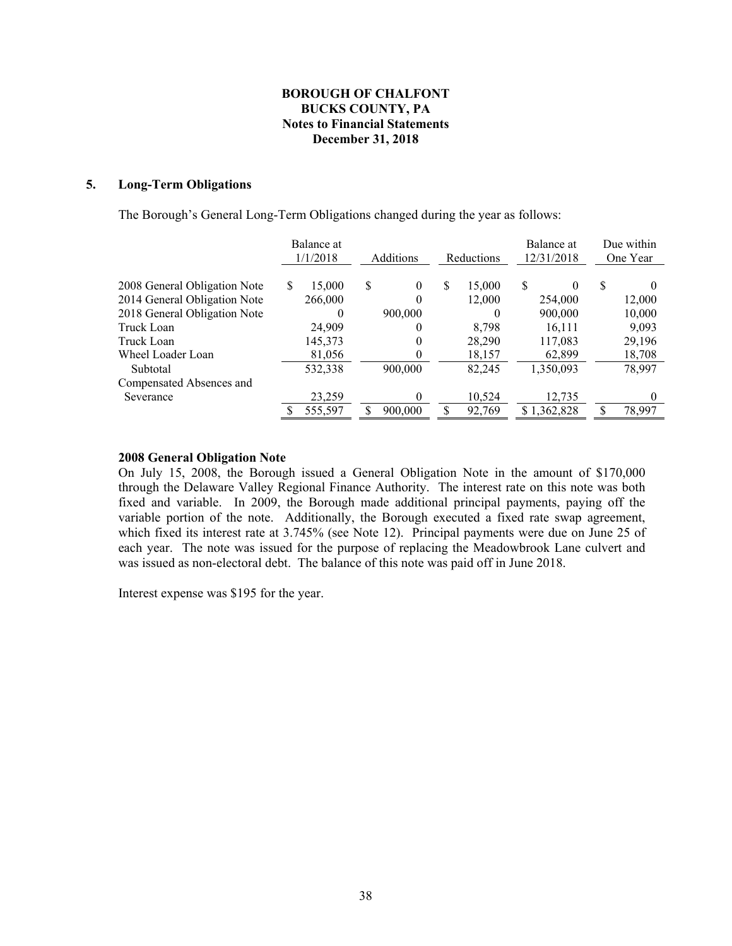#### **5. Long-Term Obligations**

The Borough's General Long-Term Obligations changed during the year as follows:

|                              | Balance at<br>1/1/2018 |          | Additions |         | Reductions |          |     | Balance at<br>12/31/2018 |     | Due within<br>One Year |
|------------------------------|------------------------|----------|-----------|---------|------------|----------|-----|--------------------------|-----|------------------------|
|                              |                        |          |           |         |            |          |     |                          |     |                        |
| 2008 General Obligation Note | S                      | 15,000   | \$        | 0       | S          | 15,000   | \$. | 0                        | S   |                        |
| 2014 General Obligation Note |                        | 266,000  |           | 0       |            | 12.000   |     | 254,000                  |     | 12,000                 |
| 2018 General Obligation Note |                        | $\theta$ |           | 900,000 |            | $\theta$ |     | 900,000                  |     | 10,000                 |
| Truck Loan                   |                        | 24,909   |           | 0       |            | 8,798    |     | 16,111                   |     | 9,093                  |
| Truck Loan                   |                        | 145,373  |           | 0       |            | 28,290   |     | 117,083                  |     | 29,196                 |
| Wheel Loader Loan            |                        | 81,056   |           |         |            | 18,157   |     | 62,899                   |     | 18,708                 |
| Subtotal                     |                        | 532,338  |           | 900,000 |            | 82,245   |     | 1,350,093                |     | 78,997                 |
| Compensated Absences and     |                        |          |           |         |            |          |     |                          |     |                        |
| Severance                    |                        | 23,259   |           | 0       |            | 10,524   |     | 12,735                   |     | $\mathbf{0}$           |
|                              |                        | 555,597  | S         | 900,000 | S          | 92,769   |     | \$1,362,828              | \$. | 78.997                 |

#### **2008 General Obligation Note**

On July 15, 2008, the Borough issued a General Obligation Note in the amount of \$170,000 through the Delaware Valley Regional Finance Authority. The interest rate on this note was both fixed and variable. In 2009, the Borough made additional principal payments, paying off the variable portion of the note. Additionally, the Borough executed a fixed rate swap agreement, which fixed its interest rate at 3.745% (see Note 12). Principal payments were due on June 25 of each year. The note was issued for the purpose of replacing the Meadowbrook Lane culvert and was issued as non-electoral debt. The balance of this note was paid off in June 2018.

Interest expense was \$195 for the year.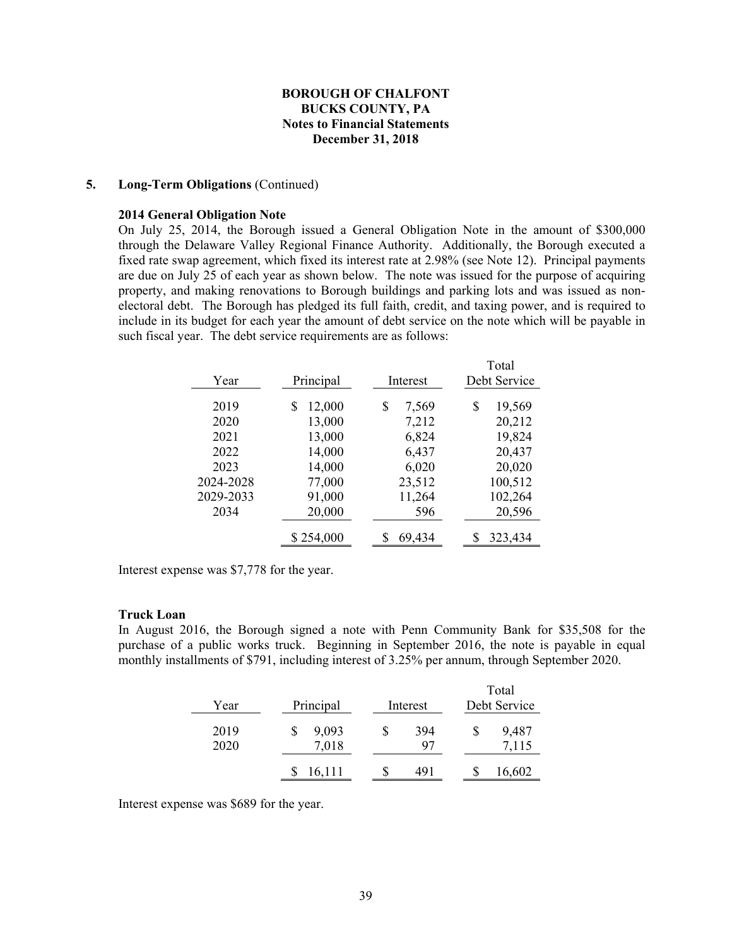## **5. Long-Term Obligations** (Continued)

#### **2014 General Obligation Note**

On July 25, 2014, the Borough issued a General Obligation Note in the amount of \$300,000 through the Delaware Valley Regional Finance Authority. Additionally, the Borough executed a fixed rate swap agreement, which fixed its interest rate at 2.98% (see Note 12). Principal payments are due on July 25 of each year as shown below. The note was issued for the purpose of acquiring property, and making renovations to Borough buildings and parking lots and was issued as nonelectoral debt. The Borough has pledged its full faith, credit, and taxing power, and is required to include in its budget for each year the amount of debt service on the note which will be payable in such fiscal year. The debt service requirements are as follows:

|           |              |             | Total        |
|-----------|--------------|-------------|--------------|
| Year      | Principal    | Interest    | Debt Service |
| 2019      | 12,000<br>\$ | \$<br>7,569 | \$<br>19,569 |
| 2020      | 13,000       | 7,212       | 20,212       |
| 2021      | 13,000       | 6,824       | 19,824       |
| 2022      | 14,000       | 6,437       | 20,437       |
| 2023      | 14,000       | 6,020       | 20,020       |
| 2024-2028 | 77,000       | 23,512      | 100,512      |
| 2029-2033 | 91,000       | 11,264      | 102,264      |
| 2034      | 20,000       | 596         | 20,596       |
|           | \$254,000    | 69,434      | 323,434      |

Interest expense was \$7,778 for the year.

#### **Truck Loan**

In August 2016, the Borough signed a note with Penn Community Bank for \$35,508 for the purchase of a public works truck. Beginning in September 2016, the note is payable in equal monthly installments of \$791, including interest of 3.25% per annum, through September 2020.

| Year         | Principal      | Interest  | Total<br>Debt Service |
|--------------|----------------|-----------|-----------------------|
| 2019<br>2020 | 9,093<br>7,018 | 394<br>97 | 9,487<br>7,115        |
|              | 16,111         | 491       | 16,602                |

Interest expense was \$689 for the year.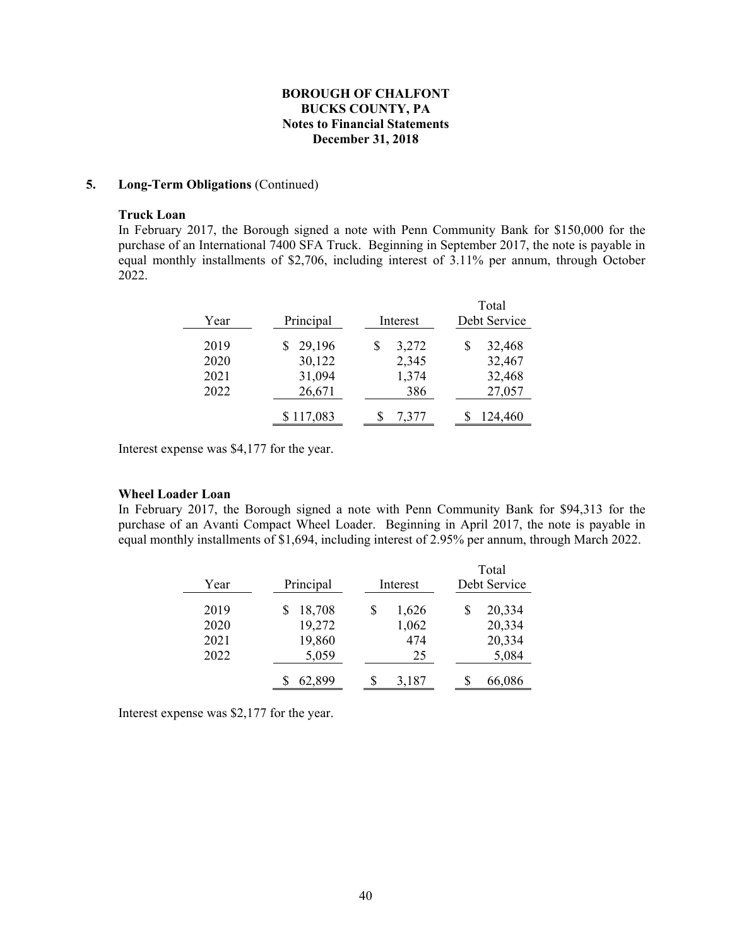## **5. Long-Term Obligations** (Continued)

#### **Truck Loan**

In February 2017, the Borough signed a note with Penn Community Bank for \$150,000 for the purchase of an International 7400 SFA Truck. Beginning in September 2017, the note is payable in equal monthly installments of \$2,706, including interest of 3.11% per annum, through October 2022.

| Year                         | Principal                            | Interest                       | Total<br>Debt Service                     |
|------------------------------|--------------------------------------|--------------------------------|-------------------------------------------|
| 2019<br>2020<br>2021<br>2022 | 29,196<br>30,122<br>31,094<br>26,671 | 3,272<br>2,345<br>1,374<br>386 | 32,468<br>S<br>32,467<br>32,468<br>27,057 |
|                              | \$117,083                            | 7,377                          | 124,460                                   |

Interest expense was \$4,177 for the year.

## **Wheel Loader Loan**

In February 2017, the Borough signed a note with Penn Community Bank for \$94,313 for the purchase of an Avanti Compact Wheel Loader. Beginning in April 2017, the note is payable in equal monthly installments of \$1,694, including interest of 2.95% per annum, through March 2022.

| Year                         | Principal                           | Interest                         | Total<br>Debt Service               |
|------------------------------|-------------------------------------|----------------------------------|-------------------------------------|
| 2019<br>2020<br>2021<br>2022 | 18,708<br>19,272<br>19,860<br>5,059 | S<br>1,626<br>1,062<br>474<br>25 | 20,334<br>20,334<br>20,334<br>5,084 |
|                              | 62,899                              | 3,187<br>ς                       | 66,086                              |

Interest expense was \$2,177 for the year.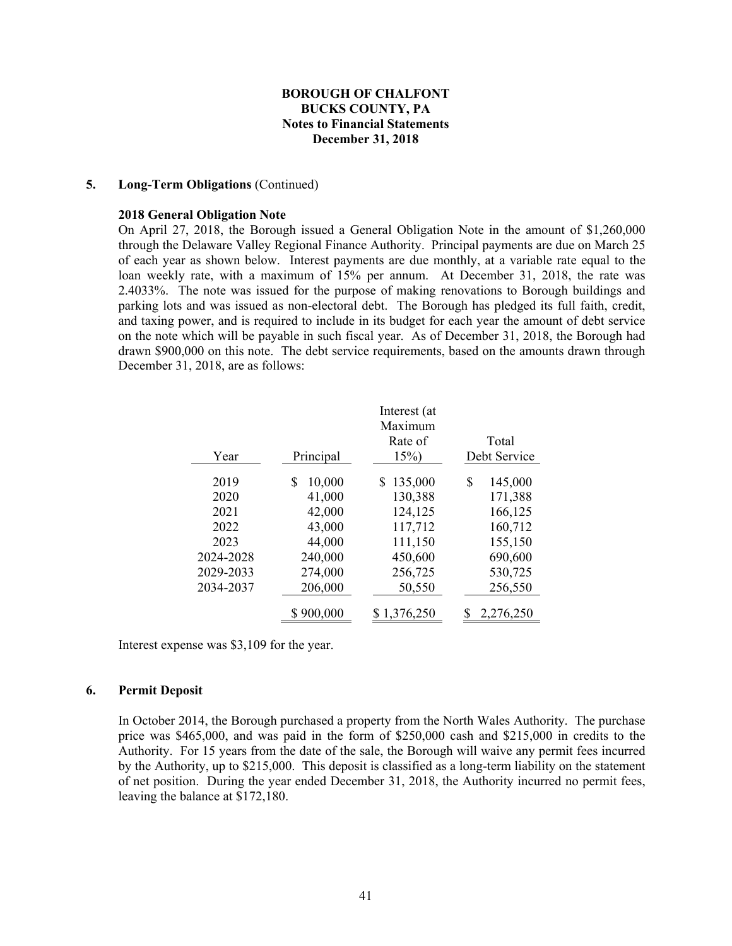### **5. Long-Term Obligations** (Continued)

#### **2018 General Obligation Note**

On April 27, 2018, the Borough issued a General Obligation Note in the amount of \$1,260,000 through the Delaware Valley Regional Finance Authority. Principal payments are due on March 25 of each year as shown below. Interest payments are due monthly, at a variable rate equal to the loan weekly rate, with a maximum of 15% per annum. At December 31, 2018, the rate was 2.4033%. The note was issued for the purpose of making renovations to Borough buildings and parking lots and was issued as non-electoral debt. The Borough has pledged its full faith, credit, and taxing power, and is required to include in its budget for each year the amount of debt service on the note which will be payable in such fiscal year. As of December 31, 2018, the Borough had drawn \$900,000 on this note. The debt service requirements, based on the amounts drawn through December 31, 2018, are as follows:

|           |             | Interest (at |               |
|-----------|-------------|--------------|---------------|
|           |             | Maximum      |               |
|           |             | Rate of      | Total         |
| Year      | Principal   | $15\%)$      | Debt Service  |
| 2019      | 10,000<br>S | \$135,000    | \$<br>145,000 |
| 2020      | 41,000      | 130,388      | 171,388       |
| 2021      | 42,000      | 124,125      | 166,125       |
| 2022      | 43,000      | 117,712      | 160,712       |
| 2023      | 44,000      | 111,150      | 155,150       |
| 2024-2028 | 240,000     | 450,600      | 690,600       |
| 2029-2033 | 274,000     | 256,725      | 530,725       |
| 2034-2037 | 206,000     | 50,550       | 256,550       |
|           | \$900,000   | \$1,376,250  | 2,276,250     |

Interest expense was \$3,109 for the year.

#### **6. Permit Deposit**

In October 2014, the Borough purchased a property from the North Wales Authority. The purchase price was \$465,000, and was paid in the form of \$250,000 cash and \$215,000 in credits to the Authority. For 15 years from the date of the sale, the Borough will waive any permit fees incurred by the Authority, up to \$215,000. This deposit is classified as a long-term liability on the statement of net position. During the year ended December 31, 2018, the Authority incurred no permit fees, leaving the balance at \$172,180.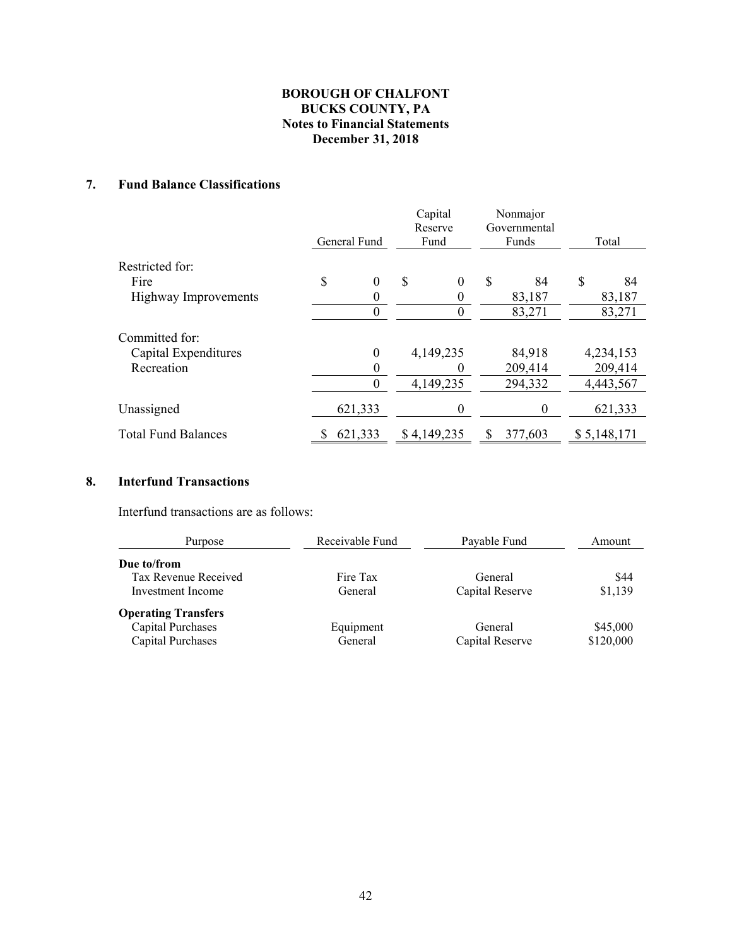# **7. Fund Balance Classifications**

|                             |              | General Fund     | Capital<br>Reserve<br>Fund |    | Nonmajor<br>Governmental<br>Funds | Total       |
|-----------------------------|--------------|------------------|----------------------------|----|-----------------------------------|-------------|
| Restricted for:             |              |                  |                            |    |                                   |             |
| Fire                        | $\mathbb{S}$ | $\boldsymbol{0}$ | \$<br>$\boldsymbol{0}$     | \$ | 84                                | \$<br>84    |
| <b>Highway Improvements</b> |              | $\boldsymbol{0}$ | $\boldsymbol{0}$           |    | 83,187                            | 83,187      |
|                             |              | $\boldsymbol{0}$ | $\theta$                   |    | 83,271                            | 83,271      |
| Committed for:              |              |                  |                            |    |                                   |             |
| Capital Expenditures        |              | $\boldsymbol{0}$ | 4,149,235                  |    | 84,918                            | 4,234,153   |
| Recreation                  |              | 0                | $\theta$                   |    | 209,414                           | 209,414     |
|                             |              | $\boldsymbol{0}$ | 4,149,235                  |    | 294,332                           | 4,443,567   |
| Unassigned                  |              | 621,333          | $\boldsymbol{0}$           |    | 0                                 | 621,333     |
| <b>Total Fund Balances</b>  |              | 621,333          | \$4,149,235                | S  | 377,603                           | \$5,148,171 |

## **8. Interfund Transactions**

Interfund transactions are as follows:

| Purpose                    | Receivable Fund | Payable Fund    | Amount    |
|----------------------------|-----------------|-----------------|-----------|
| Due to/from                |                 |                 |           |
| Tax Revenue Received       | Fire Tax        | General         | \$44      |
| Investment Income          | General         | Capital Reserve | \$1,139   |
| <b>Operating Transfers</b> |                 |                 |           |
| Capital Purchases          | Equipment       | General         | \$45,000  |
| Capital Purchases          | General         | Capital Reserve | \$120,000 |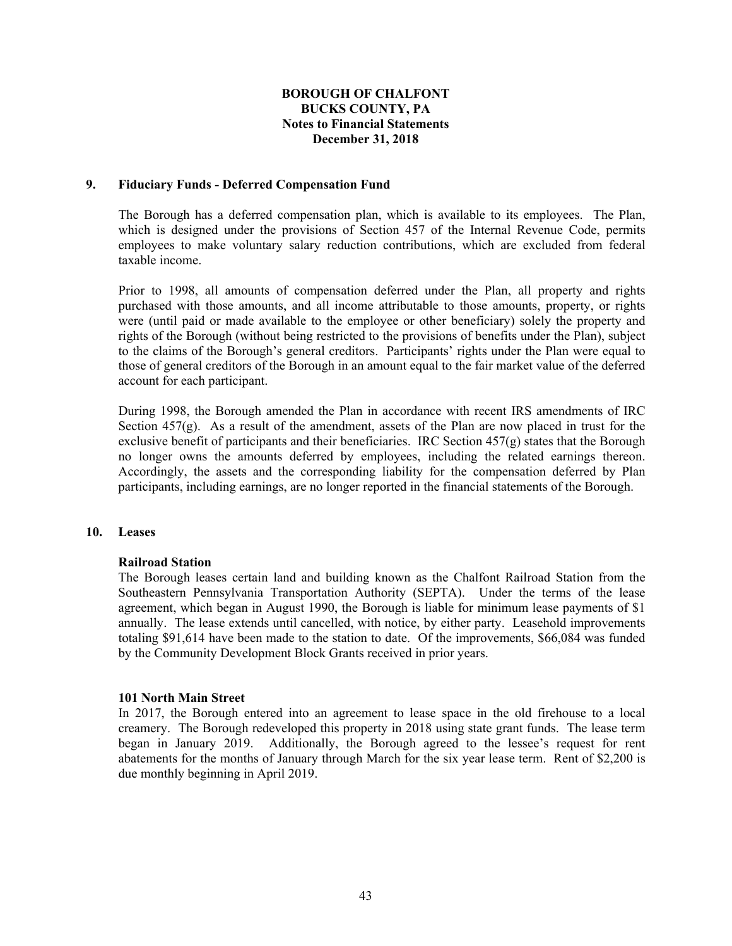### **9. Fiduciary Funds - Deferred Compensation Fund**

 The Borough has a deferred compensation plan, which is available to its employees. The Plan, which is designed under the provisions of Section 457 of the Internal Revenue Code, permits employees to make voluntary salary reduction contributions, which are excluded from federal taxable income.

 Prior to 1998, all amounts of compensation deferred under the Plan, all property and rights purchased with those amounts, and all income attributable to those amounts, property, or rights were (until paid or made available to the employee or other beneficiary) solely the property and rights of the Borough (without being restricted to the provisions of benefits under the Plan), subject to the claims of the Borough's general creditors. Participants' rights under the Plan were equal to those of general creditors of the Borough in an amount equal to the fair market value of the deferred account for each participant.

 During 1998, the Borough amended the Plan in accordance with recent IRS amendments of IRC Section  $457(g)$ . As a result of the amendment, assets of the Plan are now placed in trust for the exclusive benefit of participants and their beneficiaries. IRC Section 457(g) states that the Borough no longer owns the amounts deferred by employees, including the related earnings thereon. Accordingly, the assets and the corresponding liability for the compensation deferred by Plan participants, including earnings, are no longer reported in the financial statements of the Borough.

## **10. Leases**

#### **Railroad Station**

 The Borough leases certain land and building known as the Chalfont Railroad Station from the Southeastern Pennsylvania Transportation Authority (SEPTA). Under the terms of the lease agreement, which began in August 1990, the Borough is liable for minimum lease payments of \$1 annually. The lease extends until cancelled, with notice, by either party. Leasehold improvements totaling \$91,614 have been made to the station to date. Of the improvements, \$66,084 was funded by the Community Development Block Grants received in prior years.

#### **101 North Main Street**

In 2017, the Borough entered into an agreement to lease space in the old firehouse to a local creamery. The Borough redeveloped this property in 2018 using state grant funds. The lease term began in January 2019. Additionally, the Borough agreed to the lessee's request for rent abatements for the months of January through March for the six year lease term. Rent of \$2,200 is due monthly beginning in April 2019.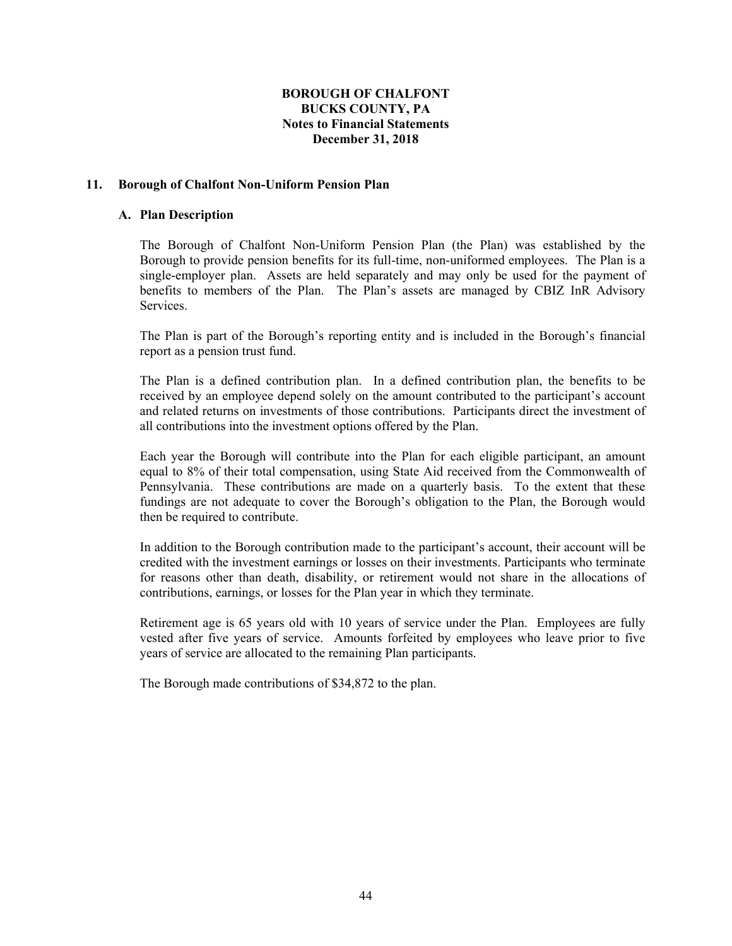### **11. Borough of Chalfont Non-Uniform Pension Plan**

#### **A. Plan Description**

 The Borough of Chalfont Non-Uniform Pension Plan (the Plan) was established by the Borough to provide pension benefits for its full-time, non-uniformed employees. The Plan is a single-employer plan. Assets are held separately and may only be used for the payment of benefits to members of the Plan. The Plan's assets are managed by CBIZ InR Advisory **Services** 

The Plan is part of the Borough's reporting entity and is included in the Borough's financial report as a pension trust fund.

The Plan is a defined contribution plan. In a defined contribution plan, the benefits to be received by an employee depend solely on the amount contributed to the participant's account and related returns on investments of those contributions. Participants direct the investment of all contributions into the investment options offered by the Plan.

Each year the Borough will contribute into the Plan for each eligible participant, an amount equal to 8% of their total compensation, using State Aid received from the Commonwealth of Pennsylvania. These contributions are made on a quarterly basis. To the extent that these fundings are not adequate to cover the Borough's obligation to the Plan, the Borough would then be required to contribute.

In addition to the Borough contribution made to the participant's account, their account will be credited with the investment earnings or losses on their investments. Participants who terminate for reasons other than death, disability, or retirement would not share in the allocations of contributions, earnings, or losses for the Plan year in which they terminate.

Retirement age is 65 years old with 10 years of service under the Plan. Employees are fully vested after five years of service. Amounts forfeited by employees who leave prior to five years of service are allocated to the remaining Plan participants.

The Borough made contributions of \$34,872 to the plan.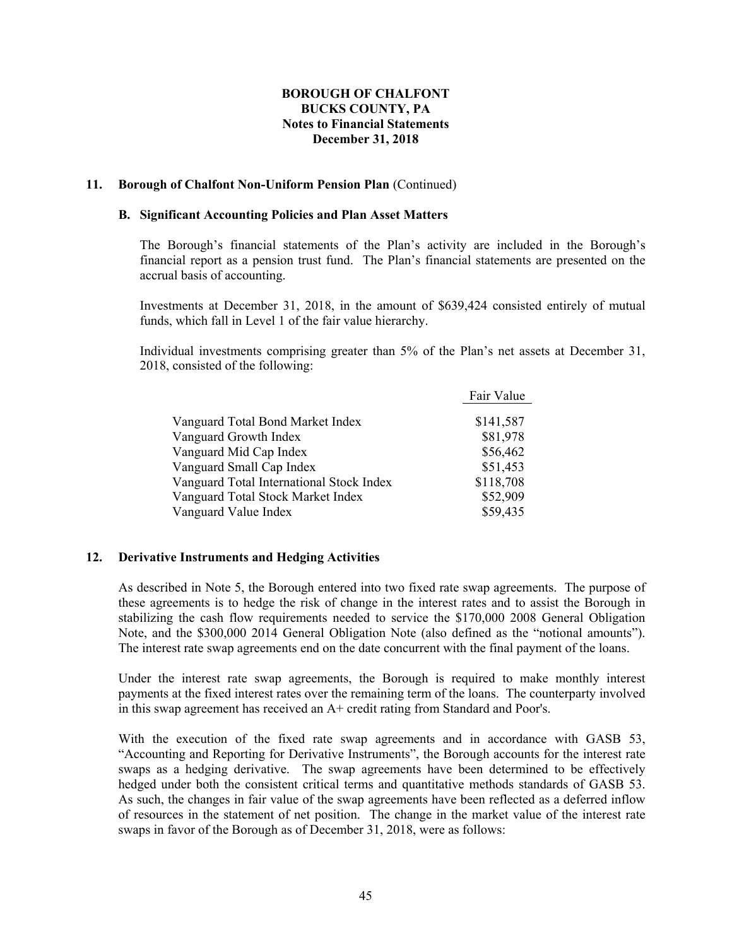### **11. Borough of Chalfont Non-Uniform Pension Plan** (Continued)

#### **B. Significant Accounting Policies and Plan Asset Matters**

 The Borough's financial statements of the Plan's activity are included in the Borough's financial report as a pension trust fund. The Plan's financial statements are presented on the accrual basis of accounting.

 Investments at December 31, 2018, in the amount of \$639,424 consisted entirely of mutual funds, which fall in Level 1 of the fair value hierarchy.

 Individual investments comprising greater than 5% of the Plan's net assets at December 31, 2018, consisted of the following:

|                                          | Fair Value |
|------------------------------------------|------------|
| Vanguard Total Bond Market Index         | \$141,587  |
| Vanguard Growth Index                    | \$81,978   |
| Vanguard Mid Cap Index                   | \$56,462   |
| Vanguard Small Cap Index                 | \$51,453   |
| Vanguard Total International Stock Index | \$118,708  |
| Vanguard Total Stock Market Index        | \$52,909   |
| Vanguard Value Index                     | \$59,435   |

## **12. Derivative Instruments and Hedging Activities**

As described in Note 5, the Borough entered into two fixed rate swap agreements. The purpose of these agreements is to hedge the risk of change in the interest rates and to assist the Borough in stabilizing the cash flow requirements needed to service the \$170,000 2008 General Obligation Note, and the \$300,000 2014 General Obligation Note (also defined as the "notional amounts"). The interest rate swap agreements end on the date concurrent with the final payment of the loans.

Under the interest rate swap agreements, the Borough is required to make monthly interest payments at the fixed interest rates over the remaining term of the loans. The counterparty involved in this swap agreement has received an A+ credit rating from Standard and Poor's.

With the execution of the fixed rate swap agreements and in accordance with GASB 53, "Accounting and Reporting for Derivative Instruments", the Borough accounts for the interest rate swaps as a hedging derivative. The swap agreements have been determined to be effectively hedged under both the consistent critical terms and quantitative methods standards of GASB 53. As such, the changes in fair value of the swap agreements have been reflected as a deferred inflow of resources in the statement of net position. The change in the market value of the interest rate swaps in favor of the Borough as of December 31, 2018, were as follows: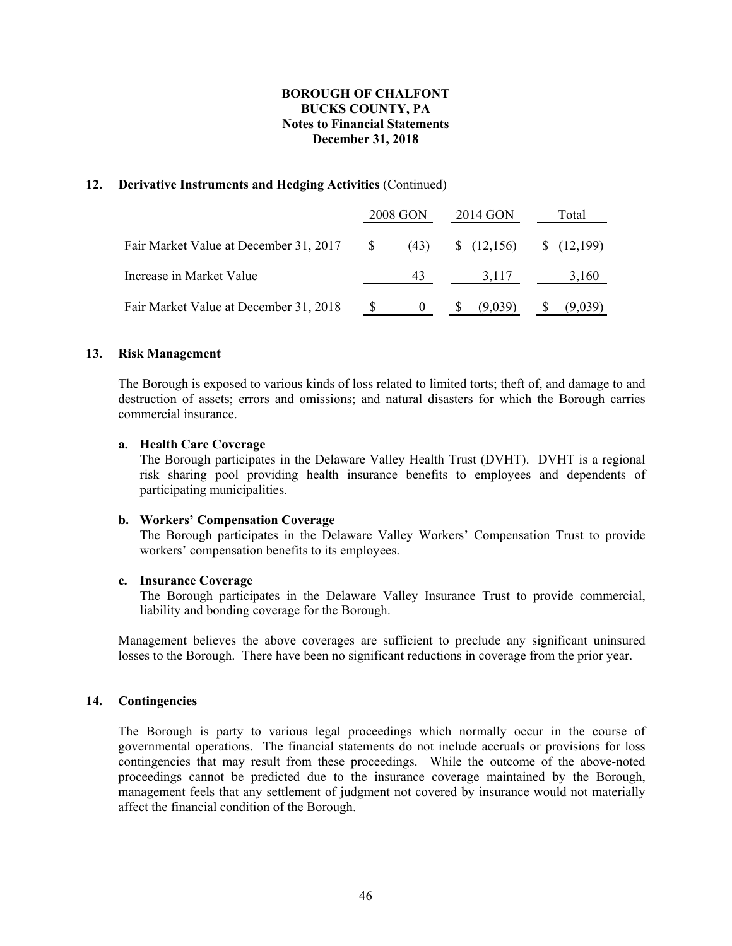## **12. Derivative Instruments and Hedging Activities** (Continued)

|                                        |              | 2008 GON | 2014 GON                                  | Total   |  |
|----------------------------------------|--------------|----------|-------------------------------------------|---------|--|
| Fair Market Value at December 31, 2017 | <sup>S</sup> | (43)     | $\frac{12{156}}{2}$ \ $\frac{12{199}}{2}$ |         |  |
| Increase in Market Value               |              | 43       | 3,117                                     | 3,160   |  |
| Fair Market Value at December 31, 2018 |              |          | (9,039)                                   | (9,039) |  |

#### **13. Risk Management**

The Borough is exposed to various kinds of loss related to limited torts; theft of, and damage to and destruction of assets; errors and omissions; and natural disasters for which the Borough carries commercial insurance.

#### **a. Health Care Coverage**

The Borough participates in the Delaware Valley Health Trust (DVHT). DVHT is a regional risk sharing pool providing health insurance benefits to employees and dependents of participating municipalities.

## **b. Workers' Compensation Coverage**

The Borough participates in the Delaware Valley Workers' Compensation Trust to provide workers' compensation benefits to its employees.

#### **c. Insurance Coverage**

The Borough participates in the Delaware Valley Insurance Trust to provide commercial, liability and bonding coverage for the Borough.

Management believes the above coverages are sufficient to preclude any significant uninsured losses to the Borough. There have been no significant reductions in coverage from the prior year.

#### **14. Contingencies**

The Borough is party to various legal proceedings which normally occur in the course of governmental operations. The financial statements do not include accruals or provisions for loss contingencies that may result from these proceedings. While the outcome of the above-noted proceedings cannot be predicted due to the insurance coverage maintained by the Borough, management feels that any settlement of judgment not covered by insurance would not materially affect the financial condition of the Borough.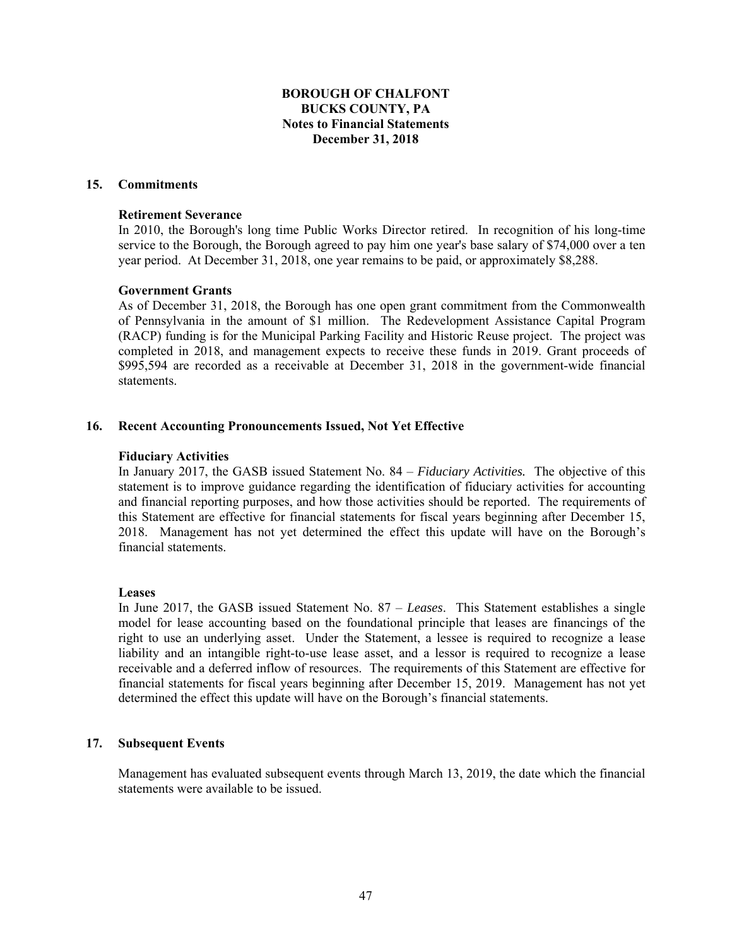#### **15. Commitments**

#### **Retirement Severance**

In 2010, the Borough's long time Public Works Director retired. In recognition of his long-time service to the Borough, the Borough agreed to pay him one year's base salary of \$74,000 over a ten year period. At December 31, 2018, one year remains to be paid, or approximately \$8,288.

#### **Government Grants**

As of December 31, 2018, the Borough has one open grant commitment from the Commonwealth of Pennsylvania in the amount of \$1 million. The Redevelopment Assistance Capital Program (RACP) funding is for the Municipal Parking Facility and Historic Reuse project. The project was completed in 2018, and management expects to receive these funds in 2019. Grant proceeds of \$995,594 are recorded as a receivable at December 31, 2018 in the government-wide financial statements.

#### **16. Recent Accounting Pronouncements Issued, Not Yet Effective**

#### **Fiduciary Activities**

 In January 2017, the GASB issued Statement No. 84 – *Fiduciary Activities.* The objective of this statement is to improve guidance regarding the identification of fiduciary activities for accounting and financial reporting purposes, and how those activities should be reported. The requirements of this Statement are effective for financial statements for fiscal years beginning after December 15, 2018. Management has not yet determined the effect this update will have on the Borough's financial statements.

## **Leases**

 In June 2017, the GASB issued Statement No. 87 – *Leases*. This Statement establishes a single model for lease accounting based on the foundational principle that leases are financings of the right to use an underlying asset. Under the Statement, a lessee is required to recognize a lease liability and an intangible right-to-use lease asset, and a lessor is required to recognize a lease receivable and a deferred inflow of resources. The requirements of this Statement are effective for financial statements for fiscal years beginning after December 15, 2019. Management has not yet determined the effect this update will have on the Borough's financial statements.

#### **17. Subsequent Events**

Management has evaluated subsequent events through March 13, 2019, the date which the financial statements were available to be issued.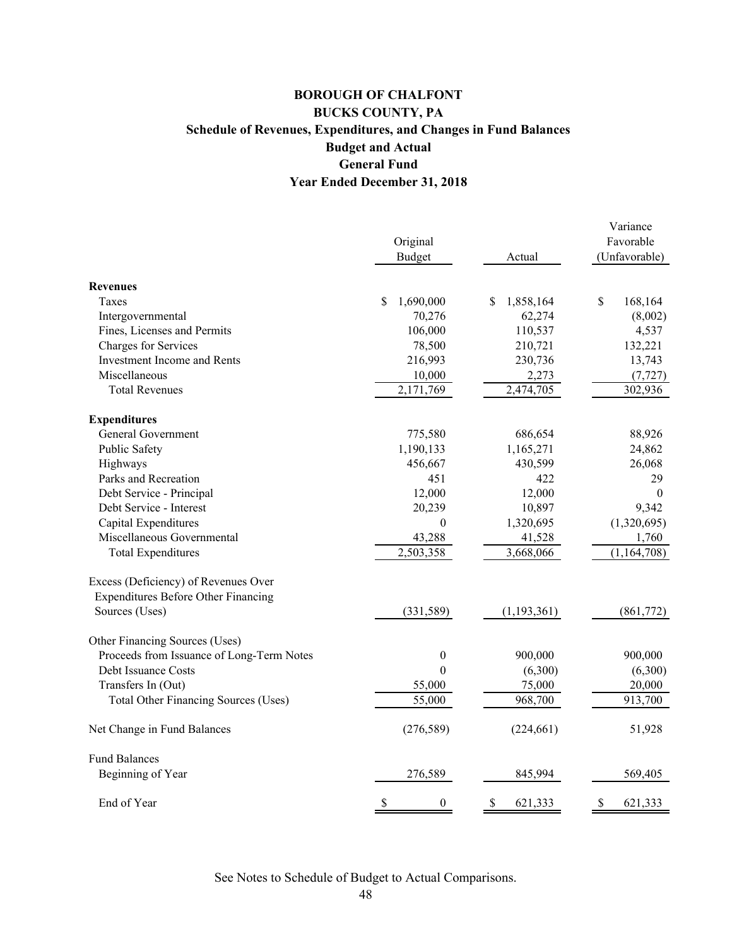# **Year Ended December 31, 2018 BOROUGH OF CHALFONT BUCKS COUNTY, PA Schedule of Revenues, Expenditures, and Changes in Fund Balances Budget and Actual General Fund**

|                                             |                                           |                                      | Variance         |
|---------------------------------------------|-------------------------------------------|--------------------------------------|------------------|
|                                             | Original                                  |                                      | Favorable        |
|                                             | <b>Budget</b>                             | Actual                               | (Unfavorable)    |
| <b>Revenues</b>                             |                                           |                                      |                  |
| Taxes                                       | 1,690,000<br>\$                           | 1,858,164<br>S                       | \$<br>168,164    |
| Intergovernmental                           | 70,276                                    | 62,274                               | (8,002)          |
| Fines, Licenses and Permits                 | 106,000                                   | 110,537                              | 4,537            |
| <b>Charges for Services</b>                 | 78,500                                    | 210,721                              | 132,221          |
| <b>Investment Income and Rents</b>          | 216,993                                   | 230,736                              | 13,743           |
| Miscellaneous                               | 10,000                                    | 2,273                                | (7, 727)         |
| <b>Total Revenues</b>                       | 2,171,769                                 | 2,474,705                            | 302,936          |
| <b>Expenditures</b>                         |                                           |                                      |                  |
| General Government                          | 775,580                                   | 686,654                              | 88,926           |
| <b>Public Safety</b>                        | 1,190,133                                 | 1,165,271                            | 24,862           |
| Highways                                    | 456,667                                   | 430,599                              | 26,068           |
| Parks and Recreation                        | 451                                       | 422                                  | 29               |
| Debt Service - Principal                    | 12,000                                    | 12,000                               | $\boldsymbol{0}$ |
| Debt Service - Interest                     | 20,239                                    | 10,897                               | 9,342            |
| Capital Expenditures                        | $\boldsymbol{0}$                          | 1,320,695                            | (1,320,695)      |
| Miscellaneous Governmental                  | 43,288                                    | 41,528                               | 1,760            |
| <b>Total Expenditures</b>                   | 2,503,358                                 | 3,668,066                            | (1,164,708)      |
| Excess (Deficiency) of Revenues Over        |                                           |                                      |                  |
| <b>Expenditures Before Other Financing</b>  |                                           |                                      |                  |
| Sources (Uses)                              | (331, 589)                                | (1,193,361)                          | (861,772)        |
| Other Financing Sources (Uses)              |                                           |                                      |                  |
| Proceeds from Issuance of Long-Term Notes   | $\boldsymbol{0}$                          | 900,000                              | 900,000          |
| Debt Issuance Costs                         | $\theta$                                  | (6,300)                              | (6,300)          |
| Transfers In (Out)                          | 55,000                                    | 75,000                               | 20,000           |
| <b>Total Other Financing Sources (Uses)</b> | 55,000                                    | 968,700                              | 913,700          |
| Net Change in Fund Balances                 | (276, 589)                                | (224, 661)                           | 51,928           |
| <b>Fund Balances</b>                        |                                           |                                      |                  |
| Beginning of Year                           | 276,589                                   | 845,994                              | 569,405          |
| End of Year                                 | $\boldsymbol{\mathsf{S}}$<br>$\mathbf{0}$ | 621,333<br>$\boldsymbol{\mathsf{S}}$ | \$<br>621,333    |

See Notes to Schedule of Budget to Actual Comparisons.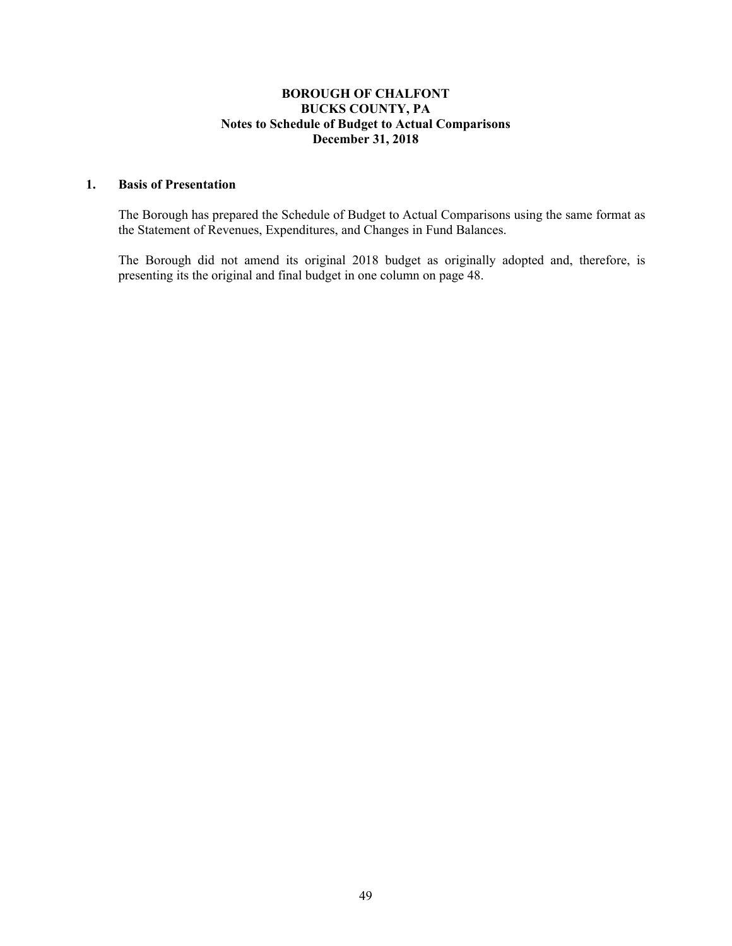## **BOROUGH OF CHALFONT BUCKS COUNTY, PA Notes to Schedule of Budget to Actual Comparisons December 31, 2018**

## **1. Basis of Presentation**

 The Borough has prepared the Schedule of Budget to Actual Comparisons using the same format as the Statement of Revenues, Expenditures, and Changes in Fund Balances.

The Borough did not amend its original 2018 budget as originally adopted and, therefore, is presenting its the original and final budget in one column on page 48.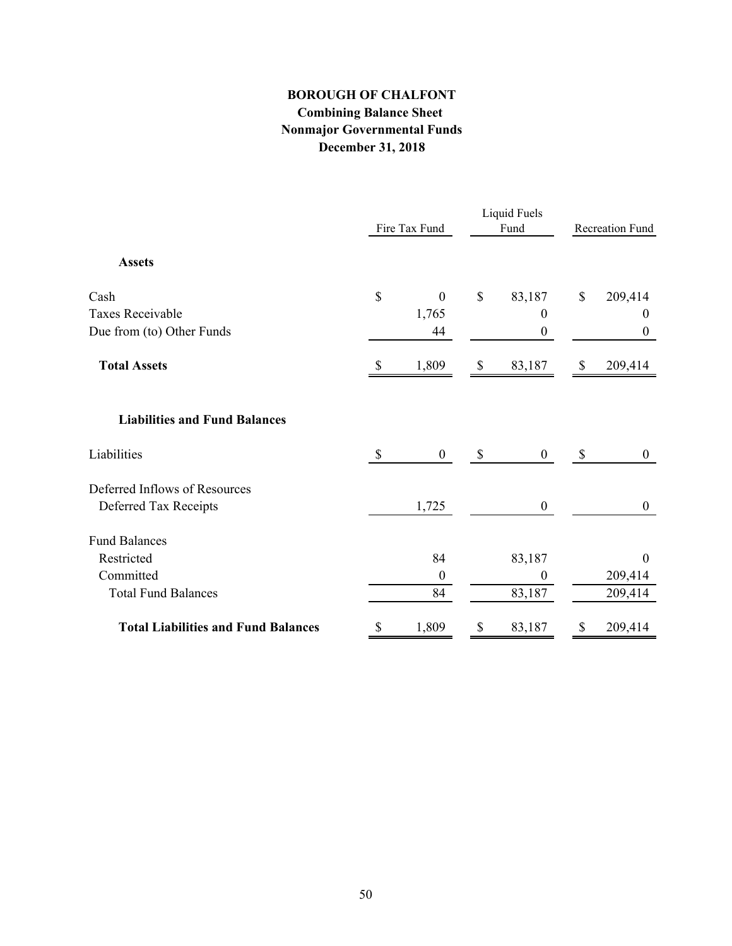# **BOROUGH OF CHALFONT Combining Balance Sheet Nonmajor Governmental Funds December 31, 2018**

|                                            | Fire Tax Fund |                  | Liquid Fuels<br>Fund      |                  | Recreation Fund           |                  |
|--------------------------------------------|---------------|------------------|---------------------------|------------------|---------------------------|------------------|
| <b>Assets</b>                              |               |                  |                           |                  |                           |                  |
| Cash                                       | \$            | $\boldsymbol{0}$ | \$                        | 83,187           | \$                        | 209,414          |
| <b>Taxes Receivable</b>                    |               | 1,765            |                           | $\boldsymbol{0}$ |                           | $\mathbf{0}$     |
| Due from (to) Other Funds                  |               | 44               |                           | $\boldsymbol{0}$ |                           | $\boldsymbol{0}$ |
| <b>Total Assets</b>                        | $\mathbb{S}$  | 1,809            | \$                        | 83,187           | $\boldsymbol{\mathsf{S}}$ | 209,414          |
| <b>Liabilities and Fund Balances</b>       |               |                  |                           |                  |                           |                  |
| Liabilities                                | $\mathcal{S}$ | $\overline{0}$   | $\boldsymbol{\mathsf{S}}$ | $\overline{0}$   | $\mathbb{S}$              | $\mathbf{0}$     |
| Deferred Inflows of Resources              |               |                  |                           |                  |                           |                  |
| Deferred Tax Receipts                      |               | 1,725            |                           | $\boldsymbol{0}$ |                           | $\boldsymbol{0}$ |
| <b>Fund Balances</b>                       |               |                  |                           |                  |                           |                  |
| Restricted                                 |               | 84               |                           | 83,187           |                           | $\boldsymbol{0}$ |
| Committed                                  |               | $\boldsymbol{0}$ |                           | $\boldsymbol{0}$ |                           | 209,414          |
| <b>Total Fund Balances</b>                 |               | 84               |                           | 83,187           |                           | 209,414          |
| <b>Total Liabilities and Fund Balances</b> | \$            | 1,809            | \$                        | 83,187           | \$                        | 209,414          |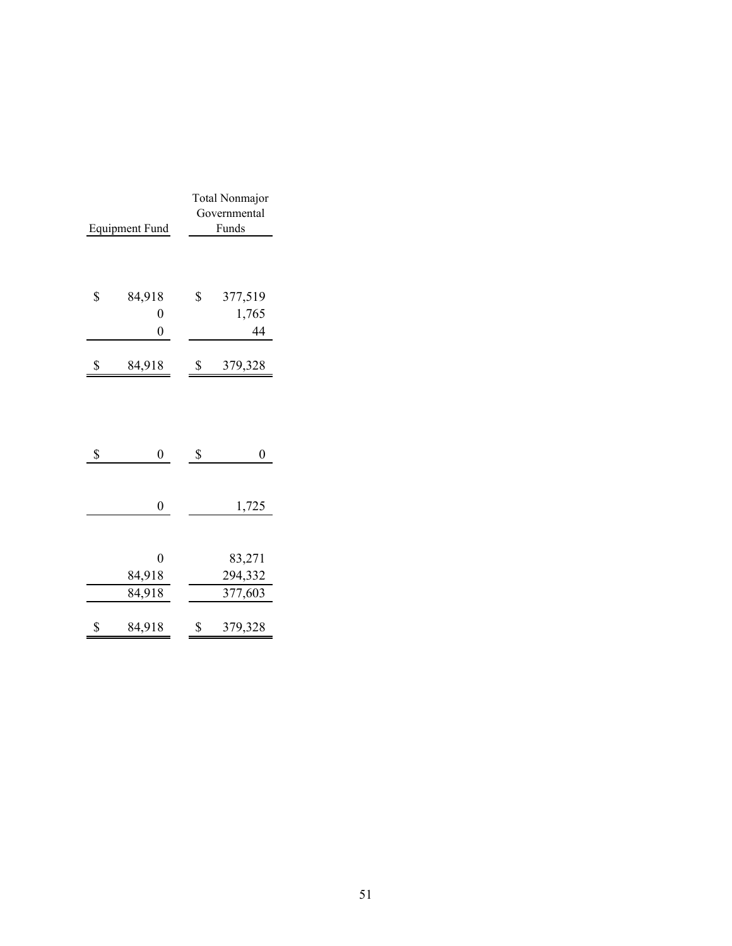| <b>Equipment Fund</b>                            | <b>Total Nonmajor</b><br>Governmental<br>Funds |
|--------------------------------------------------|------------------------------------------------|
| \$<br>84,918<br>$\overline{0}$<br>$\overline{0}$ | \$<br>377,519<br>1,765<br>44                   |
| \$<br>84,918                                     | \$<br>379,328                                  |
| \$<br>$\boldsymbol{0}$                           | \$<br>$\boldsymbol{0}$                         |
| $\overline{0}$                                   | 1,725                                          |
| $\overline{0}$<br>84,918<br>84,918               | 83,271<br>294,332<br>377,603                   |
| \$<br>84,918                                     | \$<br>379,328                                  |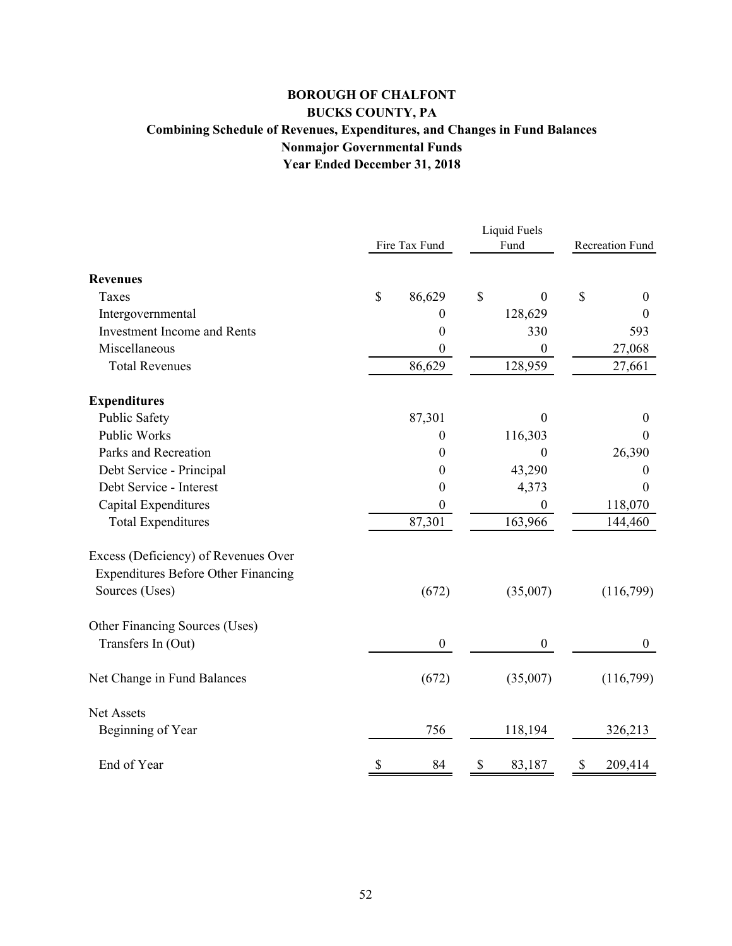# **BOROUGH OF CHALFONT BUCKS COUNTY, PA Combining Schedule of Revenues, Expenditures, and Changes in Fund Balances Nonmajor Governmental Funds Year Ended December 31, 2018**

|                                            | Fire Tax Fund |                  | Liquid Fuels<br>Fund |                  | Recreation Fund |                  |
|--------------------------------------------|---------------|------------------|----------------------|------------------|-----------------|------------------|
|                                            |               |                  |                      |                  |                 |                  |
| <b>Revenues</b>                            |               |                  |                      |                  |                 |                  |
| Taxes                                      | \$            | 86,629           | \$                   | $\theta$         | \$              | $\boldsymbol{0}$ |
| Intergovernmental                          |               | $\boldsymbol{0}$ |                      | 128,629          |                 | $\boldsymbol{0}$ |
| <b>Investment Income and Rents</b>         |               | $\boldsymbol{0}$ |                      | 330              |                 | 593              |
| Miscellaneous                              |               | $\boldsymbol{0}$ |                      | $\boldsymbol{0}$ |                 | 27,068           |
| <b>Total Revenues</b>                      |               | 86,629           |                      | 128,959          |                 | 27,661           |
| <b>Expenditures</b>                        |               |                  |                      |                  |                 |                  |
| <b>Public Safety</b>                       |               | 87,301           |                      | $\theta$         |                 | $\boldsymbol{0}$ |
| Public Works                               |               | $\boldsymbol{0}$ |                      | 116,303          |                 | $\boldsymbol{0}$ |
| Parks and Recreation                       |               | 0                |                      | $\theta$         |                 | 26,390           |
| Debt Service - Principal                   |               | 0                |                      | 43,290           |                 | 0                |
| Debt Service - Interest                    |               | $\boldsymbol{0}$ |                      | 4,373            |                 | $\boldsymbol{0}$ |
| Capital Expenditures                       |               | $\boldsymbol{0}$ |                      | $\boldsymbol{0}$ |                 | 118,070          |
| <b>Total Expenditures</b>                  |               | 87,301           |                      | 163,966          |                 | 144,460          |
| Excess (Deficiency) of Revenues Over       |               |                  |                      |                  |                 |                  |
| <b>Expenditures Before Other Financing</b> |               |                  |                      |                  |                 |                  |
| Sources (Uses)                             |               | (672)            |                      | (35,007)         |                 | (116,799)        |
| Other Financing Sources (Uses)             |               |                  |                      |                  |                 |                  |
| Transfers In (Out)                         |               | $\boldsymbol{0}$ |                      | $\mathbf{0}$     |                 | $\boldsymbol{0}$ |
| Net Change in Fund Balances                |               | (672)            |                      | (35,007)         |                 | (116,799)        |
| <b>Net Assets</b>                          |               |                  |                      |                  |                 |                  |
| Beginning of Year                          |               | 756              |                      | 118,194          |                 | 326,213          |
| End of Year                                | \$            | 84               | \$                   | 83,187           | \$              | 209,414          |